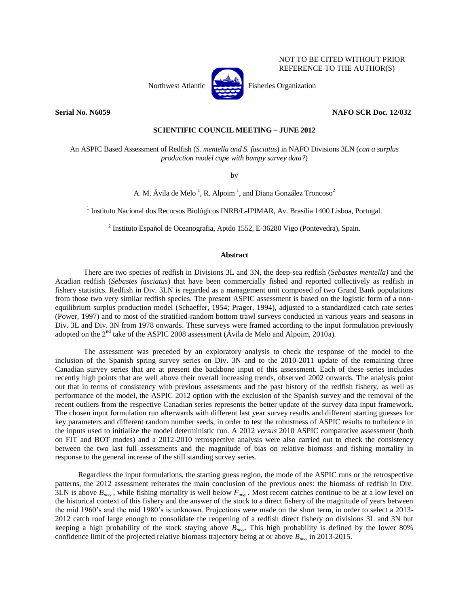

NOT TO BE CITED WITHOUT PRIOR REFERENCE TO THE AUTHOR(S)

Northwest Atlantic Fisheries Organization

# **Serial No. N6059 NAFO SCR Doc. 12/032**

# **SCIENTIFIC COUNCIL MEETING – JUNE 2012**

An ASPIC Based Assessment of Redfish (*S. mentella and S. fasciatus*) in NAFO Divisions 3LN (*can a surplus production model cope with bumpy survey data?*)

by

A. M. Ávila de Melo<sup>1</sup>, R. Alpoim<sup>1</sup>, and Diana González Troncoso<sup>2</sup>

<sup>1</sup> Instituto Nacional dos Recursos Biológicos INRB/L-IPIMAR, Av. Brasília 1400 Lisboa, Portugal.

<sup>2</sup> Instituto Español de Oceanografia, Aptdo 1552, E-36280 Vigo (Pontevedra), Spain.

# **Abstract**

There are two species of redfish in Divisions 3L and 3N, the deep-sea redfish (*Sebastes mentella)* and the Acadian redfish (*Sebastes fasciatus*) that have been commercially fished and reported collectively as redfish in fishery statistics. Redfish in Div. 3LN is regarded as a management unit composed of two Grand Bank populations from those two very similar redfish species. The present ASPIC assessment is based on the logistic form of a nonequilibrium surplus production model (Schaeffer, 1954; Prager, 1994), adjusted to a standardized catch rate series (Power, 1997) and to most of the stratified-random bottom trawl surveys conducted in various years and seasons in Div. 3L and Div. 3N from 1978 onwards. These surveys were framed according to the input formulation previously adopted on the  $2<sup>nd</sup>$  take of the ASPIC 2008 assessment (Ávila de Melo and Alpoim, 2010a).

The assessment was preceded by an exploratory analysis to check the response of the model to the inclusion of the Spanish spring survey series on Div. 3N and to the 2010-2011 update of the remaining three Canadian survey series that are at present the backbone input of this assessment. Each of these series includes recently high points that are well above their overall increasing trends, observed 2002 onwards. The analysis point out that in terms of consistency with previous assessments and the past history of the redfish fishery, as well as performance of the model, the ASPIC 2012 option with the exclusion of the Spanish survey and the removal of the recent outliers from the respective Canadian series represents the better update of the survey data input framework. The chosen input formulation run afterwards with different last year survey results and different starting guesses for key parameters and different random number seeds, in order to test the robustness of ASPIC results to turbulence in the inputs used to initialize the model deterministic run. A 2012 *versus* 2010 ASPIC comparative assessment (both on FIT and BOT modes) and a 2012-2010 retrospective analysis were also carried out to check the consistency between the two last full assessments and the magnitude of bias on relative biomass and fishing mortality in response to the general increase of the still standing survey series.

Regardless the input formulations, the starting guess region, the mode of the ASPIC runs or the retrospective patterns, the 2012 assessment reiterates the main conclusion of the previous ones: the biomass of redfish in Div. 3LN is above  $B_{msv}$ , while fishing mortality is well below  $F_{msv}$ . Most recent catches continue to be at a low level on the historical context of this fishery and the answer of the stock to a direct fishery of the magnitude of years between the mid 1960's and the mid 1980's is unknown. Projections were made on the short term, in order to select a 2013- 2012 catch roof large enough to consolidate the reopening of a redfish direct fishery on divisions 3L and 3N but keeping a high probability of the stock staying above *Bmsy*. This high probability is defined by the lower 80% confidence limit of the projected relative biomass trajectory being at or above *Bmsy* in 2013-2015.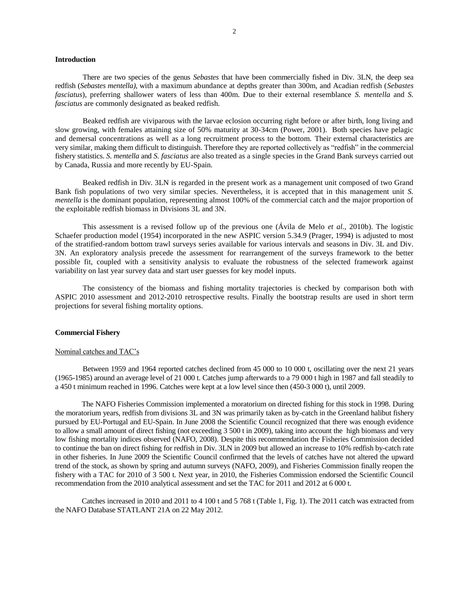# **Introduction**

There are two species of the genus *Sebastes* that have been commercially fished in Div. 3LN, the deep sea redfish (*Sebastes mentella)*, with a maximum abundance at depths greater than 300m, and Acadian redfish (*Sebastes fasciatus*), preferring shallower waters of less than 400m. Due to their external resemblance *S. mentella* and *S. fasciatus* are commonly designated as beaked redfish.

Beaked redfish are viviparous with the larvae eclosion occurring right before or after birth, long living and slow growing, with females attaining size of 50% maturity at 30-34cm (Power, 2001). Both species have pelagic and demersal concentrations as well as a long recruitment process to the bottom. Their external characteristics are very similar, making them difficult to distinguish. Therefore they are reported collectively as "redfish" in the commercial fishery statistics. *S. mentella* and *S. fasciatus* are also treated as a single species in the Grand Bank surveys carried out by Canada, Russia and more recently by EU-Spain.

Beaked redfish in Div. 3LN is regarded in the present work as a management unit composed of two Grand Bank fish populations of two very similar species. Nevertheless, it is accepted that in this management unit *S. mentella* is the dominant population, representing almost 100% of the commercial catch and the major proportion of the exploitable redfish biomass in Divisions 3L and 3N.

This assessment is a revised follow up of the previous one (Ávila de Melo *et al.*, 2010b). The logistic Schaefer production model (1954) incorporated in the new ASPIC version 5.34.9 (Prager, 1994) is adjusted to most of the stratified-random bottom trawl surveys series available for various intervals and seasons in Div. 3L and Div. 3N. An exploratory analysis precede the assessment for rearrangement of the surveys framework to the better possible fit, coupled with a sensitivity analysis to evaluate the robustness of the selected framework against variability on last year survey data and start user guesses for key model inputs.

The consistency of the biomass and fishing mortality trajectories is checked by comparison both with ASPIC 2010 assessment and 2012-2010 retrospective results. Finally the bootstrap results are used in short term projections for several fishing mortality options.

# **Commercial Fishery**

# Nominal catches and TAC's

Between 1959 and 1964 reported catches declined from 45 000 to 10 000 t, oscillating over the next 21 years (1965-1985) around an average level of 21 000 t. Catches jump afterwards to a 79 000 t high in 1987 and fall steadily to a 450 t minimum reached in 1996. Catches were kept at a low level since then (450-3 000 t), until 2009.

The NAFO Fisheries Commission implemented a moratorium on directed fishing for this stock in 1998. During the moratorium years, redfish from divisions 3L and 3N was primarily taken as by-catch in the Greenland halibut fishery pursued by EU-Portugal and EU-Spain. In June 2008 the Scientific Council recognized that there was enough evidence to allow a small amount of direct fishing (not exceeding 3 500 t in 2009), taking into account the high biomass and very low fishing mortality indices observed (NAFO, 2008). Despite this recommendation the Fisheries Commission decided to continue the ban on direct fishing for redfish in Div. 3LN in 2009 but allowed an increase to 10% redfish by-catch rate in other fisheries. In June 2009 the Scientific Council confirmed that the levels of catches have not altered the upward trend of the stock, as shown by spring and autumn surveys (NAFO, 2009), and Fisheries Commission finally reopen the fishery with a TAC for 2010 of 3 500 t. Next year, in 2010, the Fisheries Commission endorsed the Scientific Council recommendation from the 2010 analytical assessment and set the TAC for 2011 and 2012 at 6 000 t.

Catches increased in 2010 and 2011 to 4 100 t and 5 768 t (Table 1, Fig. 1). The 2011 catch was extracted from the NAFO Database STATLANT 21A on 22 May 2012.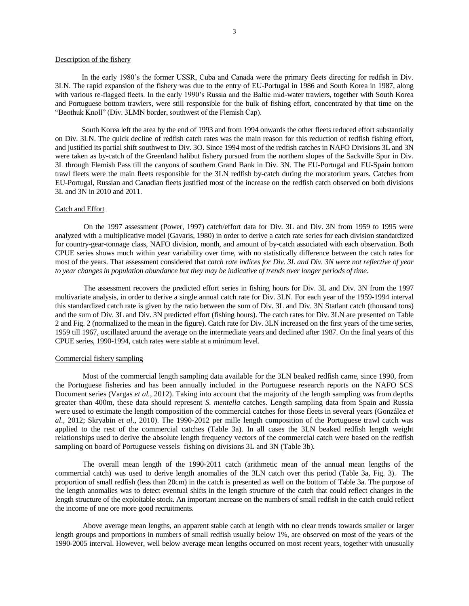# Description of the fishery

In the early 1980's the former USSR, Cuba and Canada were the primary fleets directing for redfish in Div. 3LN. The rapid expansion of the fishery was due to the entry of EU-Portugal in 1986 and South Korea in 1987, along with various re-flagged fleets. In the early 1990's Russia and the Baltic mid-water trawlers, together with South Korea and Portuguese bottom trawlers, were still responsible for the bulk of fishing effort, concentrated by that time on the "Beothuk Knoll" (Div. 3LMN border, southwest of the Flemish Cap).

South Korea left the area by the end of 1993 and from 1994 onwards the other fleets reduced effort substantially on Div. 3LN. The quick decline of redfish catch rates was the main reason for this reduction of redfish fishing effort, and justified its partial shift southwest to Div. 3O. Since 1994 most of the redfish catches in NAFO Divisions 3L and 3N were taken as by-catch of the Greenland halibut fishery pursued from the northern slopes of the Sackville Spur in Div. 3L through Flemish Pass till the canyons of southern Grand Bank in Div. 3N. The EU-Portugal and EU-Spain bottom trawl fleets were the main fleets responsible for the 3LN redfish by-catch during the moratorium years. Catches from EU-Portugal, Russian and Canadian fleets justified most of the increase on the redfish catch observed on both divisions 3L and 3N in 2010 and 2011.

## Catch and Effort

On the 1997 assessment (Power, 1997) catch/effort data for Div. 3L and Div. 3N from 1959 to 1995 were analyzed with a multiplicative model (Gavaris, 1980) in order to derive a catch rate series for each division standardized for country-gear-tonnage class, NAFO division, month, and amount of by-catch associated with each observation. Both CPUE series shows much within year variability over time, with no statistically difference between the catch rates for most of the years. That assessment considered that *catch rate indices for Div. 3L and Div. 3N were not reflective of year to year changes in population abundance but they may be indicative of trends over longer periods of time*.

The assessment recovers the predicted effort series in fishing hours for Div. 3L and Div. 3N from the 1997 multivariate analysis, in order to derive a single annual catch rate for Div. 3LN. For each year of the 1959-1994 interval this standardized catch rate is given by the ratio between the sum of Div. 3L and Div. 3N Statlant catch (thousand tons) and the sum of Div. 3L and Div. 3N predicted effort (fishing hours). The catch rates for Div. 3LN are presented on Table 2 and Fig. 2 (normalized to the mean in the figure). Catch rate for Div. 3LN increased on the first years of the time series, 1959 till 1967, oscillated around the average on the intermediate years and declined after 1987. On the final years of this CPUE series, 1990-1994, catch rates were stable at a minimum level.

## Commercial fishery sampling

Most of the commercial length sampling data available for the 3LN beaked redfish came, since 1990, from the Portuguese fisheries and has been annually included in the Portuguese research reports on the NAFO SCS Document series (Vargas *et al.*, 2012). Taking into account that the majority of the length sampling was from depths greater than 400m, these data should represent *S. mentella* catches. Length sampling data from Spain and Russia were used to estimate the length composition of the commercial catches for those fleets in several years (González *et al*., 2012; Skryabin *et al*., 2010). The 1990-2012 per mille length composition of the Portuguese trawl catch was applied to the rest of the commercial catches (Table 3a). In all cases the 3LN beaked redfish length weight relationships used to derive the absolute length frequency vectors of the commercial catch were based on the redfish sampling on board of Portuguese vessels fishing on divisions 3L and 3N (Table 3b).

The overall mean length of the 1990-2011 catch (arithmetic mean of the annual mean lengths of the commercial catch) was used to derive length anomalies of the 3LN catch over this period (Table 3a, Fig. 3). The proportion of small redfish (less than 20cm) in the catch is presented as well on the bottom of Table 3a. The purpose of the length anomalies was to detect eventual shifts in the length structure of the catch that could reflect changes in the length structure of the exploitable stock. An important increase on the numbers of small redfish in the catch could reflect the income of one ore more good recruitments.

Above average mean lengths, an apparent stable catch at length with no clear trends towards smaller or larger length groups and proportions in numbers of small redfish usually below 1%, are observed on most of the years of the 1990-2005 interval. However, well below average mean lengths occurred on most recent years, together with unusually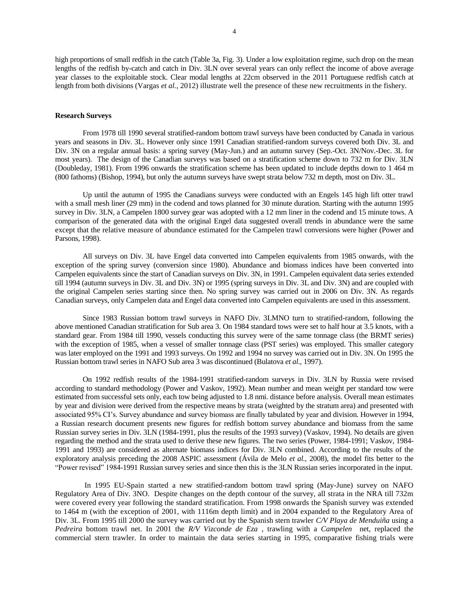high proportions of small redfish in the catch (Table 3a, Fig. 3). Under a low exploitation regime, such drop on the mean lengths of the redfish by-catch and catch in Div. 3LN over several years can only reflect the income of above average year classes to the exploitable stock. Clear modal lengths at 22cm observed in the 2011 Portuguese redfish catch at length from both divisions (Vargas *et al.*, 2012) illustrate well the presence of these new recruitments in the fishery.

## **Research Surveys**

From 1978 till 1990 several stratified-random bottom trawl surveys have been conducted by Canada in various years and seasons in Div. 3L. However only since 1991 Canadian stratified-random surveys covered both Div. 3L and Div. 3N on a regular annual basis: a spring survey (May-Jun.) and an autumn survey (Sep.-Oct. 3N/Nov.-Dec. 3L for most years). The design of the Canadian surveys was based on a stratification scheme down to 732 m for Div. 3LN (Doubleday, 1981). From 1996 onwards the stratification scheme has been updated to include depths down to 1 464 m (800 fathoms) (Bishop, 1994), but only the autumn surveys have swept strata below 732 m depth, most on Div. 3L.

Up until the autumn of 1995 the Canadians surveys were conducted with an Engels 145 high lift otter trawl with a small mesh liner (29 mm) in the codend and tows planned for 30 minute duration. Starting with the autumn 1995 survey in Div. 3LN, a Campelen 1800 survey gear was adopted with a 12 mm liner in the codend and 15 minute tows. A comparison of the generated data with the original Engel data suggested overall trends in abundance were the same except that the relative measure of abundance estimated for the Campelen trawl conversions were higher (Power and Parsons, 1998).

All surveys on Div. 3L have Engel data converted into Campelen equivalents from 1985 onwards, with the exception of the spring survey (conversion since 1980). Abundance and biomass indices have been converted into Campelen equivalents since the start of Canadian surveys on Div. 3N, in 1991. Campelen equivalent data series extended till 1994 (autumn surveys in Div. 3L and Div. 3N) or 1995 (spring surveys in Div. 3L and Div. 3N) and are coupled with the original Campelen series starting since then. No spring survey was carried out in 2006 on Div. 3N. As regards Canadian surveys, only Campelen data and Engel data converted into Campelen equivalents are used in this assessment.

Since 1983 Russian bottom trawl surveys in NAFO Div. 3LMNO turn to stratified-random, following the above mentioned Canadian stratification for Sub area 3. On 1984 standard tows were set to half hour at 3.5 knots, with a standard gear. From 1984 till 1990, vessels conducting this survey were of the same tonnage class (the BRMT series) with the exception of 1985, when a vessel of smaller tonnage class (PST series) was employed. This smaller category was later employed on the 1991 and 1993 surveys. On 1992 and 1994 no survey was carried out in Div. 3N. On 1995 the Russian bottom trawl series in NAFO Sub area 3 was discontinued (Bulatova *et al.*, 1997).

On 1992 redfish results of the 1984-1991 stratified-random surveys in Div. 3LN by Russia were revised according to standard methodology (Power and Vaskov, 1992). Mean number and mean weight per standard tow were estimated from successful sets only, each tow being adjusted to 1.8 nmi. distance before analysis. Overall mean estimates by year and division were derived from the respective means by strata (weighted by the stratum area) and presented with associated 95% CI's. Survey abundance and survey biomass are finally tabulated by year and division. However in 1994, a Russian research document presents new figures for redfish bottom survey abundance and biomass from the same Russian survey series in Div. 3LN (1984-1991, plus the results of the 1993 survey) (Vaskov, 1994). No details are given regarding the method and the strata used to derive these new figures. The two series (Power, 1984-1991; Vaskov, 1984- 1991 and 1993) are considered as alternate biomass indices for Div. 3LN combined. According to the results of the exploratory analysis preceding the 2008 ASPIC assessment (Ávila de Melo *et al.*, 2008), the model fits better to the "Power revised" 1984-1991 Russian survey series and since then this is the 3LN Russian series incorporated in the input.

In 1995 EU-Spain started a new stratified-random bottom trawl spring (May-June) survey on NAFO Regulatory Area of Div. 3NO. Despite changes on the depth contour of the survey, all strata in the NRA till 732m were covered every year following the standard stratification. From 1998 onwards the Spanish survey was extended to 1464 m (with the exception of 2001, with 1116m depth limit) and in 2004 expanded to the Regulatory Area of Div. 3L. From 1995 till 2000 the survey was carried out by the Spanish stern trawler *C/V Playa de Menduiña* using a *Pedreira* bottom trawl net. In 2001 the *R/V Vizconde de Eza* , trawling with a *Campelen* net, replaced the commercial stern trawler. In order to maintain the data series starting in 1995, comparative fishing trials were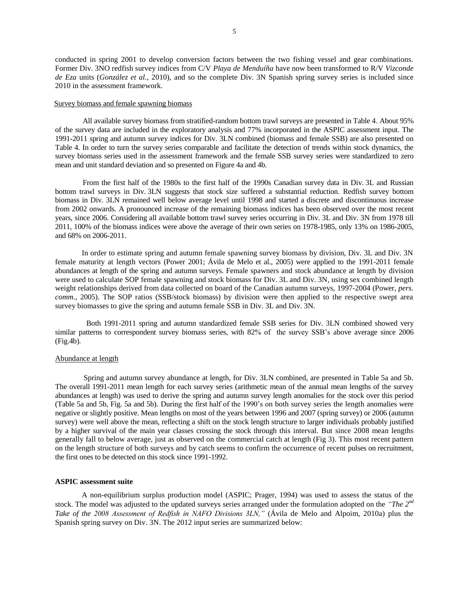conducted in spring 2001 to develop conversion factors between the two fishing vessel and gear combinations. Former Div. 3NO redfish survey indices from C/V *Playa de Menduíña* have now been transformed to R/V *Vizconde de Eza* units (*González et al.*, 2010), and so the complete Div. 3N Spanish spring survey series is included since 2010 in the assessment framework.

## Survey biomass and female spawning biomass

All available survey biomass from stratified-random bottom trawl surveys are presented in Table 4. About 95% of the survey data are included in the exploratory analysis and 77% incorporated in the ASPIC assessment input. The 1991-2011 spring and autumn survey indices for Div. 3LN combined (biomass and female SSB) are also presented on Table 4. In order to turn the survey series comparable and facilitate the detection of trends within stock dynamics, the survey biomass series used in the assessment framework and the female SSB survey series were standardized to zero mean and unit standard deviation and so presented on Figure 4a and 4b.

From the first half of the 1980s to the first half of the 1990s Canadian survey data in Div. 3L and Russian bottom trawl surveys in Div. 3LN suggests that stock size suffered a substantial reduction. Redfish survey bottom biomass in Div. 3LN remained well below average level until 1998 and started a discrete and discontinuous increase from 2002 onwards. A pronounced increase of the remaining biomass indices has been observed over the most recent years, since 2006. Considering all available bottom trawl survey series occurring in Div. 3L and Div. 3N from 1978 till 2011, 100% of the biomass indices were above the average of their own series on 1978-1985, only 13% on 1986-2005, and 68% on 2006-2011.

In order to estimate spring and autumn female spawning survey biomass by division, Div. 3L and Div. 3N female maturity at length vectors (Power 2001; Ávila de Melo et al., 2005) were applied to the 1991-2011 female abundances at length of the spring and autumn surveys. Female spawners and stock abundance at length by division were used to calculate SOP female spawning and stock biomass for Div. 3L and Div. 3N, using sex combined length weight relationships derived from data collected on board of the Canadian autumn surveys, 1997-2004 (Power, *pers. comm.*, 2005). The SOP ratios (SSB/stock biomass) by division were then applied to the respective swept area survey biomasses to give the spring and autumn female SSB in Div. 3L and Div. 3N.

Both 1991-2011 spring and autumn standardized female SSB series for Div. 3LN combined showed very similar patterns to correspondent survey biomass series, with 82% of the survey SSB's above average since 2006 (Fig.4b).

# Abundance at length

Spring and autumn survey abundance at length, for Div. 3LN combined, are presented in Table 5a and 5b. The overall 1991-2011 mean length for each survey series (arithmetic mean of the annual mean lengths of the survey abundances at length) was used to derive the spring and autumn survey length anomalies for the stock over this period (Table 5a and 5b, Fig. 5a and 5b). During the first half of the 1990's on both survey series the length anomalies were negative or slightly positive. Mean lengths on most of the years between 1996 and 2007 (spring survey) or 2006 (autumn survey) were well above the mean, reflecting a shift on the stock length structure to larger individuals probably justified by a higher survival of the main year classes crossing the stock through this interval. But since 2008 mean lengths generally fall to below average, just as observed on the commercial catch at length (Fig 3). This most recent pattern on the length structure of both surveys and by catch seems to confirm the occurrence of recent pulses on recruitment, the first ones to be detected on this stock since 1991-1992.

## **ASPIC assessment suite**

A non-equilibrium surplus production model (ASPIC; Prager, 1994) was used to assess the status of the stock. The model was adjusted to the updated surveys series arranged under the formulation adopted on the "*The 2<sup>nd</sup> Take of the 2008 Assessment of Redfish in NAFO Divisions 3LN,"* (Ávila de Melo and Alpoim, 2010a) plus the Spanish spring survey on Div. 3N. The 2012 input series are summarized below: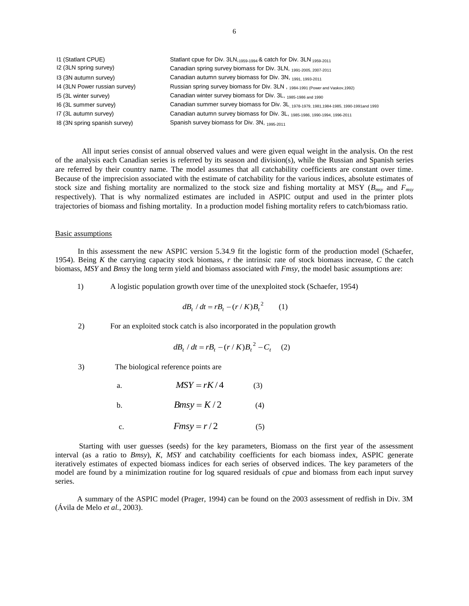| 11 (Statlant CPUE)            | Statlant cpue for Div. $3LN_{1959-1994}$ & catch for Div. $3LN_{1959-2011}$               |
|-------------------------------|-------------------------------------------------------------------------------------------|
| I2 (3LN spring survey)        | Canadian spring survey biomass for Div. 3LN, 1991-2005, 2007-2011                         |
| 13 (3N autumn survey)         | Canadian autumn survey biomass for Div. 3N, 1991, 1993-2011                               |
| 14 (3LN Power russian survey) | Russian spring survey biomass for Div. 3LN, 1984-1991 (Power and Vaskov, 1992)            |
| 15 (3L winter survey)         | Canadian winter survey biomass for Div. 3L, 1985-1986 and 1990                            |
| 16 (3L summer survey)         | Canadian summer survey biomass for Div. 3L, 1978-1979, 1981, 1984-1985, 1990-1991and 1993 |
| I7 (3L autumn survey)         | Canadian autumn survey biomass for Div. 3L, 1985-1986, 1990-1994, 1996-2011               |
| 18 (3N spring spanish survey) | Spanish survey biomass for Div. 3N, 1995-2011                                             |

All input series consist of annual observed values and were given equal weight in the analysis. On the rest of the analysis each Canadian series is referred by its season and division(s), while the Russian and Spanish series are referred by their country name. The model assumes that all catchability coefficients are constant over time. Because of the imprecision associated with the estimate of catchability for the various indices, absolute estimates of stock size and fishing mortality are normalized to the stock size and fishing mortality at MSY (*Bmsy* and *Fmsy* respectively). That is why normalized estimates are included in ASPIC output and used in the printer plots trajectories of biomass and fishing mortality. In a production model fishing mortality refers to catch/biomass ratio.

#### Basic assumptions

In this assessment the new ASPIC version 5.34.9 fit the logistic form of the production model (Schaefer, 1954). Being *K* the carrying capacity stock biomass, *r* the intrinsic rate of stock biomass increase, *C* the catch biomass, *MSY* and *Bms*y the long term yield and biomass associated with *Fmsy*, the model basic assumptions are:

1) A logistic population growth over time of the unexploited stock (Schaefer, 1954)

$$
dB_t / dt = rB_t - (r / K)B_t^2 \qquad (1)
$$

2) For an exploited stock catch is also incorporated in the population growth

$$
dB_t / dt = rB_t - (r / K)B_t^2 - C_t \quad (2)
$$

3) The biological reference points are

a. 
$$
MSY = rK/4 \qquad (3)
$$

- b. *Bmsy* =  $K/2$  (4)
- c. *Fmsy* =  $r/2$  (5)

Starting with user guesses (seeds) for the key parameters, Biomass on the first year of the assessment interval (as a ratio to *Bmsy*), *K*, *MSY* and catchability coefficients for each biomass index, ASPIC generate iteratively estimates of expected biomass indices for each series of observed indices. The key parameters of the model are found by a minimization routine for log squared residuals of *cpue* and biomass from each input survey series.

A summary of the ASPIC model (Prager, 1994) can be found on the 2003 assessment of redfish in Div. 3M (Ávila de Melo *et al.*, 2003).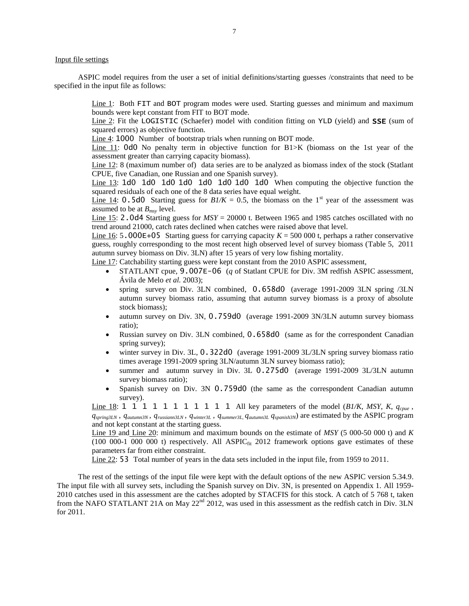# Input file settings

ASPIC model requires from the user a set of initial definitions/starting guesses /constraints that need to be specified in the input file as follows:

> Line 1: Both FIT and BOT program modes were used. Starting guesses and minimum and maximum bounds were kept constant from FIT to BOT mode.

> Line 2: Fit the LOGISTIC (Schaefer) model with condition fitting on YLD (yield) and **SSE** (sum of squared errors) as objective function.

Line 4: 1000 Number of bootstrap trials when running on BOT mode.

Line 11: 0d0 No penalty term in objective function for B1>K (biomass on the 1st year of the assessment greater than carrying capacity biomass).

Line 12: 8 (maximum number of) data series are to be analyzed as biomass index of the stock (Statlant CPUE, five Canadian, one Russian and one Spanish survey).

Line 13: 1d0 1d0 1d0 1d0 1d0 1d0 1d0 1d0 When computing the objective function the squared residuals of each one of the 8 data series have equal weight.

Line 14: 0.5d0 Starting guess for  $B1/K = 0.5$ , the biomass on the 1<sup>st</sup> year of the assessment was assumed to be at *Bmsy* level.

Line 15: 2.0d4 Starting guess for  $MSY = 20000$  t. Between 1965 and 1985 catches oscillated with no trend around 21000, catch rates declined when catches were raised above that level.

Line 16:  $5.000E+05$  Starting guess for carrying capacity  $K = 500,000$  t, perhaps a rather conservative guess, roughly corresponding to the most recent high observed level of survey biomass (Table 5, 2011 autumn survey biomass on Div. 3LN) after 15 years of very low fishing mortality.

Line 17: Catchability starting guess were kept constant from the 2010 ASPIC assessment,

- STATLANT cpue, 9.007E-06 (*q* of Statlant CPUE for Div. 3M redfish ASPIC assessment, Ávila de Melo *et al.* 2003);
- spring survey on Div. 3LN combined, 0.658d0 (average 1991-2009 3LN spring /3LN autumn survey biomass ratio, assuming that autumn survey biomass is a proxy of absolute stock biomass);
- autumn survey on Div. 3N, 0.759d0 (average 1991-2009 3N/3LN autumn survey biomass ratio);
- Russian survey on Div. 3LN combined, 0.658d0 (same as for the correspondent Canadian spring survey);
- winter survey in Div. 3L, 0.322d0 (average 1991-2009 3L/3LN spring survey biomass ratio times average 1991-2009 spring 3LN/autumn 3LN survey biomass ratio);
- summer and autumn survey in Div. 3L 0.275d0 (average 1991-2009 3L/3LN autumn survey biomass ratio);
- Spanish survey on Div. 3N 0.759d0 (the same as the correspondent Canadian autumn survey).

Line 18: 1 1 1 1 1 1 1 1 1 1 1 All key parameters of the model (*B1/K*, *MSY*, *K*, *qcpue* ,  $q_{spring 3LN}$ ,  $q_{autumn 3N}$ ,  $q_{russiam 3LN}$ ,  $q_{winter 3L}$ ,  $q_{summer 3L}$ ,  $q_{autumn 3L}$   $q_{spanish 3N}$ ) are estimated by the ASPIC program and not kept constant at the starting guess.

Line 19 and Line 20: minimum and maximum bounds on the estimate of *MSY* (5 000-50 000 t) and *K*  $(100\ 000-1\ 000\ 000\ t)$  respectively. All ASPIC $_{fit}$  2012 framework options gave estimates of these parameters far from either constraint.

Line 22: 53 Total number of years in the data sets included in the input file, from 1959 to 2011.

The rest of the settings of the input file were kept with the default options of the new ASPIC version 5.34.9. The input file with all survey sets, including the Spanish survey on Div. 3N, is presented on Appendix 1. All 1959- 2010 catches used in this assessment are the catches adopted by STACFIS for this stock. A catch of 5 768 t, taken from the NAFO STATLANT 21A on May 22<sup>nd</sup> 2012, was used in this assessment as the redfish catch in Div. 3LN for 2011.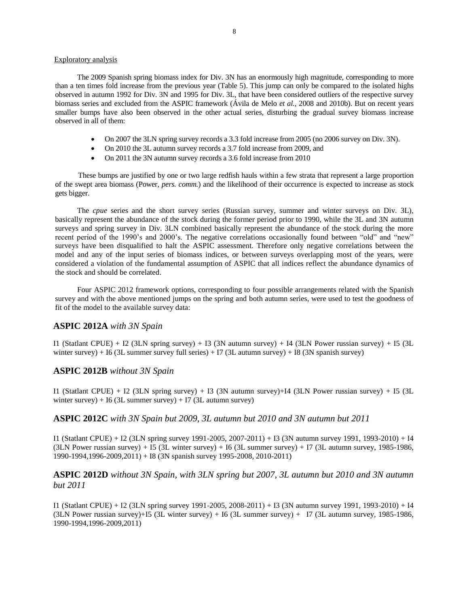# Exploratory analysis

The 2009 Spanish spring biomass index for Div. 3N has an enormously high magnitude, corresponding to more than a ten times fold increase from the previous year (Table 5). This jump can only be compared to the isolated highs observed in autumn 1992 for Div. 3N and 1995 for Div. 3L, that have been considered outliers of the respective survey biomass series and excluded from the ASPIC framework (Ávila de Melo *et al.*, 2008 and 2010b). But on recent years smaller bumps have also been observed in the other actual series, disturbing the gradual survey biomass increase observed in all of them:

- On 2007 the 3LN spring survey records a 3.3 fold increase from 2005 (no 2006 survey on Div. 3N).
- On 2010 the 3L autumn survey records a 3.7 fold increase from 2009, and
- On 2011 the 3N autumn survey records a 3.6 fold increase from 2010

These bumps are justified by one or two large redfish hauls within a few strata that represent a large proportion of the swept area biomass (Power, *pers. comm.*) and the likelihood of their occurrence is expected to increase as stock gets bigger.

The *cpue* series and the short survey series (Russian survey, summer and winter surveys on Div. 3L), basically represent the abundance of the stock during the former period prior to 1990, while the 3L and 3N autumn surveys and spring survey in Div. 3LN combined basically represent the abundance of the stock during the more recent period of the 1990's and 2000's. The negative correlations occasionally found between "old" and "new" surveys have been disqualified to halt the ASPIC assessment. Therefore only negative correlations between the model and any of the input series of biomass indices, or between surveys overlapping most of the years, were considered a violation of the fundamental assumption of ASPIC that all indices reflect the abundance dynamics of the stock and should be correlated.

Four ASPIC 2012 framework options, corresponding to four possible arrangements related with the Spanish survey and with the above mentioned jumps on the spring and both autumn series, were used to test the goodness of fit of the model to the available survey data:

# **ASPIC 2012A** *with 3N Spain*

I1 (Statlant CPUE) + I2 (3LN spring survey) + I3 (3N autumn survey) + I4 (3LN Power russian survey) + I5 (3L winter survey) + I6 (3L summer survey full series) + I7 (3L autumn survey) + I8 (3N spanish survey)

# **ASPIC 2012B** *without 3N Spain*

I1 (Statlant CPUE) + I2 (3LN spring survey) + I3 (3N autumn survey)+I4 (3LN Power russian survey) + I5 (3L winter survey) + I6 (3L summer survey) + I7 (3L autumn survey)

# **ASPIC 2012C** *with 3N Spain but 2009, 3L autumn but 2010 and 3N autumn but 2011*

I1 (Statlant CPUE) + I2 (3LN spring survey 1991-2005, 2007-2011) + I3 (3N autumn survey 1991, 1993-2010) + I4 (3LN Power russian survey) + I5 (3L winter survey) + I6 (3L summer survey) + I7 (3L autumn survey, 1985-1986, 1990-1994,1996-2009,2011) + I8 (3N spanish survey 1995-2008, 2010-2011)

# **ASPIC 2012D** *without 3N Spain, with 3LN spring but 2007, 3L autumn but 2010 and 3N autumn but 2011*

I1 (Statlant CPUE) + I2 (3LN spring survey 1991-2005, 2008-2011) + I3 (3N autumn survey 1991, 1993-2010) + I4 (3LN Power russian survey)+I5 (3L winter survey) + I6 (3L summer survey) + I7 (3L autumn survey, 1985-1986, 1990-1994,1996-2009,2011)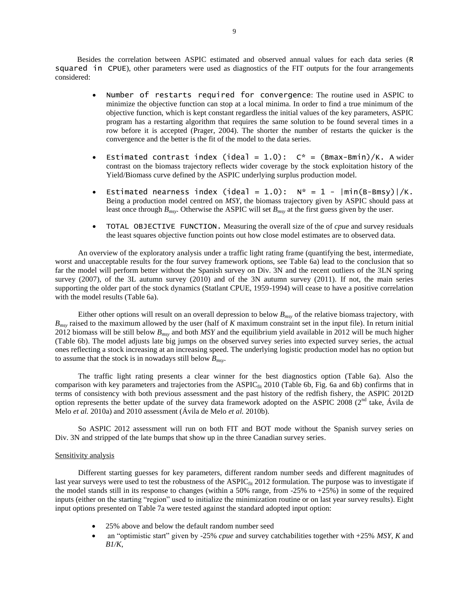Besides the correlation between ASPIC estimated and observed annual values for each data series (R squared in CPUE), other parameters were used as diagnostics of the FIT outputs for the four arrangements considered:

- Number of restarts required for convergence: The routine used in ASPIC to minimize the objective function can stop at a local minima. In order to find a true minimum of the objective function, which is kept constant regardless the initial values of the key parameters, ASPIC program has a restarting algorithm that requires the same solution to be found several times in a row before it is accepted (Prager, 2004). The shorter the number of restarts the quicker is the convergence and the better is the fit of the model to the data series.
- Estimated contrast index (ideal = 1.0):  $C^*$  = (Bmax-Bmin)/K. A wider contrast on the biomass trajectory reflects wider coverage by the stock exploitation history of the Yield/Biomass curve defined by the ASPIC underlying surplus production model.
- Estimated nearness index (ideal = 1.0):  $N^* = 1 |min(B-Bmsy)|/K$ . Being a production model centred on *MSY*, the biomass trajectory given by ASPIC should pass at least once through *Bmsy*. Otherwise the ASPIC will set *Bmsy* at the first guess given by the user.
- TOTAL OBJECTIVE FUNCTION. Measuring the overall size of the of *cpue* and survey residuals the least squares objective function points out how close model estimates are to observed data.

An overview of the exploratory analysis under a traffic light rating frame (quantifying the best, intermediate, worst and unacceptable results for the four survey framework options, see Table 6a) lead to the conclusion that so far the model will perform better without the Spanish survey on Div. 3N and the recent outliers of the 3LN spring survey (2007), of the 3L autumn survey (2010) and of the 3N autumn survey (2011). If not, the main series supporting the older part of the stock dynamics (Statlant CPUE, 1959-1994) will cease to have a positive correlation with the model results (Table 6a).

Either other options will result on an overall depression to below *Bmsy* of the relative biomass trajectory, with *Bmsy* raised to the maximum allowed by the user (half of *K* maximum constraint set in the input file). In return initial 2012 biomass will be still below *Bmsy* and both *MSY* and the equilibrium yield available in 2012 will be much higher (Table 6b). The model adjusts late big jumps on the observed survey series into expected survey series, the actual ones reflecting a stock increasing at an increasing speed. The underlying logistic production model has no option but to assume that the stock is in nowadays still below *Bmsy*.

The traffic light rating presents a clear winner for the best diagnostics option (Table 6a). Also the comparison with key parameters and trajectories from the  $ASPLC_{fit}$  2010 (Table 6b, Fig. 6a and 6b) confirms that in terms of consistency with both previous assessment and the past history of the redfish fishery, the ASPIC 2012D option represents the better update of the survey data framework adopted on the ASPIC 2008 ( $2<sup>nd</sup>$  take, Ávila de Melo *et al.* 2010a) and 2010 assessment (Ávila de Melo *et al.* 2010b).

So ASPIC 2012 assessment will run on both FIT and BOT mode without the Spanish survey series on Div. 3N and stripped of the late bumps that show up in the three Canadian survey series.

## Sensitivity analysis

Different starting guesses for key parameters, different random number seeds and different magnitudes of last year surveys were used to test the robustness of the ASPIC $_{fit}$  2012 formulation. The purpose was to investigate if the model stands still in its response to changes (within a 50% range, from  $-25\%$  to  $+25\%$ ) in some of the required inputs (either on the starting "region" used to initialize the minimization routine or on last year survey results). Eight input options presented on Table 7a were tested against the standard adopted input option:

- 25% above and below the default random number seed
- an "optimistic start" given by -25% *cpue* and survey catchabilities together with +25% *MSY*, *K* and *B1/K*,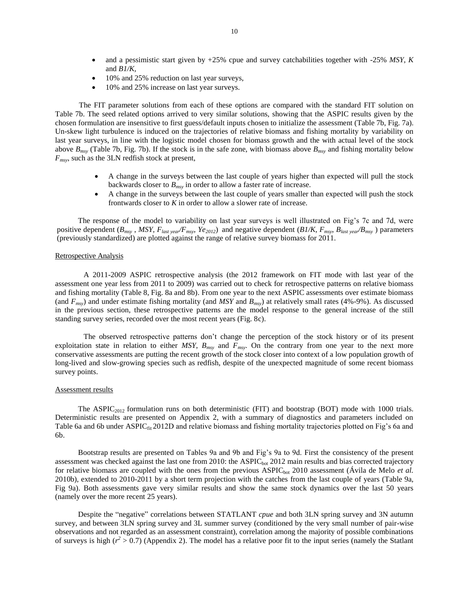- and a pessimistic start given by +25% cpue and survey catchabilities together with -25% *MSY*, *K* and *B1/K,*
- 10% and 25% reduction on last year surveys,
- 10% and 25% increase on last year surveys.

The FIT parameter solutions from each of these options are compared with the standard FIT solution on Table 7b. The seed related options arrived to very similar solutions, showing that the ASPIC results given by the chosen formulation are insensitive to first guess/default inputs chosen to initialize the assessment (Table 7b, Fig. 7a). Un-skew light turbulence is induced on the trajectories of relative biomass and fishing mortality by variability on last year surveys, in line with the logistic model chosen for biomass growth and the with actual level of the stock above *Bmsy* (Table 7b, Fig. 7b). If the stock is in the safe zone, with biomass above *Bmsy* and fishing mortality below *Fmsy*, such as the 3LN redfish stock at present,

- A change in the surveys between the last couple of years higher than expected will pull the stock backwards closer to *Bmsy* in order to allow a faster rate of increase.
- A change in the surveys between the last couple of years smaller than expected will push the stock frontwards closer to *K* in order to allow a slower rate of increase.

The response of the model to variability on last year surveys is well illustrated on Fig's 7c and 7d, were positive dependent ( $B_{msv}$ , MSY,  $F_{last\text{ year}}/F_{msv}$ ,  $Ye_{2012}$ ) and negative dependent ( $B1/K$ ,  $F_{msv}$ ,  $B_{last\text{ year}}/B_{msv}$ ) parameters (previously standardized) are plotted against the range of relative survey biomass for 2011.

## Retrospective Analysis

A 2011-2009 ASPIC retrospective analysis (the 2012 framework on FIT mode with last year of the assessment one year less from 2011 to 2009) was carried out to check for retrospective patterns on relative biomass and fishing mortality (Table 8, Fig. 8a and 8b). From one year to the next ASPIC assessments over estimate biomass (and *Fmsy*) and under estimate fishing mortality (and *MSY* and *Bmsy*) at relatively small rates (4%-9%). As discussed in the previous section, these retrospective patterns are the model response to the general increase of the still standing survey series, recorded over the most recent years (Fig. 8c).

The observed retrospective patterns don't change the perception of the stock history or of its present exploitation state in relation to either *MSY*, *Bmsy* and *Fmsy*. On the contrary from one year to the next more conservative assessments are putting the recent growth of the stock closer into context of a low population growth of long-lived and slow-growing species such as redfish, despite of the unexpected magnitude of some recent biomass survey points.

## Assessment results

The ASPIC<sub>2012</sub> formulation runs on both deterministic (FIT) and bootstrap (BOT) mode with 1000 trials. Deterministic results are presented on Appendix 2, with a summary of diagnostics and parameters included on Table 6a and 6b under ASPIC $_{\text{fit}}$  2012D and relative biomass and fishing mortality trajectories plotted on Fig's 6a and 6b.

Bootstrap results are presented on Tables 9a and 9b and Fig's 9a to 9d. First the consistency of the present assessment was checked against the last one from 2010: the ASPIC<sub>bot</sub> 2012 main results and bias corrected trajectory for relative biomass are coupled with the ones from the previous ASPIC<sub>bot</sub> 2010 assessment (Ávila de Melo *et al.*) 2010b), extended to 2010-2011 by a short term projection with the catches from the last couple of years (Table 9a, Fig 9a). Both assessments gave very similar results and show the same stock dynamics over the last 50 years (namely over the more recent 25 years).

Despite the "negative" correlations between STATLANT *cpue* and both 3LN spring survey and 3N autumn survey, and between 3LN spring survey and 3L summer survey (conditioned by the very small number of pair-wise observations and not regarded as an assessment constraint), correlation among the majority of possible combinations of surveys is high ( $r^2 > 0.7$ ) (Appendix 2). The model has a relative poor fit to the input series (namely the Statlant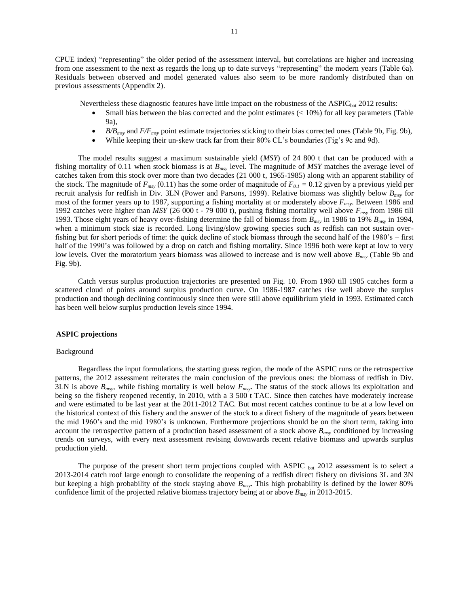CPUE index) "representing" the older period of the assessment interval, but correlations are higher and increasing from one assessment to the next as regards the long up to date surveys "representing" the modern years (Table 6a). Residuals between observed and model generated values also seem to be more randomly distributed than on previous assessments (Appendix 2).

Nevertheless these diagnostic features have little impact on the robustness of the ASPIC<sub>bot</sub> 2012 results:

- Small bias between the bias corrected and the point estimates  $( $10\%$ ) for all key parameters (Table$ 9a),
- *B/Bmsy* and *F/Fmsy* point estimate trajectories sticking to their bias corrected ones (Table 9b, Fig. 9b),
- While keeping their un-skew track far from their 80% CL's boundaries (Fig's 9c and 9d).

The model results suggest a maximum sustainable yield (*MSY*) of 24 800 t that can be produced with a fishing mortality of 0.11 when stock biomass is at *Bmsy* level. The magnitude of *MSY* matches the average level of catches taken from this stock over more than two decades (21 000 t, 1965-1985) along with an apparent stability of the stock. The magnitude of  $F_{msy}$  (0.11) has the some order of magnitude of  $F_{0,1} = 0.12$  given by a previous yield per recruit analysis for redfish in Div. 3LN (Power and Parsons, 1999). Relative biomass was slightly below *Bmsy* for most of the former years up to 1987, supporting a fishing mortality at or moderately above *Fmsy*. Between 1986 and 1992 catches were higher than *MSY* (26 000 t - 79 000 t), pushing fishing mortality well above *Fmsy* from 1986 till 1993. Those eight years of heavy over-fishing determine the fall of biomass from *Bmsy* in 1986 to 19% *Bmsy* in 1994, when a minimum stock size is recorded. Long living/slow growing species such as redfish can not sustain overfishing but for short periods of time: the quick decline of stock biomass through the second half of the 1980's – first half of the 1990's was followed by a drop on catch and fishing mortality. Since 1996 both were kept at low to very low levels. Over the moratorium years biomass was allowed to increase and is now well above  $B_{\text{msv}}$  (Table 9b and Fig. 9b).

Catch versus surplus production trajectories are presented on Fig. 10. From 1960 till 1985 catches form a scattered cloud of points around surplus production curve. On 1986-1987 catches rise well above the surplus production and though declining continuously since then were still above equilibrium yield in 1993. Estimated catch has been well below surplus production levels since 1994.

## **ASPIC projections**

## **Background**

Regardless the input formulations, the starting guess region, the mode of the ASPIC runs or the retrospective patterns, the 2012 assessment reiterates the main conclusion of the previous ones: the biomass of redfish in Div. 3LN is above *Bmsy*, while fishing mortality is well below *Fmsy*. The status of the stock allows its exploitation and being so the fishery reopened recently, in 2010, with a 3 500 t TAC. Since then catches have moderately increase and were estimated to be last year at the 2011-2012 TAC. But most recent catches continue to be at a low level on the historical context of this fishery and the answer of the stock to a direct fishery of the magnitude of years between the mid 1960's and the mid 1980's is unknown. Furthermore projections should be on the short term, taking into account the retrospective pattern of a production based assessment of a stock above  $B<sub>msv</sub>$  conditioned by increasing trends on surveys, with every next assessment revising downwards recent relative biomass and upwards surplus production yield.

The purpose of the present short term projections coupled with ASPIC  $_{\text{bot}}$  2012 assessment is to select a 2013-2014 catch roof large enough to consolidate the reopening of a redfish direct fishery on divisions 3L and 3N but keeping a high probability of the stock staying above *Bmsy*. This high probability is defined by the lower 80% confidence limit of the projected relative biomass trajectory being at or above *Bmsy* in 2013-2015.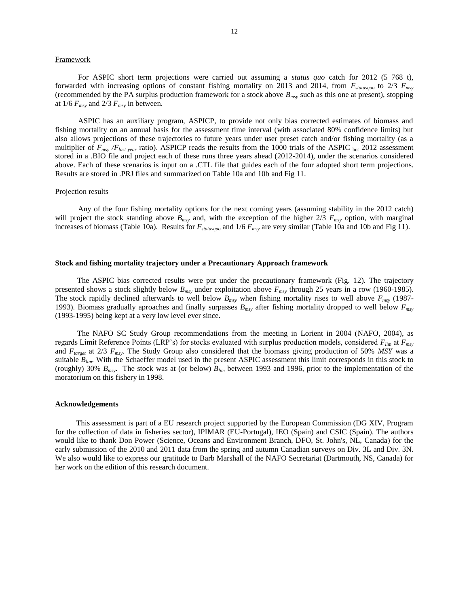## **Framework**

For ASPIC short term projections were carried out assuming a *status quo* catch for 2012 (5 768 t), forwarded with increasing options of constant fishing mortality on 2013 and 2014, from *Fstatusquo* to 2/3 *Fmsy* (recommended by the PA surplus production framework for a stock above *Bmsy* such as this one at present), stopping at  $1/6$   $F_{msy}$  and  $2/3$   $F_{msy}$  in between.

ASPIC has an auxiliary program, ASPICP, to provide not only bias corrected estimates of biomass and fishing mortality on an annual basis for the assessment time interval (with associated 80% confidence limits) but also allows projections of these trajectories to future years under user preset catch and/or fishing mortality (as a multiplier of  $F_{msv}$  / $F_{last\ year}$  ratio). ASPICP reads the results from the 1000 trials of the ASPIC <sub>bot</sub> 2012 assessment stored in a .BIO file and project each of these runs three years ahead (2012-2014), under the scenarios considered above. Each of these scenarios is input on a .CTL file that guides each of the four adopted short term projections. Results are stored in .PRJ files and summarized on Table 10a and 10b and Fig 11.

#### Projection results

Any of the four fishing mortality options for the next coming years (assuming stability in the 2012 catch) will project the stock standing above  $B_{msy}$  and, with the exception of the higher 2/3  $F_{msy}$  option, with marginal increases of biomass (Table 10a). Results for *Fstatusquo* and 1/6 *Fmsy* are very similar (Table 10a and 10b and Fig 11).

## **Stock and fishing mortality trajectory under a Precautionary Approach framework**

The ASPIC bias corrected results were put under the precautionary framework (Fig. 12). The trajectory presented shows a stock slightly below *Bmsy* under exploitation above *Fmsy* through 25 years in a row (1960-1985). The stock rapidly declined afterwards to well below *Bmsy* when fishing mortality rises to well above *Fmsy* (1987- 1993). Biomass gradually aproaches and finally surpasses *Bmsy* after fishing mortality dropped to well below *Fmsy* (1993-1995) being kept at a very low level ever since.

The NAFO SC Study Group recommendations from the meeting in Lorient in 2004 (NAFO, 2004), as regards Limit Reference Points (LRP's) for stocks evaluated with surplus production models, considered *Flim* at *Fmsy* and *Ftarget* at 2/3 *Fmsy*. The Study Group also considered that the biomass giving production of 50% *MSY* was a suitable *Blim.* With the Schaeffer model used in the present ASPIC assessment this limit corresponds in this stock to (roughly) 30% *Bmsy*. The stock was at (or below) *Blim* between 1993 and 1996, prior to the implementation of the moratorium on this fishery in 1998.

## **Acknowledgements**

This assessment is part of a EU research project supported by the European Commission (DG XIV, Program for the collection of data in fisheries sector), IPIMAR (EU-Portugal), IEO (Spain) and CSIC (Spain). The authors would like to thank Don Power (Science, Oceans and Environment Branch, DFO, St. John's, NL, Canada) for the early submission of the 2010 and 2011 data from the spring and autumn Canadian surveys on Div. 3L and Div. 3N. We also would like to express our gratitude to Barb Marshall of the NAFO Secretariat (Dartmouth, NS, Canada) for her work on the edition of this research document.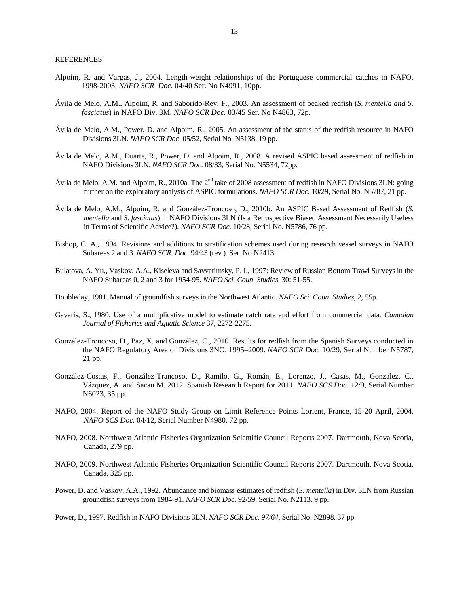## **REFERENCES**

- Alpoim, R. and Vargas, J., 2004. Length-weight relationships of the Portuguese commercial catches in NAFO, 1998-2003. *NAFO SCR Doc.* 04/40 Ser. No N4991, 10pp.
- Ávila de Melo, A.M., Alpoim, R. and Saborido-Rey, F., 2003. An assessment of beaked redfish (*S. mentella and S. fasciatus*) in NAFO Div. 3M. *NAFO SCR Doc.* 03/45 Ser. No N4863, 72p.
- Ávila de Melo, A.M., Power, D. and Alpoim, R., 2005. An assessment of the status of the redfish resource in NAFO Divisions 3LN. *NAFO SCR Doc*. 05/52, Serial No. N5138, 19 pp.
- Ávila de Melo, A.M., Duarte, R., Power, D. and Alpoim, R., 2008. A revised ASPIC based assessment of redfish in NAFO Divisions 3LN. *NAFO SCR Doc.* 08/33, Serial No. N5534, 72pp.
- Ávila de Melo, A.M. and Alpoim, R., 2010a. The  $2^{nd}$  take of 2008 assessment of redfish in NAFO Divisions 3LN: going further on the exploratory analysis of ASPIC formulations. *NAFO SCR Doc.* 10/29, Serial No. N5787, 21 pp.
- Ávila de Melo, A.M., Alpoim, R. and González-Troncoso, D., 2010b. An ASPIC Based Assessment of Redfish (*S. mentella* and *S. fasciatus*) in NAFO Divisions 3LN (Is a Retrospective Biased Assessment Necessarily Useless in Terms of Scientific Advice?). *NAFO SCR Doc.* 10/28, Serial No. N5786, 76 pp.
- Bishop, C. A., 1994. Revisions and additions to stratification schemes used during research vessel surveys in NAFO Subareas 2 and 3. *NAFO SCR. Doc.* 94/43 (rev.). Ser. No N2413.
- Bulatova, A. Yu., Vaskov, A.A., Kiseleva and Savvatimsky, P. I., 1997: Review of Russian Bottom Trawl Surveys in the NAFO Subareas 0, 2 and 3 for 1954-95. *NAFO Sci. Coun. Studies,* 30: 51-55.
- Doubleday, 1981. Manual of groundfish surveys in the Northwest Atlantic. *NAFO Sci. Coun. Studies*, 2, 55p.
- Gavaris, S., 1980. Use of a multiplicative model to estimate catch rate and effort from commercial data. *Canadian Journal of Fisheries and Aquatic Science* 37, 2272-2275.
- González-Troncoso, D., Paz, X. and González, C., 2010. Results for redfish from the Spanish Surveys conducted in the NAFO Regulatory Area of Divisions 3NO, 1995–2009. *NAFO SCR Doc.* 10/29, Serial Number N5787, 21 pp.
- González-Costas, F., González-Trancoso, D., Ramilo, G., Román, E., Lorenzo, J., Casas, M., Gonzalez, C., Vázquez, A. and Sacau M. 2012. Spanish Research Report for 2011. *NAFO SCS Doc.* 12/9, Serial Number N6023, 35 pp.
- NAFO, 2004. Report of the NAFO Study Group on Limit Reference Points Lorient, France, 15-20 April, 2004. *NAFO SCS Doc.* 04/12, Serial Number N4980, 72 pp.
- NAFO, 2008. Northwest Atlantic Fisheries Organization Scientific Council Reports 2007. Dartmouth, Nova Scotia, Canada, 279 pp.
- NAFO, 2009. Northwest Atlantic Fisheries Organization Scientific Council Reports 2007. Dartmouth, Nova Scotia, Canada, 325 pp.
- Power, D. and Vaskov, A.A., 1992. Abundance and biomass estimates of redfish (*S. mentella*) in Div. 3LN from Russian groundfish surveys from 1984-91. *NAFO SCR Doc.* 92/59. Serial No. N2113. 9 pp.
- Power, D., 1997. Redfish in NAFO Divisions 3LN. *NAFO SCR Doc. 97/64*, Serial No. N2898. 37 pp.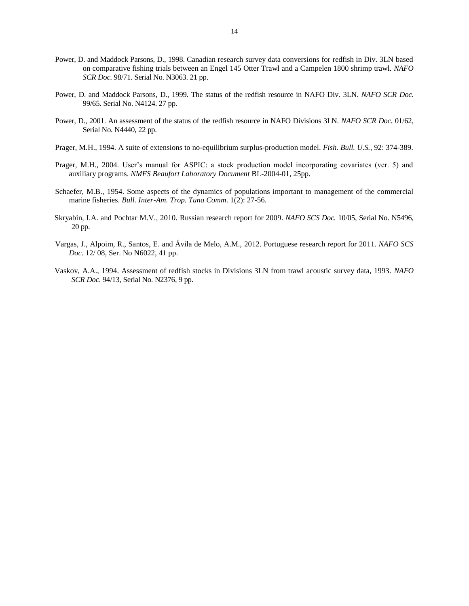- Power, D. and Maddock Parsons, D., 1998. Canadian research survey data conversions for redfish in Div. 3LN based on comparative fishing trials between an Engel 145 Otter Trawl and a Campelen 1800 shrimp trawl. *NAFO SCR Doc.* 98/71. Serial No. N3063. 21 pp.
- Power, D. and Maddock Parsons, D., 1999. The status of the redfish resource in NAFO Div. 3LN. *NAFO SCR Doc.* 99/65. Serial No. N4124. 27 pp.
- Power, D., 2001. An assessment of the status of the redfish resource in NAFO Divisions 3LN. *NAFO SCR Doc.* 01/62, Serial No. N4440, 22 pp.
- Prager, M.H., 1994. A suite of extensions to no-equilibrium surplus-production model. *Fish. Bull. U.S.*, 92: 374-389.
- Prager, M.H., 2004. User's manual for ASPIC: a stock production model incorporating covariates (ver. 5) and auxiliary programs. *NMFS Beaufort Laboratory Document* BL-2004-01, 25pp.
- Schaefer, M.B., 1954. Some aspects of the dynamics of populations important to management of the commercial marine fisheries. *Bull. Inter-Am. Trop. Tuna Comm*. 1(2): 27-56.
- Skryabin, I.A. and Pochtar M.V., 2010. Russian research report for 2009. *NAFO SCS Doc.* 10/05, Serial No. N5496, 20 pp.
- Vargas, J., Alpoim, R., Santos, E. and Ávila de Melo, A.M., 2012. Portuguese research report for 2011*. NAFO SCS Doc.* 12/ 08, Ser. No N6022, 41 pp.
- Vaskov, A.A., 1994. Assessment of redfish stocks in Divisions 3LN from trawl acoustic survey data, 1993. *NAFO SCR Doc.* 94/13, Serial No. N2376, 9 pp.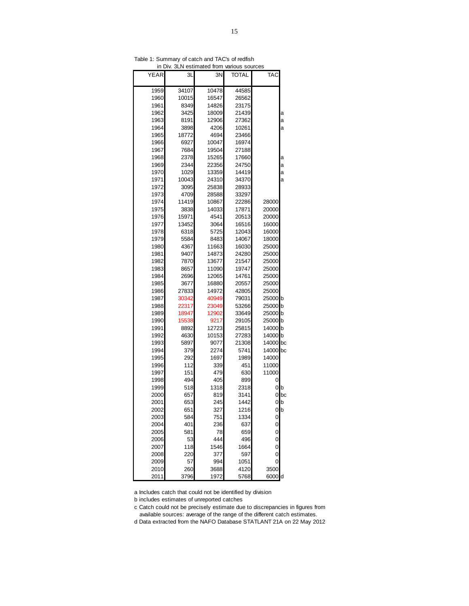| . .          |       | iiliateu<br>11 VI 11 | VallUUS S |                             |    |
|--------------|-------|----------------------|-----------|-----------------------------|----|
| YEAR         | 3L    | 3N                   | TOTAL     | TAC                         |    |
| 1959         | 34107 | 10478                | 44585     |                             |    |
| 1960         | 10015 | 16547                | 26562     |                             |    |
| 1961         | 8349  | 14826                | 23175     |                             |    |
| 1962         | 3425  | 18009                | 21439     |                             | а  |
| 1963         | 8191  | 12906                | 27362     |                             | а  |
| 1964         | 3898  | 4206                 | 10261     |                             | a  |
| 1965         | 18772 | 4694                 | 23466     |                             |    |
| 1966         | 6927  | 10047                | 16974     |                             |    |
| 1967         | 7684  | 19504                | 27188     |                             |    |
| 1968         | 2378  | 15265                | 17660     |                             | а  |
| 1969         | 2344  | 22356                | 24750     |                             | a  |
| 1970         | 1029  | 13359                | 14419     |                             | а  |
| 1971         | 10043 | 24310                | 34370     |                             | a  |
| 1972         | 3095  | 25838                | 28933     |                             |    |
| 1973         | 4709  | 28588                | 33297     |                             |    |
| 1974         | 11419 | 10867                | 22286     | 28000                       |    |
| 1975         | 3838  | 14033                | 17871     | 20000                       |    |
| 1976         | 15971 | 4541                 | 20513     | 20000                       |    |
| 1977         | 13452 | 3064                 | 16516     | 16000                       |    |
| 1978         | 6318  | 5725                 | 12043     | 16000                       |    |
| 1979         | 5584  | 8483                 | 14067     | 18000                       |    |
| 1980         | 4367  | 11663                | 16030     | 25000                       |    |
| 1981         | 9407  | 14873                | 24280     | 25000                       |    |
| 1982         | 7870  | 13677                | 21547     | 25000                       |    |
| 1983         | 8657  | 11090                | 19747     | 25000                       |    |
| 1984         | 2696  | 12065                | 14761     | 25000                       |    |
| 1985         | 3677  | 16880                | 20557     | 25000                       |    |
| 1986         | 27833 | 14972                | 42805     | 25000                       |    |
| 1987         | 30342 | 40949                | 79031     | 25000                       | Ib |
| 1988         | 22317 | 23049                | 53266     | 25000                       | lb |
| 1989         | 18947 | 12902                | 33649     | 25000                       | lb |
| 1990         | 15538 | 9217                 | 29105     | 25000 <sub>b</sub>          |    |
| 1991         | 8892  | 12723                | 25815     | 14000 b                     |    |
| 1992         | 4630  | 10153                | 27283     | 14000                       | Ib |
| 1993         | 5897  | 9077                 | 21308     | 14000 bc                    |    |
| 1994         | 379   | 2274                 | 5741      | 14000                       | bc |
| 1995         | 292   | 1697                 | 1989      | 14000                       |    |
| 1996         | 112   | 339                  | 451       | 11000                       |    |
| 1997         | 151   | 479                  | 630       | 11000                       |    |
| 1998         | 494   | 405                  | 899       | 0                           |    |
| 1999         | 518   | 1318                 | 2318      | 0                           | b  |
| 2000         | 657   | 819                  | 3141      | 0                           | bc |
| 2001         | 653   | 245                  | 1442      | 0                           | b  |
| 2002         | 651   | 327                  | 1216      | 0                           | h  |
| 2003         | 584   | 751                  | 1334      | $\mathbf 0$                 |    |
| 2004         | 401   | 236                  | 637       | $\mathbf{0}$                |    |
| 2005         | 581   | 78<br>444            | 659       | $\mathbf{0}$                |    |
| 2006         | 53    |                      | 496       | $\mathbf{0}$                |    |
| 2007         | 118   | 1546<br>377          | 1664      | $\mathbf{0}$<br>$\mathbf 0$ |    |
| 2008         | 220   |                      | 597       | 0                           |    |
| 2009<br>2010 | 57    | 994                  | 1051      | 3500                        |    |
|              | 260   | 3688                 | 4120      |                             |    |
| 2011         | 3796  | 1972                 | 5768      | 6000 d                      |    |

Table 1: Summary of catch and TAC's of redfish in  $Div$  3LN estimated from

a Includes catch that could not be identified by division

b includes estimates of unreported catches

c Catch could not be precisely estimate due to discrepancies in figures from available sources: average of the range of the different catch estimates.

d Data extracted from the NAFO Database STATLANT 21A on 22 May 2012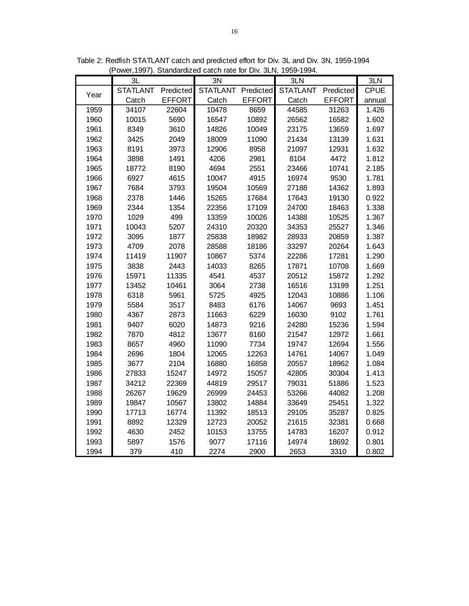|      | 3L              |               | 3N              |               | 3LN             |               | 3LN         |
|------|-----------------|---------------|-----------------|---------------|-----------------|---------------|-------------|
| Year | <b>STATLANT</b> | Predicted     | <b>STATLANT</b> | Predicted     | <b>STATLANT</b> | Predicted     | <b>CPUE</b> |
|      | Catch           | <b>EFFORT</b> | Catch           | <b>EFFORT</b> | Catch           | <b>EFFORT</b> | annual      |
| 1959 | 34107           | 22604         | 10478           | 8659          | 44585           | 31263         | 1.426       |
| 1960 | 10015           | 5690          | 16547           | 10892         | 26562           | 16582         | 1.602       |
| 1961 | 8349            | 3610          | 14826           | 10049         | 23175           | 13659         | 1.697       |
| 1962 | 3425            | 2049          | 18009           | 11090         | 21434           | 13139         | 1.631       |
| 1963 | 8191            | 3973          | 12906           | 8958          | 21097           | 12931         | 1.632       |
| 1964 | 3898            | 1491          | 4206            | 2981          | 8104            | 4472          | 1.812       |
| 1965 | 18772           | 8190          | 4694            | 2551          | 23466           | 10741         | 2.185       |
| 1966 | 6927            | 4615          | 10047           | 4915          | 16974           | 9530          | 1.781       |
| 1967 | 7684            | 3793          | 19504           | 10569         | 27188           | 14362         | 1.893       |
| 1968 | 2378            | 1446          | 15265           | 17684         | 17643           | 19130         | 0.922       |
| 1969 | 2344            | 1354          | 22356           | 17109         | 24700           | 18463         | 1.338       |
| 1970 | 1029            | 499           | 13359           | 10026         | 14388           | 10525         | 1.367       |
| 1971 | 10043           | 5207          | 24310           | 20320         | 34353           | 25527         | 1.346       |
| 1972 | 3095            | 1877          | 25838           | 18982         | 28933           | 20859         | 1.387       |
| 1973 | 4709            | 2078          | 28588           | 18186         | 33297           | 20264         | 1.643       |
| 1974 | 11419           | 11907         | 10867           | 5374          | 22286           | 17281         | 1.290       |
| 1975 | 3838            | 2443          | 14033           | 8265          | 17871           | 10708         | 1.669       |
| 1976 | 15971           | 11335         | 4541            | 4537          | 20512           | 15872         | 1.292       |
| 1977 | 13452           | 10461         | 3064            | 2738          | 16516           | 13199         | 1.251       |
| 1978 | 6318            | 5961          | 5725            | 4925          | 12043           | 10886         | 1.106       |
| 1979 | 5584            | 3517          | 8483            | 6176          | 14067           | 9693          | 1.451       |
| 1980 | 4367            | 2873          | 11663           | 6229          | 16030           | 9102          | 1.761       |
| 1981 | 9407            | 6020          | 14873           | 9216          | 24280           | 15236         | 1.594       |
| 1982 | 7870            | 4812          | 13677           | 8160          | 21547           | 12972         | 1.661       |
| 1983 | 8657            | 4960          | 11090           | 7734          | 19747           | 12694         | 1.556       |
| 1984 | 2696            | 1804          | 12065           | 12263         | 14761           | 14067         | 1.049       |
| 1985 | 3677            | 2104          | 16880           | 16858         | 20557           | 18962         | 1.084       |
| 1986 | 27833           | 15247         | 14972           | 15057         | 42805           | 30304         | 1.413       |
| 1987 | 34212           | 22369         | 44819           | 29517         | 79031           | 51886         | 1.523       |
| 1988 | 26267           | 19629         | 26999           | 24453         | 53266           | 44082         | 1.208       |
| 1989 | 19847           | 10567         | 13802           | 14884         | 33649           | 25451         | 1.322       |
| 1990 | 17713           | 16774         | 11392           | 18513         | 29105           | 35287         | 0.825       |
| 1991 | 8892            | 12329         | 12723           | 20052         | 21615           | 32381         | 0.668       |
| 1992 | 4630            | 2452          | 10153           | 13755         | 14783           | 16207         | 0.912       |
| 1993 | 5897            | 1576          | 9077            | 17116         | 14974           | 18692         | 0.801       |
| 1994 | 379             | 410           | 2274            | 2900          | 2653            | 3310          | 0.802       |

Table 2: Redfish STATLANT catch and predicted effort for Div. 3L and Div. 3N, 1959-1994 (Power, 1997). Standardized catch rate for Div. 3LN, 1959-1994.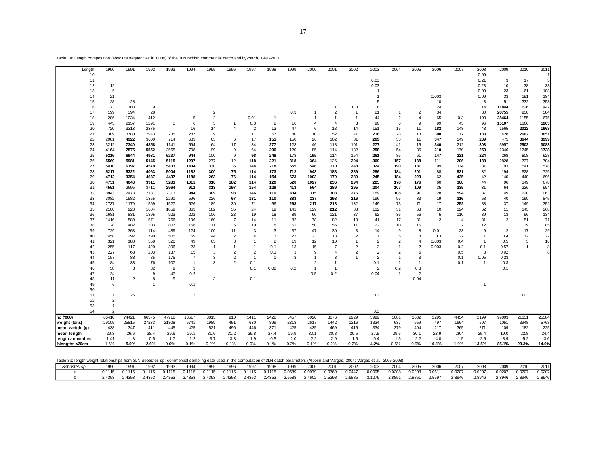| Length           | 1990  |                | 1991           | 1992  | 1993  | 1994           | 1995           | 1996           | 1997           | 1998           | 1999 | 2000           | 2001           | 2002           | 2003           | 2004           | 2005           | 2006           | 2007           | 2008           | 2009           | 2010   | 2011   |
|------------------|-------|----------------|----------------|-------|-------|----------------|----------------|----------------|----------------|----------------|------|----------------|----------------|----------------|----------------|----------------|----------------|----------------|----------------|----------------|----------------|--------|--------|
| 10               |       |                |                |       |       |                |                |                |                |                |      |                |                |                |                |                |                |                |                | 0.09           |                |        |        |
| 11               |       |                |                |       |       |                |                |                |                |                |      |                |                |                | 0.03           |                |                |                |                | 0.21           | 3              | 17     |        |
| 12               |       | 12             |                |       |       |                |                |                |                |                |      |                |                |                | 0.03           |                |                |                |                | 0.23           | 10             | 38     | 33     |
| 13               |       | 6              |                |       |       |                |                |                |                |                |      |                |                |                |                |                |                |                |                | 0.09           | 23             | 61     | 108    |
| 14               |       | 21             |                |       |       |                |                |                |                |                |      |                |                |                |                |                |                | 0.003          |                | 0.09           | 33             | 191    | 184    |
| 15               |       | 28             | 28             |       |       |                |                |                |                |                |      |                |                |                | 5              |                |                | 10             |                | 3              | 51             | 332    | 353    |
| 16               |       | 73             | 103            | 9     |       |                |                |                |                |                |      |                | $\mathbf{1}$   | 0.3            | 8              |                |                | 24             |                | 14             | 11844          | 626    | 442    |
| 17               |       | 199            | 394            | 28    |       |                | $\overline{2}$ |                |                |                | 0.3  |                | $\overline{2}$ | $\overline{1}$ | 21             | $\overline{1}$ | $\overline{2}$ | 34             |                | 80             | 28755          | 950    | 584    |
| 18               |       | 286            | 1034           | 412   |       | 5              | $\overline{2}$ |                | 0.01           | $\overline{1}$ |      |                | $\mathbf{1}$   | 1              | 44             | $\overline{2}$ | $\overline{4}$ | 65             | 0.3            | 103            | 28464          | 1155   | 675    |
| 19               |       | 445            | 2157           | 1291  | 5     | 6              | 3              |                | 0.3            | $\overline{2}$ | 16   | $\overline{4}$ | $\overline{4}$ | 3              | 90             | 6              | 9              | 99             | 43             | 96             | 15107          | 1666   | 1203   |
| 20               |       | 720            | 3313           | 2375  |       | 16             | 14             | $\overline{4}$ | $\overline{2}$ | 13             | 47   | 6              | 18             | 14             | 151            | 15             | 11             | 182            | 143            | 43             | 1565           | 2012   | 1968   |
| 21               | 1309  |                | 3780           | 2943  | 235   | 287            | 9              |                | 11             | 57             | 80   | 10             | 52             | 41             | 218            | 28             | 13             | 300            | 77             | 133            | 428            | 2662   | 3051   |
| 22               | 2081  |                | 4922           | 3600  | 714   | 683            | 65             | 6              | 17             | 151            | 150  | 26             | 102            | 81             | 269            | 35             | 11             | 347            | 149            | 239            | 475            | 3644   | 3999   |
| 23               | 3212  |                | 7340           | 4358  | 1141  | 594            | 64             | 17             | 34             | 277            | 128  | 46             | 118            | 101            | 277            | 41             | 16             | 340            | 212            | 303            | 5957           | 2502   | 3083   |
| 24               | 4164  |                | 7575           | 5552  | 2565  | 708            | 99             | 9              | 64             | 296            | 120  | 85             | 114            | 132            | 258            | 54             | 35             | 210            | 170            | 253            | 2346           | 1245   | 1728   |
| 25               | 5216  |                | 6944           | 4981  | 5237  | 944            | 100            | 9              | 98             | 248            | 178  | 195            | 114            | 154            | 261            | 85             | 61             | 147            | 221            | 224            | 268            | 808    | 928    |
| 26               | 5560  |                | 5981           | 5145  | 5115  | 1297           | 277            | 12             | 118            | 221            | 318  | 364            | 126            | 204            | 309            | 157            | 138            | 111            | 206            | 138            | 2828           | 737    | 704    |
| 27               | 5410  |                | 6197           | 4579  | 5433  | 1404           | 330            | 35             | 144            | 218            | 555  | 546            | 170            | 248            | 324            | 190            | 181            | 99             | 134            | 81             | 193            | 541    | 578    |
| 28               | 5217  |                | 5322           | 4063  | 5004  | 1182           | 300            | 75             | 114            | 173            | 712  | 943            | 188            | 289            | 286            | 184            | 201            | 88             | 521            | 32             | 194            | 528    | 725    |
| 29               |       | 4712           | 3354           | 4637  | 4437  | 1188           | 263            | 76             | 114            | 154            | 673  | 1003           | 179            | 289            | 245            | 184            | 223            | 62             | 425            | 42             | 140            | 440    | 696    |
| 30               | 4751  |                | 4043           | 3911  | 3283  | 1011           | 310            | 182            | 114            | 120            | 520  | 1027           | 236            | 294            | 225            | 178            | 176            | 60             | 368            | 44             | 96             | 349    | 678    |
| 31               | 4551  |                | 2695           | 3711  | 2964  | 912            | 313            | 197            | 154            | 129            | 413  | 564            | 289            | 295            | 204            | 107            | 109            | 35             | 335            | 31             | 64             | 226    | 954    |
| 32               | 3943  |                | 2478           | 2187  | 2313  | 944            | 309            | 98             | 146            | 119            | 434  | 315            | 303            | 276            | 189            | 108            | 91             | 28             | 594            | 37             | 49             | 220    | 1063   |
| 33               | 3082  |                | 1582           | 1355  | 2291  | 596            | 226            | 67             | 131            | 110            | 383  | 237            | 298            | 216            | 196            | 95             | 83             | 19             | 316            | 58             | 40             | 190    | 845    |
| 34               | 2737  |                | 1179           | 1569  | 1527  | 526            | 189            | 30             | 71             | 66             | 268  | 217            | 218            | 132            | 149            | 73             | 71             | 17             | 252            | 83             | 37             | 149    | 352    |
| 35               | 2100  |                | 928            | 1604  | 1059  | 363            | 182            | 35             | 24             | 19             | 141  | 129            | 212            | 83             | 112            | 51             | 63             | 10             | 124            | 62             | 11             | 143    | 268    |
| 36               | 1681  |                | 831            | 1895  | 923   | 202            | 106            | 23             | 19             | 18             | 89   | 60             | 121            | 37             | 62             | 36             | 56             | 5              | 110            | 39             | 13             | 96     | 134    |
| 37               | 1416  |                | 580            | 1571  | 766   | 196            | 160            | $\overline{7}$ | 14             | 11             | 82   | 78             | 82             | 18             | 41             | 17             | 31             | $\overline{2}$ | $\overline{4}$ | 31             | $\overline{2}$ | 51     | 71     |
| 38               | 1128  |                | 482            | 1303  | 807   | 158            | 171            | 5              | 10             | 8              | 51   | 50             | 55             | 11             | 22             | 10             | 15             | $\overline{1}$ | $\overline{2}$ | 12             |                | 39     | 85     |
| 39               |       | 729            | 363            | 1114  | 489   | 124            | 100            | 11             | 3              | 3              | 37   | 47             | 30             | 3              | 14             | 9              | 8              | 0.01           | 23             | 9              | $\overline{2}$ | 17     | 29     |
| 40               |       | 458            | 292            | 790   | 505   | 69             | 144            | $\overline{2}$ |                | 3              | 23   | 23             | 18             | $\overline{2}$ | $\overline{7}$ | 5              | 8              | 0.3            | 22             | $\overline{1}$ | 0.4            | 12     | 27     |
|                  |       | 321            | 188            | 558   | 320   | 49             | 63             | 3              |                | $\overline{2}$ | 19   | 12             | 10             |                | $\overline{2}$ | $\overline{2}$ | $\overline{4}$ | 0.003          | 0.4            | $\overline{1}$ | 0.5            | 3      |        |
| 42               |       | 255            | 117            | 420   | 306   | 23             |                |                | $\mathbf{1}$   | 0.1            | 13   | 15             | $\overline{7}$ | $\overline{2}$ | 3              | 1              | $\overline{2}$ | 0.003          | 0.2            | 0.1            | 0.57           | 1      | 16     |
| 43               |       | 227            | 68             | 203   | 137   | 15             | 3              | $\overline{2}$ | $\overline{2}$ | 0.1            | 3    | 9              | 4              | $\overline{2}$ | $\overline{2}$ | $\overline{2}$ | 6              |                | 0.5            | 3              | 0.02           |        |        |
|                  |       | 157            | 83             | 85    | 175   | $\overline{7}$ | 3              | $\overline{2}$ | $\overline{1}$ | $\overline{1}$ | 3    | $\overline{1}$ | 3              |                | $\overline{2}$ | $\overline{1}$ | 3              |                | 0.1            | 0.05           | 0.23           |        |        |
| 45               |       | 84             | 33             | 76    | 107   | $\overline{1}$ | 3              | $\overline{2}$ | 0.1            |                |      | $\overline{2}$ | $\mathbf{1}$   |                | 0.1            | $\overline{1}$ | $\overline{1}$ |                | 0.1            | $\overline{1}$ | 0.3            |        |        |
| 46               |       | 58             | 8              | 32    | 9     | 3              |                |                | 0.1            | 0.02           | 0.2  | $\overline{1}$ | $\overline{1}$ |                | $\overline{2}$ | 0.2            | 0.3            |                |                |                | 0.1            |        |        |
|                  |       | 24             |                | 9     | 47    | 0.2            |                |                |                |                |      | 0.5            | 0.2            |                | 0.04           | $\overline{1}$ | $\overline{2}$ |                |                |                |                |        |        |
| 48               |       | 11             | $\overline{2}$ | 8     | 5     |                | 3              |                | 0.1            |                |      |                |                |                |                |                | 0.04           |                |                |                |                |        |        |
|                  |       | 6              |                | 1     |       | 0.1            |                |                |                |                |      |                |                |                |                |                |                |                |                | $\mathbf{1}$   |                |        |        |
| 50               |       |                |                |       |       |                |                |                |                |                |      |                |                |                |                |                |                |                |                |                |                |        |        |
| 51               |       | $\overline{1}$ | 25             |       |       | $\overline{2}$ |                |                |                |                |      |                |                |                | 0.3            |                |                |                |                |                |                | 0.03   |        |
| 52               |       | $\overline{2}$ |                |       |       |                |                |                |                |                |      |                |                |                |                |                |                |                |                |                |                |        |        |
| 53               |       | $\overline{1}$ |                |       |       |                |                |                |                |                |      |                |                |                |                |                |                |                |                |                |                |        |        |
| 54               |       | $\overline{2}$ |                |       |       |                |                |                |                |                |      |                |                |                | 0.3            |                |                |                |                |                |                |        |        |
| no ('000)        | 66410 |                | 74421          | 66375 | 47918 | 13517          | 3815           | 910            | 1411           | 2422           | 5457 | 6020           | 3076           | 2929           | 3999           | 1681           | 1632           | 2295           | 4454           | 2199           | 99003          | 21651  | 25584  |
| weight (tons)    | 29105 |                | 25815          | 27283 | 21308 | 5741           | 1989           | 451            | 630            | 899            | 2318 | 2617           | 1442           | 1216           | 1334           | 637            | 659            | 497            | 1664           | 597            | 1051           | 3948   | 5768   |
| mean weight (g)  |       | 438            | 347            | 411   | 445   | 425            | 521            | 496            | 446            | 371            | 425  | 435            | 469            | 415            | 334            | 379            | 404            | 217            | 365            | 271            | 109            | 182    | 225    |
| mean length      |       | 29.3           | 26.6           | 28.4  | 29.6  | 29.1           | 31.6           | 31.2           | 29.8           | 27.4           | 29.9 | 30.1           | 30.8           | 29.5           | 27.5           | 29.5           | 30.1           | 23.9           | 29.4           | 25.4           | 19.0           | 22.8   | 24.4   |
| length anomalies |       | 1.41           | $-1.3$         | 0.5   | 1.7   | 1.2            | 3.7            | 3.3            | 1.9            | $-0.5$         | 2.0  | 2.2            | 2.9            | 1.6            | $-0.4$         | 1.5            | 2.2            | $-4.0$         | 1.5            | $-2.5$         | $-8.9$         | $-5.2$ | $-3.6$ |
| %lengths <20cm   | 1.6%  |                | 5.0%           | 2.6%  | 0.0%  | 0.1%           | 0.2%           | 0.1%           | 0.0%           | 0.1%           | 0.3% | 0.1%           | 0.2%           | 0.2%           | 4.2%           | 0.5%           | 0.9%           | 10.1%          | 1.0%           | 13.5%          | 85.1%          | 23.3%  | 14.0%  |

Table 3a: Length composition (absolute frequencies in '000s) of the 3LN redfish commercial catch and by-catch, 1990-2011.

 $\overline{a}$ 

Table 3b: length weight relationships from 3LN Sebastes sp. commercial sampling data used in the computation of 3LN catch parameters (Alpoim and Vargas, 2004; Vargas et al., 2005-2008)

| Sebastes sp. | 1990   | 199 <sup>°</sup> | 1992   | 1993   | 1994   | 1995   | 1996   | 1997   | 1998   | 1999   | 2000   | 2001   | 2002   | 2003   |        | 2005   | 2006   | 2007   | 2008   | 2009   | 2010   | 2011   |
|--------------|--------|------------------|--------|--------|--------|--------|--------|--------|--------|--------|--------|--------|--------|--------|--------|--------|--------|--------|--------|--------|--------|--------|
|              | 0.1115 | 0.1115           | 0.1115 | 0.1115 | 0.1115 | 0.1115 | 0.1115 | 0.1115 | 0.1115 | 0.0689 | 0.0979 | 0.0769 | 0.0447 | 0.0095 | 0.0208 | 0.0208 | 0.0611 | 0.0207 | 0.0207 | 0.0207 | 0.0207 | 0.0207 |
|              | 2.435  | 2.4353           | 2.4353 | 2.4353 | 2.4353 | 2.4353 | 2.4353 | 2.4353 | 2.4353 | 2.5588 | 2.4602 | 2.5298 | 2.6885 | 3.1279 | 2.8851 | 2.8851 | 2.5597 | 2.8946 | 2.8946 | 2.8946 | 2.8946 | 2.8946 |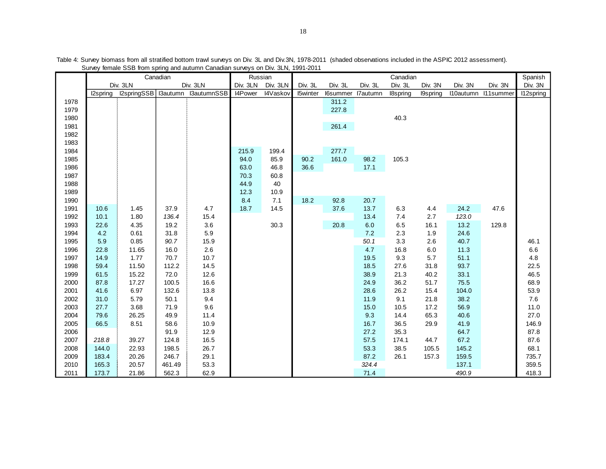|      |          |             | Canadian | <b>Ourloy Tomaio OOD inom opinity and adidition Ourlouidit Surveys On Div. OLIV, TOOT LOTT</b> |         | Russian           |                 |                   |         | Canadian |                  |         |                     | Spanish   |
|------|----------|-------------|----------|------------------------------------------------------------------------------------------------|---------|-------------------|-----------------|-------------------|---------|----------|------------------|---------|---------------------|-----------|
|      |          | Div. 3LN    |          | Div. 3LN                                                                                       |         | Div. 3LN Div. 3LN | Div. 3L         | Div. 3L           | Div. 3L | Div. 3L  | Div. 3N          | Div. 3N | Div. 3N             | Div. 3N   |
|      | I2spring | I2springSSB |          | I3autumn I3autumnSSB                                                                           | I4Power | I4Vaskov          | <b>I5winter</b> | I6summer I7autumn |         | I8spring | <b>I</b> 9spring |         | I10autumn I11summer | I12spring |
| 1978 |          |             |          |                                                                                                |         |                   |                 | 311.2             |         |          |                  |         |                     |           |
| 1979 |          |             |          |                                                                                                |         |                   |                 | 227.8             |         |          |                  |         |                     |           |
| 1980 |          |             |          |                                                                                                |         |                   |                 |                   |         | 40.3     |                  |         |                     |           |
| 1981 |          |             |          |                                                                                                |         |                   |                 | 261.4             |         |          |                  |         |                     |           |
| 1982 |          |             |          |                                                                                                |         |                   |                 |                   |         |          |                  |         |                     |           |
| 1983 |          |             |          |                                                                                                |         |                   |                 |                   |         |          |                  |         |                     |           |
| 1984 |          |             |          |                                                                                                | 215.9   | 199.4             |                 | 277.7             |         |          |                  |         |                     |           |
| 1985 |          |             |          |                                                                                                | 94.0    | 85.9              | 90.2            | 161.0             | 98.2    | 105.3    |                  |         |                     |           |
| 1986 |          |             |          |                                                                                                | 63.0    | 46.8              | 36.6            |                   | 17.1    |          |                  |         |                     |           |
| 1987 |          |             |          |                                                                                                | 70.3    | 60.8              |                 |                   |         |          |                  |         |                     |           |
| 1988 |          |             |          |                                                                                                | 44.9    | 40                |                 |                   |         |          |                  |         |                     |           |
| 1989 |          |             |          |                                                                                                | 12.3    | 10.9              |                 |                   |         |          |                  |         |                     |           |
| 1990 |          |             |          |                                                                                                | 8.4     | 7.1               | 18.2            | 92.8              | 20.7    |          |                  |         |                     |           |
| 1991 | 10.6     | 1.45        | 37.9     | 4.7                                                                                            | 18.7    | 14.5              |                 | 37.6              | 13.7    | 6.3      | 4.4              | 24.2    | 47.6                |           |
| 1992 | 10.1     | 1.80        | 136.4    | 15.4                                                                                           |         |                   |                 |                   | 13.4    | 7.4      | 2.7              | 123.0   |                     |           |
| 1993 | 22.6     | 4.35        | 19.2     | 3.6                                                                                            |         | 30.3              |                 | 20.8              | 6.0     | 6.5      | 16.1             | 13.2    | 129.8               |           |
| 1994 | 4.2      | 0.61        | 31.8     | 5.9                                                                                            |         |                   |                 |                   | 7.2     | 2.3      | 1.9              | 24.6    |                     |           |
| 1995 | 5.9      | 0.85        | 90.7     | 15.9                                                                                           |         |                   |                 |                   | 50.1    | 3.3      | 2.6              | 40.7    |                     | 46.1      |
| 1996 | 22.8     | 11.65       | 16.0     | 2.6                                                                                            |         |                   |                 |                   | 4.7     | 16.8     | 6.0              | 11.3    |                     | 6.6       |
| 1997 | 14.9     | 1.77        | 70.7     | 10.7                                                                                           |         |                   |                 |                   | 19.5    | 9.3      | 5.7              | 51.1    |                     | 4.8       |
| 1998 | 59.4     | 11.50       | 112.2    | 14.5                                                                                           |         |                   |                 |                   | 18.5    | 27.6     | 31.8             | 93.7    |                     | 22.5      |
| 1999 | 61.5     | 15.22       | 72.0     | 12.6                                                                                           |         |                   |                 |                   | 38.9    | 21.3     | 40.2             | 33.1    |                     | 46.5      |
| 2000 | 87.8     | 17.27       | 100.5    | 16.6                                                                                           |         |                   |                 |                   | 24.9    | 36.2     | 51.7             | 75.5    |                     | 68.9      |
| 2001 | 41.6     | 6.97        | 132.6    | 13.8                                                                                           |         |                   |                 |                   | 28.6    | 26.2     | 15.4             | 104.0   |                     | 53.9      |
| 2002 | 31.0     | 5.79        | 50.1     | 9.4                                                                                            |         |                   |                 |                   | 11.9    | 9.1      | 21.8             | 38.2    |                     | 7.6       |
| 2003 | 27.7     | 3.68        | 71.9     | 9.6                                                                                            |         |                   |                 |                   | 15.0    | 10.5     | 17.2             | 56.9    |                     | 11.0      |
| 2004 | 79.6     | 26.25       | 49.9     | 11.4                                                                                           |         |                   |                 |                   | 9.3     | 14.4     | 65.3             | 40.6    |                     | 27.0      |
| 2005 | 66.5     | 8.51        | 58.6     | 10.9                                                                                           |         |                   |                 |                   | 16.7    | 36.5     | 29.9             | 41.9    |                     | 146.9     |
| 2006 |          |             | 91.9     | 12.9                                                                                           |         |                   |                 |                   | 27.2    | 35.3     |                  | 64.7    |                     | 87.8      |
| 2007 | 218.8    | 39.27       | 124.8    | 16.5                                                                                           |         |                   |                 |                   | 57.5    | 174.1    | 44.7             | 67.2    |                     | 87.6      |
| 2008 | 144.0    | 22.93       | 198.5    | 26.7                                                                                           |         |                   |                 |                   | 53.3    | 38.5     | 105.5            | 145.2   |                     | 68.1      |
| 2009 | 183.4    | 20.26       | 246.7    | 29.1                                                                                           |         |                   |                 |                   | 87.2    | 26.1     | 157.3            | 159.5   |                     | 735.7     |
| 2010 | 165.3    | 20.57       | 461.49   | 53.3                                                                                           |         |                   |                 |                   | 324.4   |          |                  | 137.1   |                     | 359.5     |
| 2011 | 173.7    | 21.86       | 562.3    | 62.9                                                                                           |         |                   |                 |                   | 71.4    |          |                  | 490.9   |                     | 418.3     |

Table 4: Survey biomass from all stratified bottom trawl surveys on Div. 3L and Div.3N, 1978-2011 (shaded observations included in the ASPIC 2012 assessment). Survey female SSB from spring and autumn Canadian surveys on Div. 3LN, 1991-2011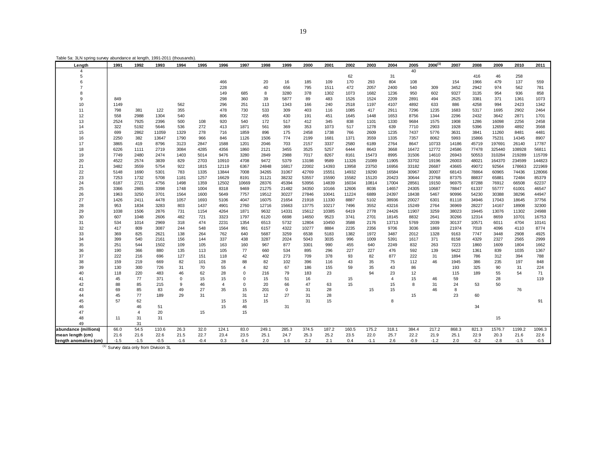| Length                                    | 1991   | 1992           | 1993                                             | 1994        | 1995   | 1996           | 1997           | 1998  | 1999        | 2000  | 2001  | 2002  | 2003   | 2004           | 2005   | $2006^{(1)}$ | 2007  | 2008   | 2009   | 2010   | 2011   |
|-------------------------------------------|--------|----------------|--------------------------------------------------|-------------|--------|----------------|----------------|-------|-------------|-------|-------|-------|--------|----------------|--------|--------------|-------|--------|--------|--------|--------|
| $\overline{A}$                            |        |                |                                                  |             |        |                |                |       |             |       |       |       |        |                | 40     |              |       |        |        |        |        |
| 5                                         |        |                |                                                  |             |        |                |                |       |             |       |       | 62    |        | 31             |        |              |       | 416    | 46     | 258    |        |
| 6                                         |        |                |                                                  |             |        | 466            |                | 20    | 16          | 185   | 109   | 170   | 293    | 804            | 108    |              | 154   | 1966   | 479    | 137    | 559    |
|                                           |        |                |                                                  |             |        | 228            |                | 40    | 656         | 795   | 1511  | 472   | 2057   | 2400           | 540    | 309          | 3452  | 2942   | 974    | 562    | 781    |
|                                           |        |                |                                                  |             |        | 149            | 685            | 8     | 3280        | 378   | 1302  | 1073  | 1682   | 1236           | 950    | 602          | 9327  | 3135   | 954    | 936    | 858    |
| 9                                         | 849    |                |                                                  |             |        | 298            | 360            | 39    | 5877        | 89    | 483   | 1526  | 1524   | 2209           | 2891   | 494          | 2625  | 3381   | 371    | 1361   | 1073   |
| 10                                        | 1149   |                |                                                  | 562         |        | 296            | 251            | 113   | 1343        | 166   | 240   | 2518  | 1197   | 4107           | 4892   | 633          | 886   | 4258   | 994    | 2423   | 1342   |
| 11                                        | 798    | 381            | 122                                              | 355         |        | 478            | 730            | 533   | 309         | 403   | 116   | 1085  | 417    | 2911           | 7296   | 1235         | 1683  | 5317   | 1695   | 2902   | 2464   |
| 12                                        | 558    | 2988           | 1304                                             | 540         |        | 806            | 722            | 455   | 430         | 191   | 451   | 1645  | 1448   | 1653           | 8756   | 1344         | 2296  | 2432   | 3642   | 2871   | 1701   |
| 13                                        | 2524   | 7925           | 2396                                             | 500         | 108    | 920            | 540            | 172   | 517         | 412   | 345   | 838   | 1101   | 1330           | 9684   | 1575         | 1908  | 1286   | 16098  | 2256   | 2458   |
| 14                                        | 322    | 5192           | 5646                                             | 536         | 272    | 413            | 1871           | 561   | 369         | 353   | 1073  | 517   | 1278   | 639            | 7710   | 2903         | 1928  | 5396   | 12659  | 4892   | 3568   |
| 15                                        | 699    | 2862           | 11059                                            | 1329        | 278    | 716            | 1859           | 896   | 175         | 2458  | 1738  | 766   | 2609   | 1235           | 7437   | 5776         | 3631  | 3841   | 11260  | 8481   | 4481   |
| 16                                        | 2250   | 382            | 13647                                            | 1790        | 966    | 846            | 1126           | 1506  | 774         | 2199  | 1681  | 1371  | 3559   | 1335           | 7357   | 8062         | 5993  | 15866  | 75231  | 14345  | 8907   |
| 17                                        | 3865   | 419            | 8796                                             | 3123        | 2847   | 1588           | 1201           | 2046  | 703         | 2157  | 3337  | 2580  | 6189   | 2764           | 8647   | 10733        | 14186 | 45719  | 197691 | 26140  | 17787  |
| 18                                        | 6226   | 1111           | 2719                                             | 3084        | 4285   | 4356           | 1860           | 2121  | 3455        | 3525  | 5257  | 6444  | 8643   | 3668           | 16472  | 12772        | 24586 | 77478  | 325440 | 108928 | 56811  |
| 19                                        | 7749   | 2480           | 2474                                             | 1403        | 5014   | 9476           | 3280           | 2849  | 2988        | 7017  | 8267  | 8161  | 15473  | 8995           | 31506  | 14610        | 26943 | 50553  | 310284 | 219289 | 115709 |
| 20                                        | 4522   | 2574           | 3839                                             | 829         | 2703   | 10910          | 4708           | 9472  | 5379        | 13198 | 9589  | 11326 | 21089  | 11905          | 33702  | 19196        | 26003 | 48021  | 164370 | 234599 | 144823 |
| 21                                        | 3482   | 3559           | 5754                                             | 922         | 1815   | 12119          | 6367           | 24848 | 16817       | 22002 | 14393 | 13958 | 23750  | 16956          | 33182  | 26687        | 43665 | 49072  | 92564  | 178663 | 221969 |
| 22                                        | 5148   | 1690           | 5301                                             | 783         | 1335   | 13844          | 7008           | 34265 | 31067       | 42769 | 15551 | 14932 | 19290  | 16584          | 30967  | 30007        | 68143 | 78864  | 60965  | 74436  | 128066 |
| 23                                        | 7253   | 1732           | 5708                                             | 1181        | 1257   | 16629          | 8191           | 31121 | 38232       | 53557 | 15590 | 15582 | 15120  | 20423          | 30644  | 23768        | 87375 | 88837  | 65881  | 72484  | 85379  |
| 24                                        | 6187   | 2721           | 4756                                             | 1498        | 1359   | 12502          | 10669          | 28376 | 45394       | 53956 | 14839 | 16034 | 10814  | 17004          | 28561  | 19150        | 96975 | 87288  | 76912  | 66508  | 62237  |
| 25                                        | 3366   | 2865           | 3398                                             | 1748        | 1004   | 8318           | 9469           | 21275 | 21482       | 34350 | 10166 | 12606 | 8036   | 14657          | 24305  | 10687        | 78847 | 61337  | 55777  | 61001  | 46547  |
| 26                                        | 1963   | 3250           | 3701                                             | 1564        | 1600   | 5649           | 7757           | 19512 | 30227       | 27846 | 10041 | 11224 | 6889   | 24397          | 18438  | 5467         | 90996 | 54230  | 30388  | 38296  | 44947  |
| 27                                        | 1426   | 2411           | 4478                                             | 1057        | 1693   | 5106           | 4047           | 16075 | 21654       | 21918 | 11330 | 8887  | 5102   | 38936          | 20027  | 6301         | 81118 | 34946  | 17043  | 18645  | 37756  |
| 28                                        | 953    | 1834           | 3283                                             | 803         | 1437   | 4901           | 2760           | 12716 | 15663       | 13775 | 10217 | 7496  | 3552   | 43216          | 15249  | 2764         | 36969 | 28227  | 14167  | 18908  | 32300  |
| 29                                        | 1038   | 1506           | 2876                                             | 731         | 1154   | 4264           | 1871           | 9632  | 14331       | 15612 | 10385 | 6419  | 2778   | 24426          | 11907  | 3259         | 38023 | 19445  | 13076  | 11302  | 24988  |
| 30                                        | 607    | 1048           | 2606                                             | 482         | 721    | 3323           | 1797           | 6120  | 6698        | 14650 | 9523  | 3741  | 2701   | 18145          | 8832   | 2641         | 30266 | 12314  | 8659   | 10701  | 16753  |
| 31                                        | 534    | 1014           | 2969                                             | 318         | 474    | 2231           | 1354           | 6513  | 5732        | 12804 | 10450 | 3588  | 2176   | 13713          | 5769   | 2039         | 30137 | 10571  | 6011   | 4704   | 10141  |
| 32                                        | 417    | 809            | 3087                                             | 244         | 548    | 1564           | 991            | 6157  | 4322        | 10277 | 8884  | 2235  | 2356   | 9706           | 3036   | 1869         | 21974 | 7018   | 4096   | 4110   | 8774   |
| 33                                        | 369    | 825            | 2621                                             | 138         | 264    | 762            | 640            | 5687  | 3259        | 6538  | 5183  | 1382  | 1972   | 3487           | 2012   | 1328         | 9163  | 7747   | 3448   | 2908   | 4925   |
| 34                                        | 399    | 540            | 2161                                             | 156         | 144    | 337            | 438            | 3287  | 2024        | 5043  | 3035  | 996   | 1009   | 5391           | 1617   | 371          | 8158  | 4329   | 2327   | 2565   | 2999   |
| 35                                        | 251    | 544            | 1502                                             | 109         | 105    | 163            | 160            | 967   | 877         | 3301  | 990   | 455   | 640    | 2249           | 832    | 263          | 7223  | 1860   | 1609   | 1804   | 1662   |
| 36                                        | 190    | 366            | 880                                              | 135         | 113    | 105            | 77             | 660   | 534         | 895   | 296   | 227   | 227    | 476            | 592    | 139          | 9422  | 1361   | 839    | 1035   | 1367   |
| 37                                        | 222    | 216            | 696                                              | 127         | 151    | 118            | 42             | 402   | 273         | 709   | 378   | 93    | 82     | 877            | 222    | 31           | 1894  | 786    | 312    | 394    | 788    |
| 38                                        | 159    | 219            | 669                                              | 82          | 101    | 28             | 88             | 82    | 102         | 396   | 116   | 43    | 35     | 75             | 112    | 46           | 1945  | 386    | 235    | 197    | 848    |
| 39                                        | 130    | 300            | 726                                              | 31          | 70     | 55             | $\overline{4}$ | 82    | 67          | 186   | 155   | 59    | 35     | 43             | 86     |              | 193   | 325    | 90     | 31     | 224    |
| 40                                        | 118    | 220            | 483                                              | 46          | 62     | 28             | $\mathbf 0$    | 216   | 79          | 183   | 23    |       | 94     | 23             | 12     |              | 115   | 189    | 55     | 54     | 71     |
| 41                                        | 45     | 77             | 371                                              | $\mathbf 0$ | 15     | 15             | $\mathbf 0$    | 15    | 51          | 16    |       | 15    |        | $\overline{4}$ | 15     | 46           | 59    |        | 28     |        | 119    |
| 42                                        | 88     | 85             | 215                                              | 9           | 46     | $\overline{4}$ | $\mathbf 0$    | 20    | 66          | 47    | 63    | 15    |        | 15             | 8      | 31           | 24    | 53     | 50     |        |        |
| 43                                        | 69     | 85             | 83                                               | 49          | 27     | 35             | 15             | 201   | $\mathbf 0$ | 31    | 28    |       | 15     | 15             |        | 46           | 8     |        |        | 76     |        |
| 44                                        | 45     | 77             | 189                                              | 29          | 31     |                | 31             | 12    | 27          | 31    | 28    |       |        |                | 15     |              | 23    | 60     |        |        |        |
| 45                                        | 57     | 62             |                                                  |             |        | 15             | 15             | 15    |             | 31    | 15    |       |        | 8              |        |              |       |        |        |        | 91     |
| 46                                        |        | 46             | 51                                               |             |        | 15             | 46             |       | 31          |       |       |       |        |                |        |              |       | 34     |        |        |        |
| 47                                        |        | $\overline{4}$ | 20                                               |             | 15     |                | 15             |       |             |       |       |       |        |                |        |              |       |        |        |        |        |
| 48                                        | 11     | 31             | 31                                               |             |        |                |                |       |             |       |       |       |        |                |        |              |       |        | 15     |        |        |
| 49                                        |        | 31             |                                                  |             |        |                |                |       |             |       |       |       |        |                |        |              |       |        |        |        |        |
| abundance (millions)                      | 66.0   | 54.5           | 110.6                                            | 26.3        | 32.0   | 124.1          | 83.0           | 249.1 | 285.3       | 374.5 | 187.2 | 160.5 | 175.2  | 318.1          | 384.4  | 217.2        | 868.3 | 821.3  | 1576.7 | 1199.2 | 1096.3 |
|                                           | 21.6   | 21.6           | 22.6                                             | 21.5        | 22.7   | 23.4           | 23.5           | 25.1  | 24.7        | 25.3  | 25.2  | 23.5  | 22.0   | 25.7           | 22.2   | 21.9         | 25.1  | 22.9   | 20.3   | 21.6   | 22.6   |
| mean length (cm)<br>length anomalies (cm) | $-1.5$ | $-1.5$         | $-0.5$                                           | $-1.6$      | $-0.4$ | 0.3            | 0.4            | 2.0   | 1.6         | 2.2   | 2.1   | 0.4   | $-1.1$ | 2.6            | $-0.9$ | $-1.2$       | 2.0   | $-0.2$ | $-2.8$ | $-1.5$ | $-0.5$ |
|                                           |        |                |                                                  |             |        |                |                |       |             |       |       |       |        |                |        |              |       |        |        |        |        |
|                                           |        |                | <sup>(1)</sup> Survey data only from Division 3L |             |        |                |                |       |             |       |       |       |        |                |        |              |       |        |        |        |        |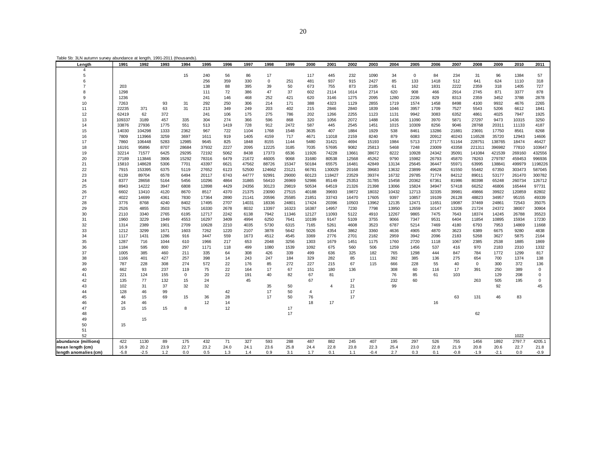| Table 5b: 3LN autumn survey abundance at length, 1991-2011 (thousands). |  |  |
|-------------------------------------------------------------------------|--|--|
|                                                                         |  |  |

| Length                | 1991         | 1992         | 1993         | 1994        | 1995         | 1996        | 1997         | 1998         | 1999         | 2000           | 2001           | 2002         | 2003         | 2004         | 2005         | 2006         | 2007         | 2008         | 2009         | 2010         | 2011         |
|-----------------------|--------------|--------------|--------------|-------------|--------------|-------------|--------------|--------------|--------------|----------------|----------------|--------------|--------------|--------------|--------------|--------------|--------------|--------------|--------------|--------------|--------------|
|                       |              |              |              |             |              |             |              |              |              |                |                |              |              |              |              |              |              |              |              |              |              |
| 5                     |              |              |              | 15          | 240          | 56          | 86           | 17           |              | 117            | 445            | 232          | 1090         | 34           | $\mathsf 0$  | 84           | 234          | 31           | 96           | 1384         | 57           |
| 6                     |              |              |              |             | 256          | 359         | 330          | $\mathsf 0$  | 251          | 481            | 937            | 915          | 2427         | 85           | 133          | 1418         | 512          | 641          | 624          | 1110         | 318          |
|                       | 203          |              |              |             | 138          | 88          | 395          | 39           | 50           | 673            | 755            | 873          | 2185         | 61           | 162          | 1831         | 2222         | 2359         | 318          | 1405         | 727          |
| 8                     | 1298         |              |              |             | 111          | 72          | 386          | 47           | 37           | 602            | 2114           | 1614         | 2714         | 620          | 908          | 466          | 2914         | 2745         | 871          | 3377         | 878          |
| 9                     | 1236         |              |              |             | 241          | 146         | 468          | 252          | 421          | 620            | 3146           | 1275         | 2095         | 1280         | 2236         | 829          | 8313         | 2359         | 3452         | 3788         | 2878         |
| 10                    | 7263         |              | 93           | 31          | 292          | 250         | 306          | 214          | 171          | 388            | 4323           | 1129         | 2855         | 1719         | 1574         | 1458         | 8498         | 4100         | 9932         | 4676         | 2265         |
| 11                    | 22235        | 371          | 63           | 31          | 213          | 349         | 249          | 203          | 402          | 215            | 2846           | 2840         | 1839         | 1046         | 3957         | 1709         | 7527         | 5543         | 5206         | 6612         | 1841         |
| 12                    | 62419        | 62           | 372          |             | 241          | 106         | 175          | 275          | 786          | 202            | 1266           | 2255         | 1123         | 1131         | 9942         | 3083         | 6352         | 4861         | 4025         | 7947         | 1925         |
| 13                    | 109337       | 3189         | 457          | 335         | 304          | 274         | 366          | 596          | 868          | 320            | 1056           | 2072         | 1488         | 1436         | 11090        | 3970         | 5871         | 27297        | 9473         | 10315        | 3250         |
| 14                    | 33876        | 27936        | 1775         | 551         | 513          | 1419        | 728          | 912          | 2472         | 587            | 445            | 2545         | 1451         | 1015         | 10309        | 8256         | 9046         | 28768        | 20311        | 11133        | 4187         |
| 15                    | 14030        | 104298       | 1333         | 2362        | 967          | 722         | 1104         | 1768         | 1548         | 3635           | 407            | 1884         | 1929         | 538          | 8461         | 13286        | 21881        | 23691        | 17750        | 8561         | 8268         |
| 16                    | 7809         | 113966       | 3259         | 3697        | 1611         | 919         | 1405         | 4159         | 717          | 4671           | 11018          | 2159         | 8240         | 879          | 6083         | 20912        | 40243        | 116528       | 35720        | 12943        | 14606        |
| 17                    | 7860         | 106448       | 5283         | 12985       | 9645         | 825         | 1848         | 8155         | 1144         | 5480           | 31421          | 4694         | 15193        | 1984         | 5713         | 27177        | 51164        | 228751       | 138765       | 18474        | 46427        |
| 18                    | 16191        | 95896        | 8707         | 28684       | 37932        | 2227        | 2095         | 12225        | 3185         | 7035           | 57695          | 9082         | 25813        | 5468         | 7248         | 23009        | 43358        | 221311       | 396982       | 77810        | 103647       |
| 19                    | 32214        | 71577        | 6425         | 29295       | 72192        | 5062        | 8438         | 17373        | 6536         | 11926          | 74228          | 13661        | 38672        | 8222         | 10928        | 24342        | 35091        | 141084       | 421539       | 269160       | 432556       |
| 20                    | 27189        | 113846       | 3906         | 15292       | 78316        | 6479        | 21672        | 46005        | 9068         | 31680          | 80538          | 12568        | 45262        | 9790         | 15982        | 26793        | 45870        | 78263        | 279787       | 459453       | 996936       |
| 21                    | 15810        | 148628       | 5306         | 7701        | 43397        | 6621        | 47562        | 88726        | 15347        | 50184          | 65575          | 16481        | 42849        | 13134        | 25645        | 36447        | 55971        | 63995        | 138841       | 499979       | 1198226      |
| 22                    | 7915         | 153395       | 6375         | 5119        | 27652        | 6123        | 52500        | 124662       | 23121        | 66781          | 130029         | 20168        | 39683        | 13632        | 23899        | 49628        | 61550        | 55482        | 67350        | 303473       | 587045       |
| 23                    | 6139         | 89704        | 6578         | 6494        | 20117        | 6743        | 44777        | 92991        | 29000        | 60123          | 118427         | 23529        | 39374        | 16732        | 29785        | 71774        | 84212        | 89011        | 53177        | 261470       | 300782       |
| 24                    | 8377         | 28658        | 5164         | 5456        | 10296        | 4864        | 31865        | 56410        | 26969        | 52986          | 85149          | 25353        | 31785        | 15458        | 20362        | 67361        | 81986        | 80398        | 65248        | 260734       | 126712       |
| 25                    | 8943         | 14222        | 3947         | 6808        | 12898        | 4429        | 24356        | 30123        | 29819        | 50534          | 64519          | 21326        | 21398        | 13066        | 15824        | 34947        | 57418        | 66252        | 46806        | 165444       | 97731        |
| 26                    | 6602         | 13410        | 4120         | 8670        | 8517         | 4370        | 21375        | 23090        | 27515        | 40188          | 39693          | 19872        | 18032        | 10432        | 12713        | 32335        | 39981        | 49866        | 39922        | 120859       | 82802        |
| 27                    | 4022         | 14699        | 4361         | 7830        | 17364        | 2890        | 21141        | 20596        | 25585        | 21851          | 33743          | 16470        | 17605        | 9397         | 10857        | 19109        | 26128        | 48823        | 34957        | 95155        | 49339        |
| 28                    | 3776         | 8768         | 4240         | 8402        | 17495        | 2707        | 14031        | 18336        | 24801        | 17424          | 20396          | 10503        | 13962        | 12135        | 12471        | 11651        | 19087        | 37469        | 24861        | 72543        | 35075        |
| 29                    | 2526         | 4855         | 3503         | 7625        | 16330        | 2678        | 8032         | 13397        | 16323        | 16387          | 14957          | 7230         | 7798         | 13950        | 12659        | 10147        | 13206        | 21724        | 24372        | 38007        | 30904        |
| 30                    | 2110         | 3340         | 2765         | 6195        | 12717        | 2242        | 6138         | 7942         | 11346        | 12127          | 11093          | 5122         | 4910         | 12267        | 9865         | 7475         | 7643         | 18374        | 14245        | 26788        | 35523        |
| 31                    | 1960         | 3229         | 1949         | 4553        | 16297        | 3409        | 4994         | 6250         | 7641         | 10199          | 9147           | 5109         | 3755         | 9066         | 7347         | 9531         | 6404         | 11854        | 10895        | 15934        | 17230        |
| 32                    | 1314         | 2389         | 1901         | 2709        | 10628        | 2210        | 4035         | 5730         | 6315         | 7165           | 5261           | 4608         | 3523         | 6787         | 5214         | 7469         | 4180         | 6793         | 7953         | 14869        | 11668        |
| 33<br>34              | 1212<br>1117 | 3299<br>1431 | 1671<br>1286 | 1603<br>916 | 7262<br>3447 | 1220<br>559 | 2107<br>1673 | 3878<br>4512 | 5642<br>4545 | 5026<br>3369   | 4354<br>2776   | 3862<br>2701 | 3360<br>2182 | 4636<br>2959 | 4905<br>3942 | 4870<br>2096 | 3623<br>2183 | 6389<br>5268 | 6675<br>3627 | 9280<br>5875 | 4838<br>2164 |
| 35                    | 1287         | 716          | 1044         | 610         | 1966         | 217         | 653          | 2048         | 3256         | 1303           | 1679           | 1451         | 1175         | 1760         | 2720         | 1118         | 1067         | 2385         | 2538         | 1885         | 1869         |
| 36                    | 1184         | 595          | 800          | 297         | 1171         | 118         | 499          | 1080         | 1539         | 1092           | 675            | 560          | 506          | 1259         | 1456         | 537          | 416          | 970          | 2183         | 2310         | 1332         |
| 37                    | 1005         | 385          | 460          | 211         | 335          | 64          | 308          | 426          | 339          | 499            | 636            | 325          | 182          | 765          | 1298         | 444          | 847          | 784          | 1772         | 1299         | 817          |
| 38                    | 1166         | 401          | 427          | 257         | 398          | 14          | 243          | 247          | 184          | 329            | 282            | 85           | 111          | 392          | 385          | 136          | 275          | 654          | 700          | 1374         | 138          |
| 39                    | 787          | 228          | 308          | 274         | 572          | 22          | 176          | 85           | 272          | 227            | 215            | 67           | 115          | 666          | 228          | 55           | 40           | $\mathsf 0$  | 300          | 372          | 136          |
| 40                    | 662          | 93           | 237          | 119         | 75           | 22          | 164          | 17           | 67           | 151            | 180            | 136          |              | 308          | 60           | 116          | 17           | 391          | 250          | 389          | $\mathbf 0$  |
| 41                    | 221          | 124          | 155          | $\mathbf 0$ | 20           | 22          | 191          | 40           | 82           | 67             | 81             |              |              | 76           | 85           | 61           | 103          |              | 129          | 208          | $\Omega$     |
| 42                    | 135          | 77           | 132          | 15          | 24           |             | 45           |              |              | 67             |                | 17           |              | 232          | 60           |              |              | 263          | 505          | 195          | $\mathbf 0$  |
| 43                    | 102          | 31           | 37           | 32          | 32           |             |              | 35           | 50           |                | $\overline{4}$ | 21           |              | 99           |              |              |              |              | 92           |              | 45           |
| 44                    | 128          | 46           | 99           |             |              | 42          |              | 17           | 50           | $\overline{4}$ |                | 17           |              |              |              |              |              |              |              |              |              |
| 45                    | 46           | 15           | 69           | 15          | 36           | 28          |              | 17           | 50           | 76             |                | 17           |              |              |              |              | 63           | 131          | 46           | 83           |              |
| 46                    | 24           | 46           |              |             | 12           | 14          |              |              |              | 18             | 17             |              |              |              |              | 16           |              |              |              |              |              |
| 47                    | 15           | 15           | 15           | 8           |              | 12          |              |              | 17           |                |                |              |              |              |              |              |              |              |              |              |              |
| 48                    |              |              |              |             |              |             |              |              | 17           |                |                |              |              |              |              |              |              | 62           |              |              |              |
| 49                    |              | 15           |              |             |              |             |              |              |              |                |                |              |              |              |              |              |              |              |              |              |              |
| 50                    | 15           |              |              |             |              |             |              |              |              |                |                |              |              |              |              |              |              |              |              |              |              |
| 51                    |              |              |              |             |              |             |              |              |              |                |                |              |              |              |              |              |              |              |              |              |              |
| 52                    |              |              |              |             |              |             |              |              |              |                |                |              |              |              |              |              |              |              |              | 1022         |              |
| abundance (millions)  | 422          | 1130         | 89           | 175         | 432          | 71          | 327          | 593          | 288          | 487            | 882            | 245          | 407          | 195          | 297          | 526          | 755          | 1456         | 1892         | 2797.7       | 4205.1       |
| mean length (cm)      | 16.9         | 20.2         | 23.9         | 22.7        | 23.2         | 24.0        | 24.1         | 23.6         | 25.8         | 24.4           | 22.8           | 23.8         | 22.3         | 25.4         | 23.0         | 22.8         | 21.9         | 20.8         | 20.6         | 22.7         | 21.8         |
| length anomalies (cm) | $-5.8$       | $-2.5$       | 1.2          | 0.0         | 0.5          | 1.3         | 1.4          | 0.9          | 3.1          | 1.7            | 0.1            | 1.1          | $-0.4$       | 2.7          | 0.3          | 0.1          | $-0.8$       | $-1.9$       | $-2.1$       | 0.0          | $-0.9$       |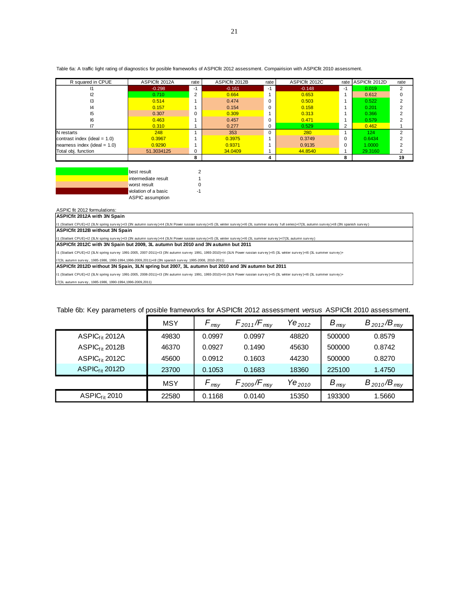| Table 6a: A traffic light rating of diagnostics for posible frameworks of ASPICfit 2012 assessment. Compairision with ASPICfit 2010 assessment. |  |
|-------------------------------------------------------------------------------------------------------------------------------------------------|--|
|-------------------------------------------------------------------------------------------------------------------------------------------------|--|

| R squared in CPUE               | ASPICfit 2012A | rate | ASPICfit 2012B | rate | ASPICfit 2012C | rate     | ASPICfit 2012D | rate |
|---------------------------------|----------------|------|----------------|------|----------------|----------|----------------|------|
|                                 | $-0.298$       | -1   | $-0.161$       | -1   | $-0.148$       | -1       | 0.019          |      |
|                                 | 0.710          | 2    | 0.664          |      | 0.653          |          | 0.612          |      |
| IЗ                              | 0.514          |      | 0.474          |      | 0.503          |          | 0.522          |      |
| 14                              | 0.157          |      | 0.154          |      | 0.158          |          | 0.201          |      |
| 15                              | 0.307          | 0    | 0.309          |      | 0.313          |          | 0.366          |      |
| 16                              | 0.463          |      | 0.457          |      | 0.471          |          | 0.579          |      |
|                                 | 0.310          |      | 0.277          |      | 0.529          | 2        | 0.462          |      |
| N restarts                      | 248            |      | 353            |      | 280            |          | 124            |      |
| contrast index (ideal = $1.0$ ) | 0.3967         |      | 0.3975         |      | 0.3749         | $\Omega$ | 0.6434         |      |
| nearness index (ideal $= 1.0$ ) | 0.9290         |      | 0.9371         |      | 0.9135         | $\Omega$ | 1.0000         |      |
| Total obj. function             | 51.3034125     | 0    | 34.0409        |      | 44.8540        |          | 29.3160        |      |
|                                 |                | 8    |                |      |                | 8        |                | 19   |

| best result          |  |
|----------------------|--|
| intermediate result  |  |
| worst result         |  |
| violation of a basic |  |
| ASPIC assumption     |  |

# ASPIC fit 2012 formulations:

**ASPICfit 2012A with 3N Spain** 

|<br>|11 (Statlant CPUE)+I2 (3LN spring survey)+I3 (3N autumn survey)+I4 (3LN Power russian survey)+I6 (3L summer survey full series)+I7(3L autumn survey)+I8 (3N spanish survey) **ASPICfit 2012B without 3N Spain** 

I1 (Statlant CPUE)+I2 (3LN spring surv ey )+I3 (3N autumn surv ey )+I4 (3LN Power russian surv ey )+I5 (3L winter surv ey )+I6 (3L summer surv ey )+I7(3L autumn surv ey )

**ASPICfit 2012C with 3N Spain but 2009, 3L autumn but 2010 and 3N autumn but 2011**

I1 (Statlant CPUE)+I2 (3LN spring surv ey 1991-2005, 2007-2011)+I3 (3N autumn surv ey 1991, 1993-2010)+I4 (3LN Power russian surv ey )+I5 (3L winter surv ey )+I6 (3L summer surv ey )+

I7(3L autumn survey, 1985-1986, 1990-1994,1996-2009,2011)+I8 (3N spanish survey 1995-2008, 2010-2011)<br>**ASPICfit 2012D without 3N Spain, 3LN spring but 2007, 3L autumn but 2010 and 3N autumn but 2011** 

I1 (Statlant CPUE)+I2 (3LN spring survey 1991-2005, 2008-2011)+I3 (3N autumn survey 1991, 1993-2010)+I4 (3LN Power russian surv ey)+I5 (3L winter survey)+I6 (3L summer survey)+

I7(3L autumn surv ey , 1985-1986, 1990-1994,1996-2009,2011)

|                            | <b>MSY</b> | $\mathsf{\Gamma}_{\mathsf{msv}}$ | $F_{2011}/F_{msv}$                                | $\mathsf{Y}\mathsf{e}_{2012}$ | $B_{\rm msv}$ | $B_{2012}/B_{msv}$ |
|----------------------------|------------|----------------------------------|---------------------------------------------------|-------------------------------|---------------|--------------------|
| ASPIC <sub>fit</sub> 2012A | 49830      | 0.0997                           | 0.0997                                            | 48820                         | 500000        | 0.8579             |
| ASPIC <sub>fit</sub> 2012B | 46370      | 0.0927                           | 0.1490                                            | 45630                         | 500000        | 0.8742             |
| ASPIC <sub>fit</sub> 2012C | 45600      | 0.0912                           | 0.1603                                            | 44230                         | 500000        | 0.8270             |
| ASPI $C_{fit}$ 2012D       | 23700      | 0.1053                           | 0.1683                                            | 18360                         | 225100        | 1.4750             |
|                            | <b>MSY</b> | $\frac{1}{2}$                    | ${\mathsf F}_{2009} / {\mathsf F}_{\mathsf{msv}}$ | Ye <sub>2010</sub>            | $B_{msv}$     | $B_{2010}/B_{msv}$ |
| $ASPIC_{fit}$ 2010         | 22580      | 0.1168                           | 0.0140                                            | 15350                         | 193300        | 1.5660             |

## Table 6b: Key parameters of posible frameworks for ASPICfit 2012 assessment *versus* ASPICfit 2010 assessment.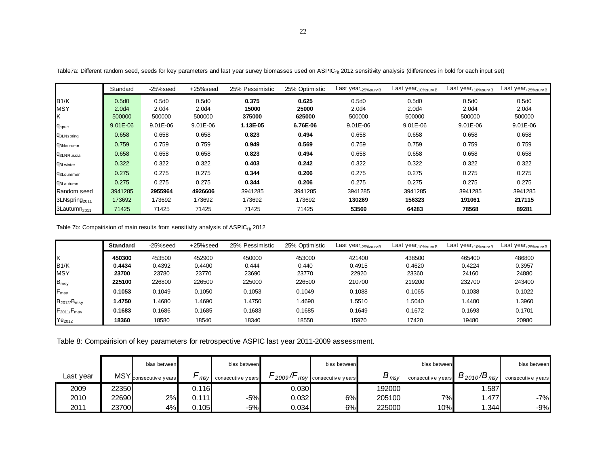|                           | Standard          | -25%seed          | +25%seed          | 25% Pessimistic | 25% Optimistic | Last year <sub>-25%survB</sub> | Last year <sub>-10%survB</sub> | Last year <sub>+10%survB</sub> | Last year <sub>+25%survB</sub> |
|---------------------------|-------------------|-------------------|-------------------|-----------------|----------------|--------------------------------|--------------------------------|--------------------------------|--------------------------------|
| B1/K                      | 0.5d0             | 0.5d0             | 0.5d0             | 0.375           | 0.625          | 0.5d0                          | 0.5d0                          | 0.5d0                          | 0.5d0                          |
| <b>MSY</b>                | 2.0 <sub>d4</sub> | 2.0 <sub>d4</sub> | 2.0 <sub>d4</sub> | 15000           | 25000          | 2.0d4                          | 2.0 <sub>d4</sub>              | 2.0 <sub>d4</sub>              | 2.0d4                          |
| ΙK                        | 500000            | 500000            | 500000            | 375000          | 625000         | 500000                         | 500000                         | 500000                         | 500000                         |
| <b>C</b> cpue             | $9.01E - 06$      | $9.01E - 06$      | $9.01E - 06$      | 1.13E-05        | 6.76E-06       | 9.01E-06                       | 9.01E-06                       | 9.01E-06                       | 9.01E-06                       |
| <b>G3LNspring</b>         | 0.658             | 0.658             | 0.658             | 0.823           | 0.494          | 0.658                          | 0.658                          | 0.658                          | 0.658                          |
| <b>G3Nautumn</b>          | 0.759             | 0.759             | 0.759             | 0.949           | 0.569          | 0.759                          | 0.759                          | 0.759                          | 0.759                          |
| <b>G3LNRussia</b>         | 0.658             | 0.658             | 0.658             | 0.823           | 0.494          | 0.658                          | 0.658                          | 0.658                          | 0.658                          |
| <b>Q3Lwinter</b>          | 0.322             | 0.322             | 0.322             | 0.403           | 0.242          | 0.322                          | 0.322                          | 0.322                          | 0.322                          |
| <b>q</b> 3Lsummer         | 0.275             | 0.275             | 0.275             | 0.344           | 0.206          | 0.275                          | 0.275                          | 0.275                          | 0.275                          |
| <b>93Lautumn</b>          | 0.275             | 0.275             | 0.275             | 0.344           | 0.206          | 0.275                          | 0.275                          | 0.275                          | 0.275                          |
| Random seed               | 3941285           | 2955964           | 4926606           | 3941285         | 3941285        | 3941285                        | 3941285                        | 3941285                        | 3941285                        |
| 3LNspring <sub>2011</sub> | 173692            | 173692            | 173692            | 173692          | 173692         | 130269                         | 156323                         | 191061                         | 217115                         |
| 3Lautumn <sub>2011</sub>  | 71425             | 71425             | 71425             | 71425           | 71425          | 53569                          | 64283                          | 78568                          | 89281                          |

Table7a: Different random seed, seeds for key parameters and last year survey biomasses used on ASPIC<sub>fit</sub> 2012 sensitivity analysis (differences in bold for each input set)

Table 7b: Compairision of main results from sensitivity analysis of ASPICfit 2012

|                    | <b>Standard</b> | -25%seed | +25%seed | 25% Pessimistic | 25% Optimistic | Last year <sub>-25%surv</sub> B | Last year <sub>-10%survB</sub> | Last year <sub>+10%survB</sub> | Last year <sub>+25%survB</sub> |
|--------------------|-----------------|----------|----------|-----------------|----------------|---------------------------------|--------------------------------|--------------------------------|--------------------------------|
| lκ                 | 450300          | 453500   | 452900   | 450000          | 453000         | 421400                          | 438500                         | 465400                         | 486800                         |
| B1/K               | 0.4434          | 0.4392   | 0.4400   | 0.444           | 0.440          | 0.4915                          | 0.4620                         | 0.4224                         | 0.3957                         |
| <b>IMSY</b>        | 23700           | 23780    | 23770    | 23690           | 23770          | 22920                           | 23360                          | 24160                          | 24880                          |
| $B_{msy}$          | 225100          | 226800   | 226500   | 225000          | 226500         | 210700                          | 219200                         | 232700                         | 243400                         |
| F <sub>msy</sub>   | 0.1053          | 0.1049   | 0.1050   | 0.1053          | 0.1049         | 0.1088                          | 0.1065                         | 0.1038                         | 0.1022                         |
| $B_{2012}/B_{msy}$ | 1.4750          | 1.4680   | .4690    | .4750           | .4690          | 1.5510                          | 1.5040                         | 1.4400                         | 1.3960                         |
| $F_{2011}/F_{msy}$ | 0.1683          | 0.1686   | 0.1685   | 0.1683          | 0.1685         | 0.1649                          | 0.1672                         | 0.1693                         | 0.1701                         |
| Ye <sub>2012</sub> | 18360           | 18580    | 18540    | 18340           | 18550          | 15970                           | 17420                          | 19480                          | 20980                          |

Table 8: Compairision of key parameters for retrospective ASPIC last year 2011-2009 assessment.

|           |            | bias between      |         | bias between      |       | bias between          |                           | bias between      |                      | bias between      |
|-----------|------------|-------------------|---------|-------------------|-------|-----------------------|---------------------------|-------------------|----------------------|-------------------|
| Last year | <b>MSY</b> | consecutive years | msv     | consecutive years | 2009' | msy consecutive years | $\bm{\nu}_{\textit{msv}}$ | consecutive years | $B_{2010}/B_{m s y}$ | consecutive years |
| 2009      | 223501     |                   | 0.116   |                   | 0.030 |                       | 192000                    |                   | .587                 |                   |
| 2010      | 22690l     | 2%                | 0.111 l | -5%               | 0.032 | 6%                    | 205100                    | 7%                | .477                 | $-7%$             |
| 2011      | 23700l     | 4%                | 0.105   | -5%l              | 0.034 | 6%                    | 225000                    | 10%               | .344                 | $-9%$             |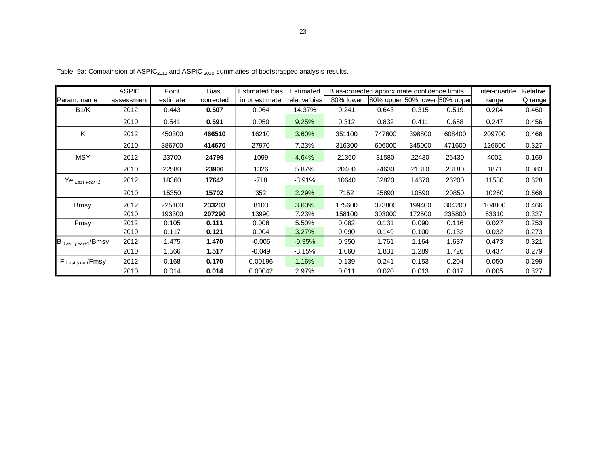|                           | <b>ASPIC</b> | Point    | Bias      | <b>Estimated bias</b> | Estimated     |           | Bias-corrected approximate confidence limits |        |                               | Inter-quartile | Relative |
|---------------------------|--------------|----------|-----------|-----------------------|---------------|-----------|----------------------------------------------|--------|-------------------------------|----------------|----------|
| Param. name               | assessment   | estimate | corrected | in pt estimate        | relative bias | 80% lower |                                              |        | 80% upper 50% lower 50% upper | range          | IQ range |
| B1/K                      | 2012         | 0.443    | 0.507     | 0.064                 | 14.37%        | 0.241     | 0.643                                        | 0.315  | 0.519                         | 0.204          | 0.460    |
|                           | 2010         | 0.541    | 0.591     | 0.050                 | 9.25%         | 0.312     | 0.832                                        | 0.411  | 0.658                         | 0.247          | 0.456    |
| Κ                         | 2012         | 450300   | 466510    | 16210                 | 3.60%         | 351100    | 747600                                       | 398800 | 608400                        | 209700         | 0.466    |
|                           | 2010         | 386700   | 414670    | 27970                 | 7.23%         | 316300    | 606000                                       | 345000 | 471600                        | 126600         | 0.327    |
| <b>MSY</b>                | 2012         | 23700    | 24799     | 1099                  | 4.64%         | 21360     | 31580                                        | 22430  | 26430                         | 4002           | 0.169    |
|                           | 2010         | 22580    | 23906     | 1326                  | 5.87%         | 20400     | 24630                                        | 21310  | 23180                         | 1871           | 0.083    |
| Ye <sub>Last year+1</sub> | 2012         | 18360    | 17642     | $-718$                | $-3.91%$      | 10640     | 32820                                        | 14670  | 26200                         | 11530          | 0.628    |
|                           | 2010         | 15350    | 15702     | 352                   | 2.29%         | 7152      | 25890                                        | 10590  | 20850                         | 10260          | 0.668    |
| <b>Bmsy</b>               | 2012         | 225100   | 233203    | 8103                  | 3.60%         | 175600    | 373800                                       | 199400 | 304200                        | 104800         | 0.466    |
|                           | 2010         | 193300   | 207290    | 13990                 | 7.23%         | 158100    | 303000                                       | 172500 | 235800                        | 63310          | 0.327    |
| Fmsy                      | 2012         | 0.105    | 0.111     | 0.006                 | 5.50%         | 0.082     | 0.131                                        | 0.090  | 0.116                         | 0.027          | 0.253    |
|                           | 2010         | 0.117    | 0.121     | 0.004                 | 3.27%         | 0.090     | 0.149                                        | 0.100  | 0.132                         | 0.032          | 0.273    |
| B Last year+1/Bmsy        | 2012         | 1.475    | 1.470     | $-0.005$              | $-0.35%$      | 0.950     | 1.761                                        | 1.164  | 1.637                         | 0.473          | 0.321    |
|                           | 2010         | 1.566    | 1.517     | $-0.049$              | $-3.15%$      | 1.060     | 1.831                                        | 1.289  | 1.726                         | 0.437          | 0.279    |
| F Last year/Fmsy          | 2012         | 0.168    | 0.170     | 0.00196               | 1.16%         | 0.139     | 0.241                                        | 0.153  | 0.204                         | 0.050          | 0.299    |
|                           | 2010         | 0.014    | 0.014     | 0.00042               | 2.97%         | 0.011     | 0.020                                        | 0.013  | 0.017                         | 0.005          | 0.327    |

Table 9a: Compairision of  $ASPIC<sub>2012</sub>$  and  $ASPIC<sub>2010</sub>$  summaries of bootstrapped analysis results.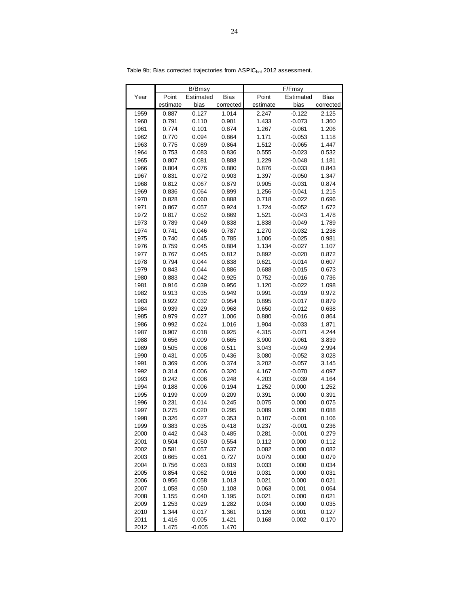|              |                | B/Bmsy         |                |                | F/Fmsy         |                |
|--------------|----------------|----------------|----------------|----------------|----------------|----------------|
| Year         | Point          | Estimated      | Bias           | Point          | Estimated      | <b>Bias</b>    |
|              | estimate       | bias           | corrected      | estimate       | bias           | corrected      |
| 1959         | 0.887          | 0.127          | 1.014          | 2.247          | $-0.122$       | 2.125          |
| 1960         | 0.791          | 0.110          | 0.901          | 1.433          | $-0.073$       | 1.360          |
| 1961         | 0.774          | 0.101          | 0.874          | 1.267          | $-0.061$       | 1.206          |
| 1962         | 0.770          | 0.094          | 0.864          | 1.171          | $-0.053$       | 1.118          |
| 1963         | 0.775          | 0.089          | 0.864          | 1.512          | $-0.065$       | 1.447          |
| 1964         | 0.753          | 0.083          | 0.836          | 0.555          | $-0.023$       | 0.532          |
| 1965         | 0.807          | 0.081          | 0.888          | 1.229          | $-0.048$       | 1.181          |
| 1966         | 0.804          | 0.076          | 0.880          | 0.876          | $-0.033$       | 0.843          |
| 1967         | 0.831          | 0.072          | 0.903          | 1.397          | $-0.050$       | 1.347          |
| 1968         | 0.812          | 0.067          | 0.879          | 0.905          | $-0.031$       | 0.874          |
| 1969         | 0.836          | 0.064          | 0.899          | 1.256          | $-0.041$       | 1.215          |
| 1970         | 0.828          | 0.060          | 0.888          | 0.718          | $-0.022$       | 0.696          |
| 1971         | 0.867          | 0.057          | 0.924          | 1.724          | $-0.052$       | 1.672          |
| 1972         | 0.817          | 0.052          | 0.869          | 1.521          | $-0.043$       | 1.478          |
| 1973         | 0.789          | 0.049          | 0.838          | 1.838          | $-0.049$       | 1.789          |
| 1974         | 0.741          | 0.046          | 0.787          | 1.270          | $-0.032$       | 1.238          |
| 1975         | 0.740          | 0.045          | 0.785          | 1.006          | $-0.025$       | 0.981          |
| 1976         | 0.759          | 0.045          | 0.804          | 1.134          | $-0.027$       | 1.107          |
| 1977         | 0.767          | 0.045          | 0.812          | 0.892          | $-0.020$       | 0.872          |
| 1978         | 0.794          | 0.044          | 0.838          | 0.621          | $-0.014$       | 0.607          |
| 1979         | 0.843          | 0.044          | 0.886          | 0.688          | $-0.015$       | 0.673          |
| 1980         | 0.883          | 0.042          | 0.925          | 0.752          | $-0.016$       | 0.736          |
| 1981         | 0.916          | 0.039          | 0.956          | 1.120          | $-0.022$       | 1.098          |
| 1982         | 0.913          | 0.035          | 0.949          | 0.991          | $-0.019$       | 0.972          |
| 1983         | 0.922          | 0.032          | 0.954          | 0.895          | $-0.017$       | 0.879          |
| 1984         | 0.939          | 0.029          | 0.968          | 0.650          | $-0.012$       | 0.638          |
| 1985         | 0.979          | 0.027          | 1.006          | 0.880          | $-0.016$       | 0.864          |
| 1986         | 0.992          | 0.024          | 1.016          | 1.904          | $-0.033$       | 1.871          |
| 1987         | 0.907          | 0.018          | 0.925          | 4.315          | $-0.071$       | 4.244          |
| 1988         | 0.656          | 0.009          | 0.665          | 3.900          | $-0.061$       | 3.839          |
| 1989         | 0.505          | 0.006          | 0.511          | 3.043          | $-0.049$       | 2.994          |
| 1990         | 0.431          | 0.005          | 0.436          | 3.080          | $-0.052$       | 3.028          |
| 1991         | 0.369          | 0.006          | 0.374          | 3.202          | $-0.057$       | 3.145          |
| 1992<br>1993 | 0.314<br>0.242 | 0.006<br>0.006 | 0.320          | 4.167          | $-0.070$       | 4.097          |
|              |                |                | 0.248          | 4.203          | $-0.039$       | 4.164          |
| 1994<br>1995 | 0.188          | 0.006          | 0.194          | 1.252          | 0.000          | 1.252          |
| 1996         | 0.199<br>0.231 | 0.009<br>0.014 | 0.209<br>0.245 | 0.391<br>0.075 | 0.000<br>0.000 | 0.391<br>0.075 |
| 1997         | 0.275          | 0.020          | 0.295          | 0.089          | 0.000          | 0.088          |
| 1998         | 0.326          | 0.027          | 0.353          | 0.107          | $-0.001$       | 0.106          |
| 1999         | 0.383          | 0.035          | 0.418          | 0.237          | $-0.001$       | 0.236          |
| 2000         | 0.442          | 0.043          | 0.485          | 0.281          | $-0.001$       | 0.279          |
| 2001         | 0.504          | 0.050          | 0.554          | 0.112          | 0.000          | 0.112          |
| 2002         | 0.581          | 0.057          | 0.637          | 0.082          | 0.000          | 0.082          |
| 2003         | 0.665          | 0.061          | 0.727          | 0.079          | 0.000          | 0.079          |
| 2004         | 0.756          | 0.063          | 0.819          | 0.033          | 0.000          | 0.034          |
| 2005         | 0.854          | 0.062          | 0.916          | 0.031          | 0.000          | 0.031          |
| 2006         | 0.956          | 0.058          | 1.013          | 0.021          | 0.000          | 0.021          |
| 2007         | 1.058          | 0.050          | 1.108          | 0.063          | 0.001          | 0.064          |
| 2008         | 1.155          | 0.040          | 1.195          | 0.021          | 0.000          | 0.021          |
| 2009         | 1.253          | 0.029          | 1.282          | 0.034          | 0.000          | 0.035          |
| 2010         | 1.344          | 0.017          | 1.361          | 0.126          | 0.001          | 0.127          |
| 2011         | 1.416          | 0.005          | 1.421          | 0.168          | 0.002          | 0.170          |
| 2012         | 1.475          | $-0.005$       | 1.470          |                |                |                |

Table 9b; Bias corrected trajectories from ASPIC<sub>bot</sub> 2012 assessment.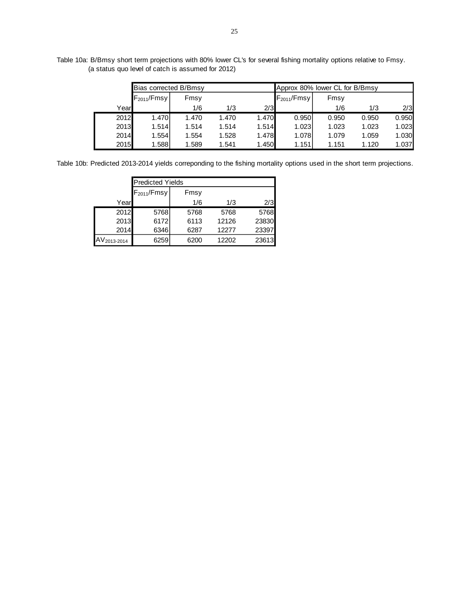Table 10a: B/Bmsy short term projections with 80% lower CL's for several fishing mortality options relative to Fmsy. (a status quo level of catch is assumed for 2012)

|      | Bias corrected B/Bmsy |       |       |       | Approx 80% lower CL for B/Bmsy |       |       |       |
|------|-----------------------|-------|-------|-------|--------------------------------|-------|-------|-------|
|      | $F_{2011}/F$ msy      | Fmsy  |       |       | $F_{2011}/Fmsv$                | Fmsy  |       |       |
| Year |                       | 1/6   | 1/3   | 2/3   |                                | 1/6   | 1/3   | 2/3   |
| 2012 | 1.470                 | 1.470 | 1.470 | 1.470 | 0.950                          | 0.950 | 0.950 | 0.950 |
| 2013 | 1.514                 | 1.514 | 1.514 | 1.514 | 1.023                          | 1.023 | 1.023 | 1.023 |
| 2014 | 1.554                 | 1.554 | 1.528 | 1.478 | 1.078                          | 1.079 | 1.059 | 1.030 |
| 2015 | 1.588                 | 1.589 | 1.541 | 1.450 | 1.151                          | 1.151 | 1.120 | 1.037 |

Table 10b: Predicted 2013-2014 yields correponding to the fishing mortality options used in the short term projections.

|                         |                  | <b>Predicted Yields</b> |       |       |  |  |  |  |  |  |
|-------------------------|------------------|-------------------------|-------|-------|--|--|--|--|--|--|
|                         | $F_{2011}/F$ msy | Fmsy                    |       |       |  |  |  |  |  |  |
| Year                    |                  | 1/6                     | 1/3   | 2/3   |  |  |  |  |  |  |
| 2012                    | 5768             | 5768                    | 5768  | 5768  |  |  |  |  |  |  |
| 2013                    | 6172             | 6113                    | 12126 | 23830 |  |  |  |  |  |  |
| 2014                    | 6346             | 6287                    | 12277 | 23397 |  |  |  |  |  |  |
| AV <sub>2013-2014</sub> | 6259             | 6200                    | 12202 | 23613 |  |  |  |  |  |  |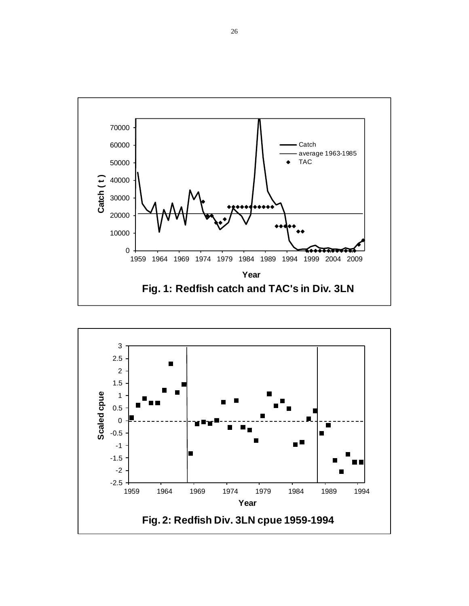

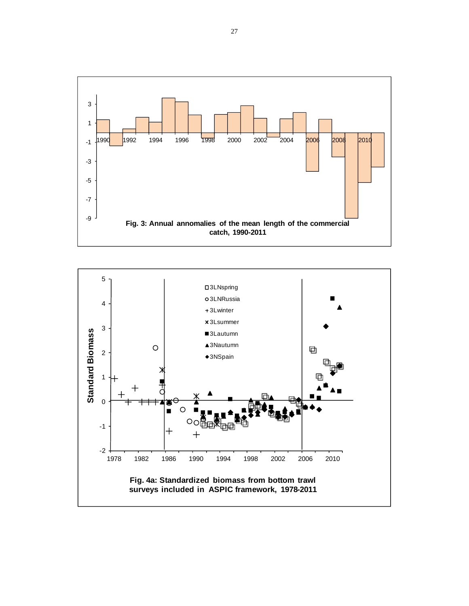

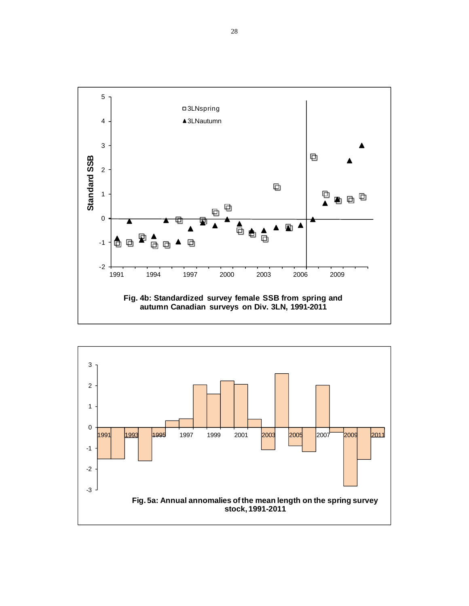

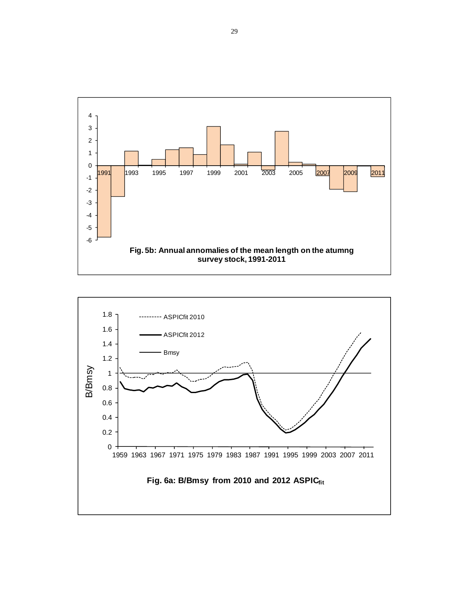

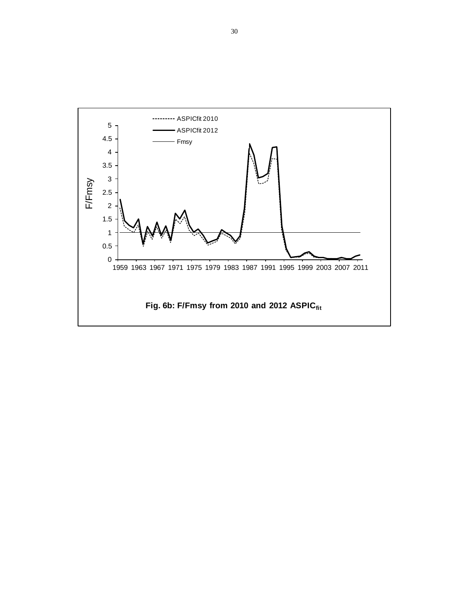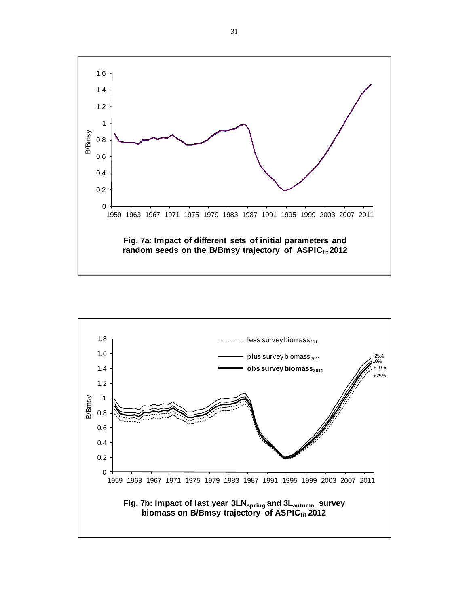

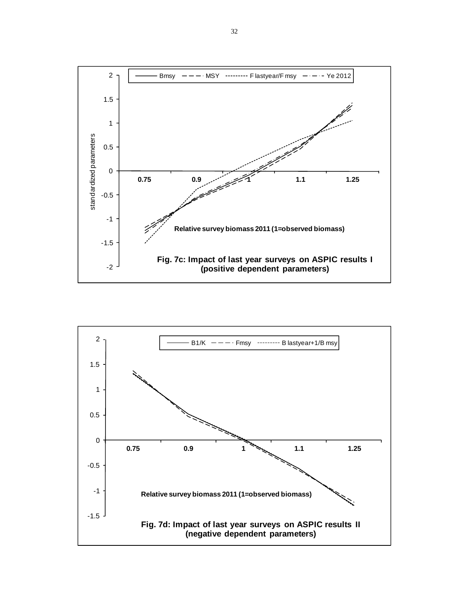

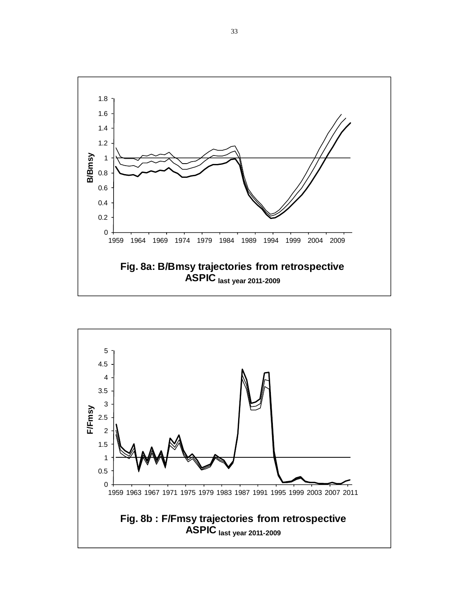

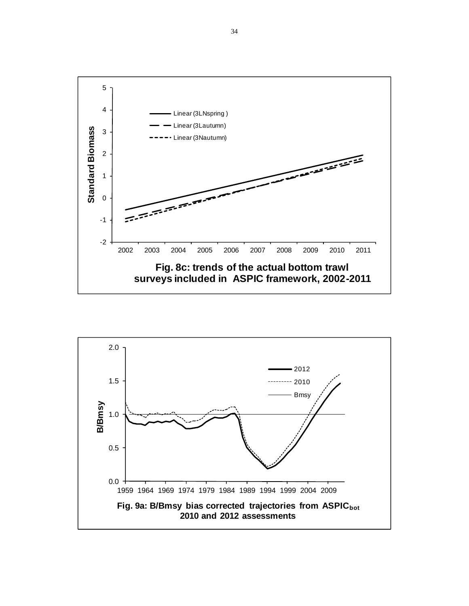

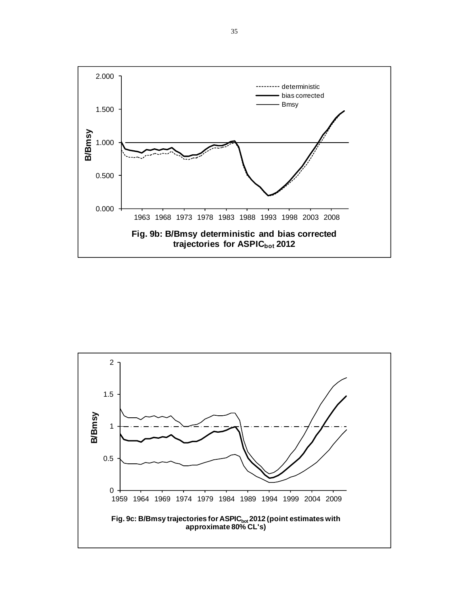

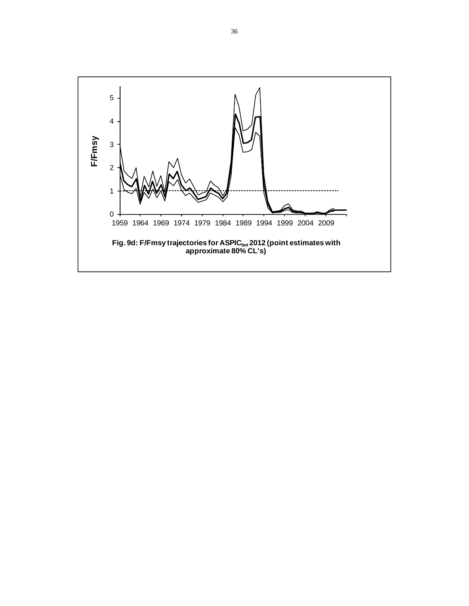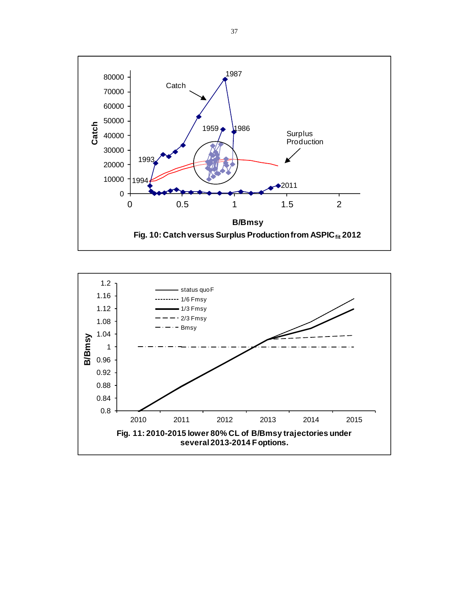

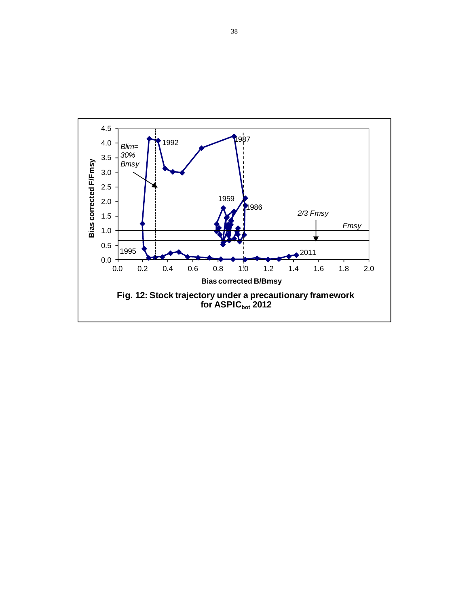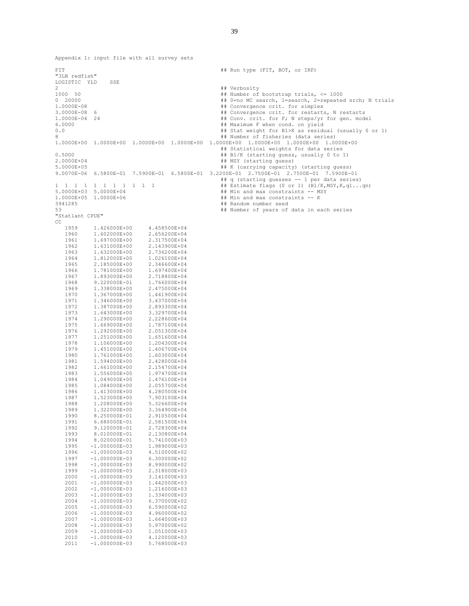FIT **## Run type (FIT, BOT, or IRF)** "3LN redfish" LOGISTIC YLD SSE 2<br>  $\text{#}$  Verbosity<br>  $\text{#}$  Number of 1000 50 ## Number of bootstrap trials, <= 1000 ## 0=no MC search, 1=search, 2=repeated srch; N trials 1.0000E-08 ## Convergence crit. for simplex ## Convergence crit. for restarts, N restarts 1.0000E-04 24 **#**# Conv. crit. for F; N steps/yr for gen. model <br>6.0000 **## Maximum F when cond. on vield** 6.0000 ## Maximum F when cond. on yield ## Stat weight for B1>K as residual (usually 0 or 1) 8 ## Number of fisheries (data series) 1.0000E+00 1.0000E+00 1.0000E+00 1.0000E+00 1.0000E+00 1.0000E+00 1.0000E+00 1.0000E+00 ## Statistical weights for data series 0.5000 ## B1/K (starting guess, usually 0 to 1) 2.0000E+04 ## MSY (starting guess) ## K (carrying capacity) (starting guess) 9.0070E-06 6.5800E-01 7.5900E-01 6.5800E-01 3.2200E-01 2.7500E-01 2.7500E-01 7.5900E-01 ## q (starting guesses -- 1 per data series) 1 1 1 1 1 1 1 1 1 1 1 ## Estimate flags (0 or 1) (B1/K,MSY,K,q1...qn) 5.0000E+03 5.0000E+04 ## Min and max constraints -- MSY ## Min and max constraints -- K 3941285 ## Random number seed ## Number of years of data in each series "Statlant CPUE" CC 1959 1.426000E+00 4.458500E+04 1960 1.602000E+00 2.656200E+04<br>1961 1.697000E+00 2.317500E+04 1.697000E+00 1962 1.631000E+00 2.143900E+04<br>1963 1.632000E+00 2.736200E+04 1963 1.632000E+00 2.736200E+04<br>1964 1.812000E+00 1.026100E+04 1964 1.812000E+00 1.026100E+04<br>1965 2.185000E+00 2.346600E+04 1965 2.185000E+00 2.346600E+04<br>1966 1.781000E+00 1.697400E+04 1966 1.781000E+00 1.697400E+04<br>1967 1.893000E+00 2.718800E+04 1967 1.893000E+00 2.718800E+04<br>1968 9.220000E-01 1.766000E+04 9.220000E-01 1969 1.338000E+00 2.475000E+04<br>1970 1.367000E+00 1.441900E+04 1970 1.367000E+00 1.441900E+04<br>1971 1.346000E+00 3.437000E+04 1971 1.346000E+00 3.437000E+04<br>1972 1.387000E+00 2.893300E+04 1972 1.387000E+00 2.893300E+04<br>1973 1.643000E+00 3.329700E+04 1973 1.643000E+00 3.329700E+04<br>1974 1.290000E+00 2.228600E+04 1974 1.290000E+00 2.228600E+04<br>1975 1.669000E+00 1.787100E+04 1975 1.669000E+00 1.787100E+04<br>1976 1.292000E+00 2.051300E+04 1976 1.292000E+00<br>1977 1.251000E+00 1977 1.251000E+00 1.651600E+04<br>1978 1.106000E+00 1.204300E+04 1978 1.106000E+00 1.204300E+04<br>1979 1.451000E+00 1.406700E+04 1979 1.451000E+00 1.406700E+04<br>1980 1.761000E+00 1.603000E+04 1980 1.761000E+00 1.603000E+04<br>1981 1.594000E+00 2.428000E+04 1981 1.594000E+00 2.428000E+04<br>1982 1.661000E+00 2.154700E+04 1982 1.661000E+00 2.154700E+04<br>1983 1.556000E+00 1.974700E+04 1983 1.556000E+00 1.974700E+04<br>1984 1.049000E+00 1.476100E+04 1984 1.049000E+00 1.476100E+04<br>1985 1.084000E+00 2.055700E+04 1985 1.084000E+00 2.055700E+04<br>1986 1.413000E+00 4.280500E+04 1986 1.413000E+00 4.280500E+04<br>1987 1.523000E+00 7.903100E+04 1987 1.523000E+00 7.903100E+04<br>1988 1.208000E+00 5.326600E+04 1988 1.208000E+00 5.326600E+04<br>1989 1.322000E+00 3.364900E+04 1989 1.322000E+00 3.364900E+04<br>1990 8.250000E-01 2.910500E+04 1990 8.250000E-01 2.910500E+04<br>1991 6.680000E-01 2.581500E+04 1991 6.680000E-01 2.581500E+04<br>1992 9.120000E-01 2.728300E+04  $9.120000E-01$   $2.728300E+04$ <br>8.010000E-01  $2.130800E+04$ 1993 8.010000E-01 2.130800E+04<br>1994 8.020000E-01 5.741000E+03 1994 8.020000E-01 5.741000E+03 1995 -1.000000E-03 1.989000E+03<br>1996 -1.000000E-03 4.510000E+02 1996 -1.000000E-03 4.510000E+02<br>1997 -1.000000E-03 6.300000E+02 1997 -1.000000E-03 6.300000E+02<br>1998 -1.000000E-03 8.990000E+02 1998 -1.000000E-03 8.990000E+02<br>1999 -1.000000E-03 2.318000E+03  $-1.000000E-03$ 2000 -1.000000E-03 3.141000E+03<br>2001 -1.000000E-03 1.442000E+03 2001 -1.000000E-03 1.442000E+03 2002 -1.000000E-03 1.216000E+03<br>2003 -1.000000E-03 1.334000E+03 2003 -1.000000E-03 1.334000E+03  $-1.000000E-03$  2005 -1.000000E-03 6.590000E+02  $-1.000000E-03$  2007 -1.000000E-03 1.664000E+03  $2008$   $-1.000000E-03$ <br>2009  $-1.000000E-03$ 2009 -1.000000E-03 1.051000E+03<br>2010 -1.000000E-03 4.120000E+03 2010 -1.000000E-03 4.120000E+03<br>2011 -1.000000E-03 5.768000E+03

Appendix 1: input file with all survey sets

 $-1.000000E-03$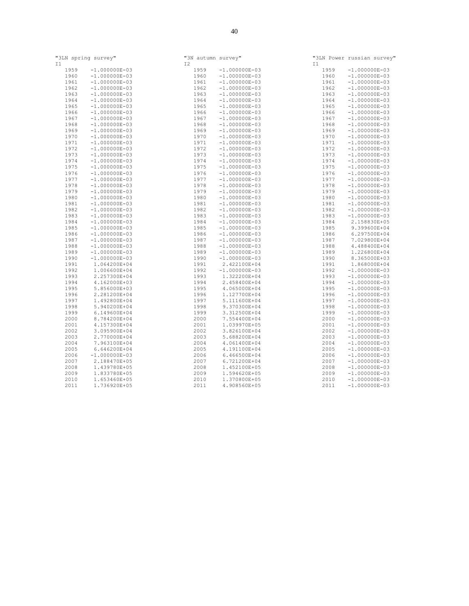| "3LN spring survey"<br>I1 |                                    | "3N autumn survey"<br>I2 |                                    | T1   | "3LN Power russian survey"         |
|---------------------------|------------------------------------|--------------------------|------------------------------------|------|------------------------------------|
| 1959                      | $-1.000000E-03$                    | 1959                     | $-1.000000E-03$                    | 1959 | $-1.000000E-03$                    |
| 1960                      | $-1.000000E-03$                    | 1960                     | $-1.000000E-03$                    | 1960 | $-1.000000E-03$                    |
| 1961                      | $-1.000000E-03$                    | 1961                     | $-1.000000E-03$                    | 1961 | $-1.000000E-03$                    |
| 1962                      | $-1.000000E-03$                    | 1962                     | $-1.000000E-03$                    | 1962 | $-1.000000E-03$                    |
| 1963                      |                                    | 1963                     |                                    | 1963 |                                    |
|                           | $-1.000000E-03$<br>$-1.000000E-03$ |                          | $-1.000000E-03$<br>$-1.000000E-03$ | 1964 | $-1.000000E-03$<br>$-1.000000E-03$ |
| 1964                      |                                    | 1964                     |                                    |      |                                    |
| 1965                      | $-1.000000E-03$                    | 1965                     | $-1.000000E-03$                    | 1965 | $-1.000000E-03$                    |
| 1966                      | $-1.000000E-03$                    | 1966                     | $-1.000000E-03$                    | 1966 | $-1.000000E-03$                    |
| 1967                      | $-1.000000E-03$                    | 1967                     | $-1.000000E-03$                    | 1967 | $-1.000000E-03$                    |
| 1968                      | $-1.000000E-03$                    | 1968                     | $-1.000000E-03$                    | 1968 | $-1.000000E-03$                    |
| 1969                      | $-1.000000E-03$                    | 1969                     | $-1.000000E-03$                    | 1969 | $-1.000000E-03$                    |
| 1970                      | $-1.000000E-03$                    | 1970                     | $-1.000000E-03$                    | 1970 | $-1.000000E-03$                    |
| 1971                      | $-1.000000E-03$                    | 1971                     | $-1.000000E-03$                    | 1971 | $-1.000000E-03$                    |
| 1972                      | $-1.000000E-03$                    | 1972                     | $-1.000000E-03$                    | 1972 | $-1.000000E-03$                    |
| 1973                      | $-1.000000E-03$                    | 1973                     | $-1.000000E-03$                    | 1973 | $-1.000000E-03$                    |
| 1974                      | $-1.000000E-03$                    | 1974                     | $-1.000000E-03$                    | 1974 | $-1.000000E-03$                    |
| 1975                      | $-1.000000E-03$                    | 1975                     | $-1.000000E-03$                    | 1975 | $-1.000000E-03$                    |
| 1976                      | $-1.000000E-03$                    | 1976                     | $-1.000000E-03$                    | 1976 | $-1.000000E-03$                    |
| 1977                      | $-1.000000E-03$                    | 1977                     | $-1.000000E-03$                    | 1977 | $-1.000000E-03$                    |
| 1978                      | $-1.000000E-03$                    | 1978                     | $-1.000000E-03$                    | 1978 | $-1.000000E-03$                    |
| 1979                      | $-1.000000E-03$                    | 1979                     | $-1.000000E-03$                    | 1979 | $-1.000000E-03$                    |
| 1980                      | $-1.000000E-03$                    | 1980                     | $-1.000000E-03$                    | 1980 | $-1.000000E-03$                    |
| 1981                      | $-1.000000E-03$                    | 1981                     | $-1.000000E-03$                    | 1981 | $-1.000000E-03$                    |
| 1982                      | $-1.000000E-03$                    | 1982                     | $-1.000000E-03$                    | 1982 | $-1.000000E-03$                    |
| 1983                      | $-1.000000E-03$                    | 1983                     | $-1.000000E-03$                    | 1983 | $-1.000000E-03$                    |
| 1984                      | $-1.000000E-03$                    | 1984                     | $-1.000000E-03$                    | 1984 | 2.158830E+05                       |
| 1985                      | $-1.000000E-03$                    | 1985                     | $-1.000000E-03$                    | 1985 | 9.399600E+04                       |
| 1986                      | $-1.000000E-03$                    | 1986                     | $-1.000000E-03$                    | 1986 | 6.297500E+04                       |
| 1987                      | $-1.000000E-03$                    | 1987                     | $-1.000000E-03$                    | 1987 | 7.029800E+04                       |
| 1988                      | $-1.000000E-03$                    | 1988                     | $-1.000000E-03$                    | 1988 | 4.488400E+04                       |
| 1989                      | $-1.000000E-03$                    | 1989                     | $-1.000000E-03$                    | 1989 | 1.226800E+04                       |
| 1990                      | $-1.000000E-03$                    | 1990                     | $-1.000000E-03$                    | 1990 | 8.365000E+03                       |
| 1991                      | 1.064200E+04                       | 1991                     | 2.422100E+04                       | 1991 | 1.868000E+04                       |
| 1992                      | 1.006600E+04                       | 1992                     | $-1.000000E-03$                    | 1992 | $-1.000000E-03$                    |
| 1993                      | 2.257300E+04                       | 1993                     | 1.322200E+04                       | 1993 | $-1.000000E-03$                    |
| 1994                      | 4.162000E+03                       | 1994                     | 2.458400E+04                       | 1994 | $-1.000000E-03$                    |
| 1995                      | 5.856000E+03                       | 1995                     | 4.065000E+04                       | 1995 | $-1.000000E-03$                    |
| 1996                      | 2.281200E+04                       | 1996                     | 1.127700E+04                       | 1996 | $-1.000000E-03$                    |
| 1997                      | 1.492800E+04                       | 1997                     | 5.111600E+04                       | 1997 | $-1.000000E-03$                    |
| 1998                      | 5.940200E+04                       | 1998                     | 9.370300E+04                       | 1998 | $-1.000000E-03$                    |
| 1999                      | 6.149600E+04                       | 1999                     | 3.312500E+04                       | 1999 | $-1.000000E-03$                    |
| 2000                      | 8.784200E+04                       | 2000                     | 7.554400E+04                       | 2000 | $-1.000000E-03$                    |
| 2001                      | 4.157300E+04                       | 2001                     | 1.039970E+05                       | 2001 | $-1.000000E-03$                    |
|                           |                                    |                          |                                    |      |                                    |
| 2002                      | 3.095900E+04                       | 2002                     | 3.826100E+04                       | 2002 | $-1.000000E-03$                    |
| 2003                      | 2.770000E+04                       | 2003                     | 5.688200E+04                       | 2003 | $-1.000000E-03$                    |
| 2004                      | 7.963100E+04                       | 2004                     | 4.061400E+04                       | 2004 | $-1.000000E-03$                    |
| 2005                      | 6.646200E+04                       | 2005                     | 4.191100E+04                       | 2005 | $-1.000000E-03$                    |
| 2006                      | $-1.000000E-03$                    | 2006                     | 6.466500E+04                       | 2006 | $-1.000000E-03$                    |
| 2007                      | 2.188470E+05                       | 2007                     | 6.721200E+04                       | 2007 | $-1.000000E-03$                    |
| 2008                      | 1.439780E+05                       | 2008                     | 1.452100E+05                       | 2008 | $-1.000000E-03$                    |
| 2009                      | 1.833780E+05                       | 2009                     | 1.594620E+05                       | 2009 | $-1.000000E-03$                    |
| 2010                      | 1.653460E+05                       | 2010                     | 1.370800E+05                       | 2010 | $-1.000000E-03$                    |
| 2011                      | 1.736920E+05                       | 2011                     | 4.908560E+05                       | 2011 | $-1.000000E-03$                    |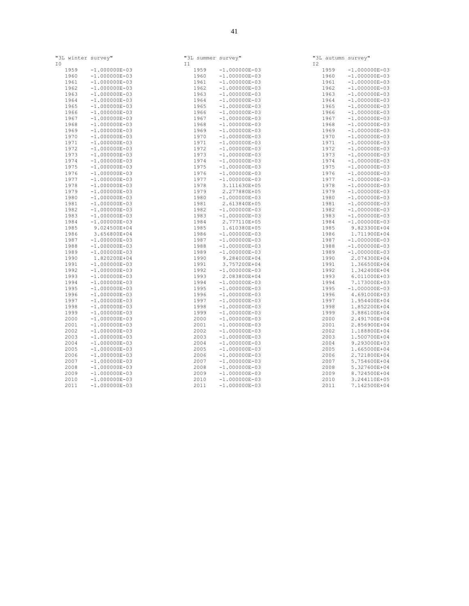| "3L winter survey" |                 | "3L summer survey" |                 | "3L autumn survey" |                                    |
|--------------------|-----------------|--------------------|-----------------|--------------------|------------------------------------|
| I0<br>1959         | $-1.000000E-03$ | T1<br>1959         | $-1.000000E-03$ | T 2<br>1959        | $-1.000000E-03$                    |
| 1960               | $-1.000000E-03$ | 1960               | $-1.000000E-03$ | 1960               | $-1.000000E-03$                    |
| 1961               | $-1.000000E-03$ | 1961               | $-1.000000E-03$ | 1961               | $-1.000000E-03$                    |
| 1962               | $-1.000000E-03$ | 1962               | $-1.000000E-03$ | 1962               | $-1.000000E-03$                    |
| 1963               | $-1.000000E-03$ | 1963               | $-1.000000E-03$ | 1963               | $-1.000000E-03$                    |
|                    |                 |                    |                 |                    |                                    |
| 1964               | $-1.000000E-03$ | 1964               | $-1.000000E-03$ | 1964               | $-1.000000E-03$<br>$-1.000000E-03$ |
| 1965               | $-1.000000E-03$ | 1965               | $-1.000000E-03$ | 1965               |                                    |
| 1966               | $-1.000000E-03$ | 1966               | $-1.000000E-03$ | 1966               | $-1.000000E-03$                    |
| 1967               | $-1.000000E-03$ | 1967               | $-1.000000E-03$ | 1967               | $-1.000000E-03$                    |
| 1968               | $-1.000000E-03$ | 1968               | $-1.000000E-03$ | 1968               | $-1.000000E-03$                    |
| 1969               | $-1.000000E-03$ | 1969               | $-1.000000E-03$ | 1969               | $-1.000000E-03$                    |
| 1970               | $-1.000000E-03$ | 1970               | $-1.000000E-03$ | 1970               | $-1.000000E-03$                    |
| 1971               | $-1.000000E-03$ | 1971               | $-1.000000E-03$ | 1971               | $-1.000000E-03$                    |
| 1972               | $-1.000000E-03$ | 1972               | $-1.000000E-03$ | 1972               | $-1.000000E-03$                    |
| 1973               | $-1.000000E-03$ | 1973               | $-1.000000E-03$ | 1973               | $-1.000000E-03$                    |
| 1974               | $-1.000000E-03$ | 1974               | $-1.000000E-03$ | 1974               | $-1.000000E-03$                    |
| 1975               | $-1.000000E-03$ | 1975               | $-1.000000E-03$ | 1975               | $-1.000000E-03$                    |
| 1976               | $-1.000000E-03$ | 1976               | $-1.000000E-03$ | 1976               | $-1.000000E-03$                    |
| 1977               | $-1.000000E-03$ | 1977               | $-1.000000E-03$ | 1977               | $-1.000000E-03$                    |
| 1978               | $-1.000000E-03$ | 1978               | 3.111630E+05    | 1978               | $-1.000000E-03$                    |
| 1979               | $-1.000000E-03$ | 1979               | 2.277880E+05    | 1979               | $-1.000000E-03$                    |
| 1980               | $-1.000000E-03$ | 1980               | $-1.000000E-03$ | 1980               | $-1.000000E-03$                    |
| 1981               | $-1.000000E-03$ | 1981               | 2.613840E+05    | 1981               | $-1.000000E-03$                    |
| 1982               | $-1.000000E-03$ | 1982               | $-1.000000E-03$ | 1982               | $-1.000000E-03$                    |
| 1983               | $-1.000000E-03$ | 1983               | $-1.000000E-03$ | 1983               | $-1.000000E-03$                    |
| 1984               | $-1.000000E-03$ | 1984               | 2.777110E+05    | 1984               | $-1.000000E-03$                    |
| 1985               | 9.024500E+04    | 1985               | 1.610380E+05    | 1985               | 9.823300E+04                       |
| 1986               | 3.656800E+04    | 1986               | $-1.000000E-03$ | 1986               | 1.711900E+04                       |
| 1987               | $-1.000000E-03$ | 1987               | $-1.000000E-03$ | 1987               | $-1.000000E-03$                    |
| 1988               | $-1.000000E-03$ | 1988               | $-1.000000E-03$ | 1988               | $-1.000000E-03$                    |
| 1989               | $-1.000000E-03$ | 1989               | $-1.000000E-03$ | 1989               | $-1.000000E-03$                    |
| 1990               | 1.820200E+04    | 1990               | 9.284000E+04    | 1990               | 2.074300E+04                       |
| 1991               | $-1.000000E-03$ | 1991               | 3.757200E+04    | 1991               | 1.366500E+04                       |
| 1992               | $-1.000000E-03$ | 1992               | $-1.000000E-03$ | 1992               | 1.342400E+04                       |
| 1993               | $-1.000000E-03$ | 1993               | 2.083800E+04    | 1993               | 6.011000E+03                       |
| 1994               | $-1.000000E-03$ | 1994               | $-1.000000E-03$ | 1994               | 7.173000E+03                       |
| 1995               | $-1.000000E-03$ | 1995               | $-1.000000E-03$ | 1995               | $-1.000000E-03$                    |
| 1996               | $-1.000000E-03$ | 1996               | $-1.000000E-03$ | 1996               | 4.691000E+03                       |
| 1997               | $-1.000000E-03$ | 1997               | $-1.000000E-03$ | 1997               | 1.954400E+04                       |
| 1998               | $-1.000000E-03$ | 1998               | $-1.000000E-03$ | 1998               | 1.852200E+04                       |
| 1999               | $-1.000000E-03$ | 1999               | $-1.000000E-03$ | 1999               | 3.886100E+04                       |
| 2000               | $-1.000000E-03$ | 2000               | $-1.000000E-03$ | 2000               | 2.491700E+04                       |
| 2001               | $-1.000000E-03$ | 2001               | $-1.000000E-03$ | 2001               | 2.856900E+04                       |
| 2002               | $-1.000000E-03$ | 2002               | $-1.000000E-03$ | 2002               | 1.188800E+04                       |
| 2003               | $-1.000000E-03$ | 2003               | $-1.000000E-03$ | 2003               | 1.500700E+04                       |
| 2004               | $-1.000000E-03$ | 2004               | $-1.000000E-03$ | 2004               | 9.293000E+03                       |
| 2005               | $-1.000000E-03$ | 2005               | $-1.000000E-03$ | 2005               | 1.665000E+04                       |
| 2006               | $-1.000000E-03$ | 2006               | $-1.000000E-03$ | 2006               | 2.721800E+04                       |
| 2007               | $-1.000000E-03$ | 2007               | $-1.000000E-03$ | 2007               | 5.754600E+04                       |
| 2008               | $-1.000000E-03$ | 2008               | $-1.000000E-03$ | 2008               | 5.327600E+04                       |
| 2009               | $-1.000000E-03$ | 2009               | $-1.000000E-03$ | 2009               | 8.724500E+04                       |
| 2010               | $-1.000000E-03$ | 2010               | $-1.000000E-03$ | 2010               | 3.244110E+05                       |
|                    |                 |                    |                 |                    |                                    |
| 2011               | $-1.000000E-03$ | 2011               | $-1.000000E-03$ | 2011               | 7.142500E+04                       |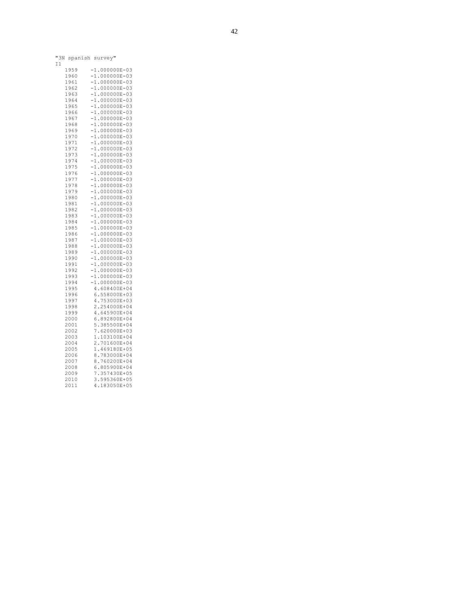| "3N | spanish survey" |   |  |  |  |                 |  |
|-----|-----------------|---|--|--|--|-----------------|--|
| 11  |                 |   |  |  |  |                 |  |
|     | 1959            |   |  |  |  | $-1.000000E-03$ |  |
|     | 1960            |   |  |  |  | $-1.000000E-03$ |  |
|     |                 |   |  |  |  |                 |  |
|     | 1961            |   |  |  |  | $-1.000000E-03$ |  |
|     | 1962            |   |  |  |  | $-1.000000E-03$ |  |
|     | 1963            |   |  |  |  | $-1.000000E-03$ |  |
|     | 1964            |   |  |  |  | $-1.000000E-03$ |  |
|     | 1965            |   |  |  |  | $-1.000000E-03$ |  |
|     | 1966            |   |  |  |  | $-1.000000E-03$ |  |
|     | 1967            |   |  |  |  | $-1.000000E-03$ |  |
|     | 1968            |   |  |  |  | $-1.000000E-03$ |  |
|     | 1969            |   |  |  |  | $-1.000000E-03$ |  |
|     | 1970            |   |  |  |  | $-1.000000E-03$ |  |
|     | 1971            |   |  |  |  | $-1.000000E-03$ |  |
|     | 1972            |   |  |  |  | $-1.000000E-03$ |  |
|     |                 |   |  |  |  | $-1.000000E-03$ |  |
|     | 1973            |   |  |  |  |                 |  |
|     | 1974            |   |  |  |  | $-1.000000E-03$ |  |
|     | 1975            |   |  |  |  | $-1.000000E-03$ |  |
|     | 1976            |   |  |  |  | $-1.000000E-03$ |  |
|     | 1977            |   |  |  |  | $-1.000000E-03$ |  |
|     | 1978            |   |  |  |  | $-1.000000E-03$ |  |
|     | 1979            |   |  |  |  | $-1.000000E-03$ |  |
|     | 1980            |   |  |  |  | $-1.000000E-03$ |  |
|     | 1981            |   |  |  |  | $-1.000000E-03$ |  |
|     | 1982            |   |  |  |  | $-1.000000E-03$ |  |
|     | 1983            |   |  |  |  | $-1.000000E-03$ |  |
|     | 1984            |   |  |  |  | $-1.000000E-03$ |  |
|     | 1985            |   |  |  |  | $-1.000000E-03$ |  |
|     | 1986            |   |  |  |  | $-1.000000E-03$ |  |
|     | 1987            |   |  |  |  | $-1.000000E-03$ |  |
|     | 1988            |   |  |  |  | $-1.000000E-03$ |  |
|     |                 |   |  |  |  | $-1.000000E-03$ |  |
|     | 1989            |   |  |  |  |                 |  |
|     | 1990            |   |  |  |  | $-1.000000E-03$ |  |
|     | 1991            |   |  |  |  | $-1.000000E-03$ |  |
|     | 1992            |   |  |  |  | $-1.000000E-03$ |  |
|     | 1993            |   |  |  |  | $-1.000000E-03$ |  |
|     | 1994            |   |  |  |  | $-1.000000E-03$ |  |
|     | 1995            |   |  |  |  | 4.608400E+04    |  |
|     | 1996            |   |  |  |  | 6.558000E+03    |  |
|     | 1997            |   |  |  |  | 4.753000E+03    |  |
|     | 1998            |   |  |  |  | 2.254000E+04    |  |
|     | 1999            |   |  |  |  | 4.645900E+04    |  |
|     | 2000            |   |  |  |  | 6.892800E+04    |  |
|     | 2001            |   |  |  |  | 5.385500E+04    |  |
|     | 2002            |   |  |  |  | 7.620000E+03    |  |
|     | 2003            |   |  |  |  | 1.103100E+04    |  |
|     | 2004            |   |  |  |  |                 |  |
|     | 2005            |   |  |  |  | 2.701600E+04    |  |
|     |                 |   |  |  |  | 1.469180E+05    |  |
|     | 2006            |   |  |  |  | 8.783000E+04    |  |
|     | 2007            |   |  |  |  | 8.760200E+04    |  |
|     | 2008            |   |  |  |  | 6.805900E+04    |  |
|     | 2009            |   |  |  |  | 7.357430E+05    |  |
|     | 2010            |   |  |  |  | 3.595360E+05    |  |
|     | 2011            | 4 |  |  |  | .183050E+05     |  |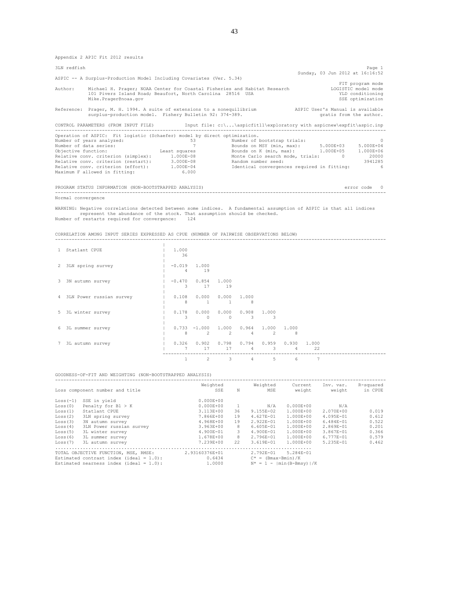Appendix 2 APIC Fit 2012 results

| 3LN redfish         |                                                                                                                                                                                                                                                                                                                           |                                              |                                                    | Page 1<br>Sunday, 03 Jun 2012 at 16:16:52                                                                                                                                                                           |
|---------------------|---------------------------------------------------------------------------------------------------------------------------------------------------------------------------------------------------------------------------------------------------------------------------------------------------------------------------|----------------------------------------------|----------------------------------------------------|---------------------------------------------------------------------------------------------------------------------------------------------------------------------------------------------------------------------|
|                     | ASPIC -- A Surplus-Production Model Including Covariates (Ver. 5.34)                                                                                                                                                                                                                                                      |                                              |                                                    |                                                                                                                                                                                                                     |
| Author:             | Michael H. Prager; NOAA Center for Coastal Fisheries and Habitat Research<br>101 Pivers Island Road; Beaufort, North Carolina 28516 USA<br>Mike.Prager@noaa.gov                                                                                                                                                           |                                              |                                                    | FIT program mode<br>LOGISTIC model mode<br>YLD conditioning<br>SSE optimization                                                                                                                                     |
|                     | surplus-production model. Fishery Bulletin 92: 374-389.                                                                                                                                                                                                                                                                   |                                              |                                                    | Reference: Prager, M. H. 1994. A suite of extensions to a nonequilibrium ASPIC User's Manual is available<br>gratis from the author.                                                                                |
|                     |                                                                                                                                                                                                                                                                                                                           |                                              |                                                    | CONTROL PARAMETERS (FROM INPUT FILE) [nput file: c:\\aspicfit11\exploratory with aspicnew\expfit\aspic.inp                                                                                                          |
| Objective function: | Operation of ASPIC: Fit logistic (Schaefer) model by direct optimization.<br>Number of years analyzed:<br>Number of data series:<br>Relative conv. criterion (simplex): 1.000E-08<br>Relative conv. criterion (restart): 3.000E-08<br>Relative conv. criterion (effort): 1.000E-04<br>Maximum F allowed in fitting: 6.000 | 53<br>7<br>Least squares                     | Number of bootstrap trials:<br>Random number seed: | $\Omega$<br>Bounds on MSY (min, max): 5.000E+03 5.000E+04<br>Bounds on K (min, max): 1.000E+05 1.000E+06<br>Monte Carlo search mode, trials: 0<br>20000<br>3941285<br>Identical convergences required in fitting: 6 |
|                     | PROGRAM STATUS INFORMATION (NON-BOOTSTRAPPED ANALYSIS)                                                                                                                                                                                                                                                                    |                                              |                                                    | error code 0                                                                                                                                                                                                        |
| Normal convergence  |                                                                                                                                                                                                                                                                                                                           |                                              |                                                    |                                                                                                                                                                                                                     |
|                     | represent the abundance of the stock. That assumption should be checked.<br>Number of restarts required for convergence: 124                                                                                                                                                                                              |                                              |                                                    | WARNING: Negative correlations detected between some indices. A fundamental assumption of ASPIC is that all indices                                                                                                 |
|                     | CORRELATION AMONG INPUT SERIES EXPRESSED AS CPUE (NUMBER OF PAIRWISE OBSERVATIONS BELOW)                                                                                                                                                                                                                                  |                                              |                                                    |                                                                                                                                                                                                                     |
| 1 Statlant CPUE     |                                                                                                                                                                                                                                                                                                                           | 1,000<br>36                                  |                                                    |                                                                                                                                                                                                                     |
|                     | 2 3LN spring survey                                                                                                                                                                                                                                                                                                       | $1 - 0.019$<br>1.000<br>$\overline{A}$<br>19 |                                                    |                                                                                                                                                                                                                     |

|   |                            | 4             | 19                  |             |            |            |            |             |  |
|---|----------------------------|---------------|---------------------|-------------|------------|------------|------------|-------------|--|
| 3 | 3N autumn survey           | $-0.470$<br>3 | 0.854<br>17         | 1,000<br>19 |            |            |            |             |  |
|   | 4 3LN Power russian survey | 0.108<br>8    | 0.000<br>1          | 0.000       | 1,000<br>8 |            |            |             |  |
| 5 | 3L winter survey           | 0.178<br>3    | 0.000<br>0          | 0.000<br>0  | 0.908<br>3 | 1.000<br>3 |            |             |  |
| 6 | 3L summer survey           | 8             | $0.733 -1.000$<br>2 | 1,000<br>2  | 0.964<br>4 | 1,000<br>2 | 1,000<br>8 |             |  |
|   | 3L autumn survey           | 0.326         | 0.902<br>17         | 0.798<br>17 | 0.794<br>4 | 0.959<br>3 | 0.930<br>4 | 1.000<br>22 |  |
|   |                            |               | 2                   | 3           | 4          | 5          | 6          | 7           |  |

|                       | GOODNESS-OF-FIT AND WEIGHTING (NON-BOOTSTRAPPED ANALYSIS)                                                                        |                                    |    |                                    |                                                     |                     |                      |
|-----------------------|----------------------------------------------------------------------------------------------------------------------------------|------------------------------------|----|------------------------------------|-----------------------------------------------------|---------------------|----------------------|
|                       | Loss component number and title                                                                                                  | Weighted<br>SSE                    | N  | Weighted<br>MSE                    | Current<br>weight                                   | Inv. var.<br>weight | R-squared<br>in CPUE |
| $Loss(-1)$<br>Loss(0) | SSE in yield<br>Penalty for $B1 > K$                                                                                             | $0.000E + 00$<br>$0.000E + 00$     |    | N/A                                | $0.000E + 00$                                       | N/A                 |                      |
| Loss(1)               | Statlant CPUE                                                                                                                    | 3.113E+00                          | 36 | 9.155E-02                          | 1.000E+00                                           | 2.070E+00           | 0.019                |
| Loss(2)               | 3LN spring survey                                                                                                                | 7.866E+00                          | 19 | $4.627E - 01$                      | 1.000E+00                                           | 4.095E-01           | 0.612                |
| Loss(3)               | 3N autumn survey                                                                                                                 | 4.968E+00                          | 19 | 2.922E-01                          | 1.000E+00                                           | $6.484E - 01$       | 0.522                |
| Loss(4)               | 3LN Power russian survey                                                                                                         | 3.963E+00                          | 8  | $6.605E - 01$                      | 1.000E+00                                           | 2.869E-01           | 0.201                |
| Loss(5)               | 3L winter survey                                                                                                                 | 4.900E-01                          | 3  | 4.900E-01                          | 1.000E+00                                           | 3.867E-01           | 0.366                |
| Loss(6)               | 3L summer survey                                                                                                                 | 1.678E+00                          | 8  | 2.796E-01                          | 1.000E+00                                           | 6.777E-01           | 0.579                |
| Loss(7)               | 3L autumn survey                                                                                                                 | 7.239E+00                          | 22 | 3.619E-01                          | 1.000E+00                                           | 5.235E-01           | 0.462                |
|                       | TOTAL OBJECTIVE FUNCTION, MSE, RMSE:<br>Estimated contrast index (ideal = $1.0$ ):<br>Estimated nearness index (ideal = $1.0$ ): | 2.93160376E+01<br>0.6434<br>1,0000 |    | 2.792E-01<br>$C^* = (Bmax-Bmin)/K$ | $5.284E - 01$<br>$N^* = 1 - \text{min}(B-Bmsv)$ / K |                     |                      |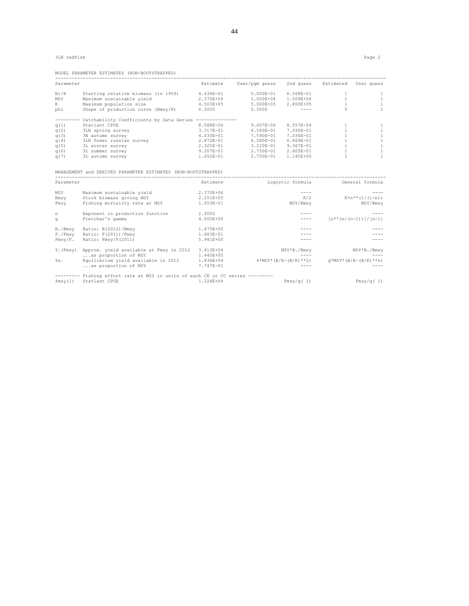3LN redfish Page 2

|  | MODEL PARAMETER ESTIMATES (NON-BOOTSTRAPPED) |  |
|--|----------------------------------------------|--|
|--|----------------------------------------------|--|

| Parameter |                                                                       | Estimate    | User/pqm quess | 2nd quess Estimated    |              | User quess                                              |
|-----------|-----------------------------------------------------------------------|-------------|----------------|------------------------|--------------|---------------------------------------------------------|
| B1/K      | Starting relative biomass (in 1959)                                   | 4.434E-01   | 5.000E-01      | 6.568E-01              | $\mathbf{1}$ | 1                                                       |
| MSY       | Maximum sustainable vield                                             | 2.370E+04   | 2.000E+04      | 1.509E+04              | $\mathbf{1}$ | 1                                                       |
| K         | Maximum population size                                               | 4.503E+05   | 5.000E+05      | 2.800E+05              | $\mathbf{1}$ | 1                                                       |
| phi       | Shape of production curve (Bmsy/K)                                    | 0.5000      | 0.5000         | $\frac{1}{2}$          | $\cap$       | $\mathbf{1}$                                            |
|           | Catchability Coefficients by Data Series --------------               |             |                |                        |              |                                                         |
| q(1)      | Statlant CPUE                                                         | 8.588E-06   | 9.007E-06      | 8.557E-04              | $\mathbf{1}$ | 1                                                       |
| q(2)      | 3LN spring survey                                                     | 3.317E-01   | 6.580E-01      | 7.095E-01              | 1            | 1                                                       |
| q(3)      | 3N autumn survey                                                      | 4.033E-01   | 7.590E-01      | 7.036E-01              | 1            | 1                                                       |
| q(4)      | 3LN Power russian survey                                              | 2.872E-01   | 6.580E-01      | 6.869E-01              | $\mathbf{1}$ | $\mathbf{1}$                                            |
| q(5)      | 3L winter survey                                                      | 2.325E-01   | 3.220E-01      | $9.367E - 01$          | $\mathbf{1}$ | $\mathbf{1}$                                            |
| q(6)      | 3L summer survey                                                      | 9.207E-01   | 2.750E-01      | 2.605E-01              | $\mathbf{1}$ | $\mathbf{1}$                                            |
| q(7)      | 3L autumn survey                                                      | $1.652E-01$ | 2.750E-01      | 1.140E+00              | $\mathbf{1}$ | $\mathbf{1}$                                            |
|           | MANAGEMENT and DERIVED PARAMETER ESTIMATES (NON-BOOTSTRAPPED)         |             |                |                        |              |                                                         |
|           |                                                                       |             |                |                        |              |                                                         |
| Parameter |                                                                       | Estimate    |                | Logistic formula       |              | General formula                                         |
| MSY       | Maximum sustainable vield                                             | 2.370E+04   |                |                        |              |                                                         |
| Bmsy      | Stock biomass giving MSY                                              | 2.251E+05   |                | K/2                    |              | $K^*n^{**}(1/(1-n))$                                    |
| Fmsy      | Fishing mortality rate at MSY                                         | 1.053E-01   |                | MSY/Bmsy               |              | MSY/Bmsy                                                |
| n         | Exponent in production function                                       | 2,0000      |                |                        |              |                                                         |
| $\sigma$  | Fletcher's gamma                                                      | 4.000E+00   |                | $\qquad \qquad - - -$  |              | $\lceil n^* \cdot (n/(n-1)) \rceil / \lceil n-1 \rceil$ |
| B./Bmsy   | Ratio: B(2012)/Bmsy                                                   | 1.475E+00   |                |                        |              |                                                         |
| F./Fmsv   | Ratio: F(2011)/Fmsy                                                   | 1.683E-01   |                |                        |              |                                                         |
| Fmsv/F.   | Ratio: Fmsy/F(2011)                                                   | 5.941E+00   |                |                        |              |                                                         |
|           | Y. (Fmsy) Approx. yield available at Fmsy in 2012                     | 3.413E+04   |                | MSY*B./Bmsy            |              | MSY*B./Bmsy                                             |
|           | as proportion of MSY                                                  | 1.440E+00   |                |                        |              |                                                         |
| Ye.       | Equilibrium yield available in 2012 1.836E+04<br>as proportion of MSY | 7.747E-01   |                | $4*MSY*(B/K-(B/K)**2)$ |              | $q*MSY*(B/K-(B/K)**n)$                                  |

|                       | -------- Fishing effort rate at MSY in units of each CE or CC series --------- |           |           |
|-----------------------|--------------------------------------------------------------------------------|-----------|-----------|
| fmsy(1) Statlant CPUE | 1.226E+04                                                                      | Fmsv/q(1) | Fmsv/q(1) |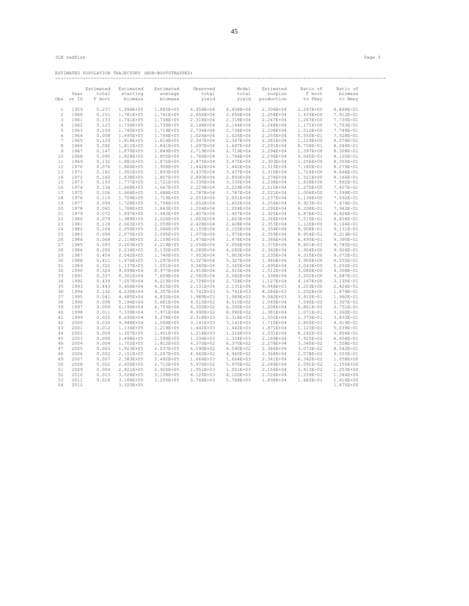ESTIMATED POPULATION TRAJECTORY (NON-BOOTSTRAPPED) ------------------------------------------------------------------------------------------------------------------------

|                |       | Estimated | Estimated     | Estimated | Observed      | Model         | Estimated  | Ratio of      | Ratio of      |
|----------------|-------|-----------|---------------|-----------|---------------|---------------|------------|---------------|---------------|
|                | Year  | total     | starting      | average   | total         | total         | surplus    | F mort        | biomass       |
| Obs            | or ID | F mort    | biomass       | biomass   | yield         | yield         | production | to Fmsy       | to Bmsy       |
| 1              | 1959  | 0.237     | 1.996E+05     | 1.885E+05 | 4.458E+04     | 4.458E+04     | 2.306E+04  | 2.247E+00     | 8.868E-01     |
| $\overline{c}$ | 1960  | 0.151     | 1.781E+05     | 1.761E+05 | 2.656E+04     | 2.656E+04     | 2.258E+04  | 1.433E+00     | 7.912E-01     |
| 3              | 1961  | 0.133     | 1.741E+05     | 1.738E+05 | 2.318E+04     | 2.318E+04     | 2.247E+04  | 1.267E+00     | 7.735E-01     |
| 4              | 1962  | 0.123     | 1.734E+05     | 1.739E+05 | 2.144E+04     | 2.144E+04     | 2.248E+04  | 1.171E+00     | 7.703E-01     |
| 5              | 1963  | 0.159     | 1.745E+05     | 1.719E+05 | 2.736E+04     | 2.736E+04     | 2.238E+04  | 1.512E+00     | 7.749E-01     |
| 6              | 1964  | 0.058     | 1.695E+05     | 1.756E+05 | 1.026E+04     | 1.026E+04     | 2.255E+04  | 5.550E-01     | 7.528E-01     |
| 7              | 1965  | 0.129     | 1.818E+05     | 1.814E+05 | 2.347E+04     | 2.347E+04     | 2.281E+04  | 1.229E+00     | 8.074E-01     |
| 8              | 1966  | 0.092     | 1.811E+05     | 1.841E+05 | 1.697E+04     | 1.697E+04     | 2.291E+04  | 8.758E-01     | 8.044E-01     |
| 9              | 1967  | 0.147     |               | 1.849E+05 | 2.719E+04     | 2.719E+04     | 2.294E+04  | 1.397E+00     | 8.308E-01     |
|                |       |           | 1.870E+05     |           |               |               |            |               |               |
| 10             | 1968  | 0.095     | 1.828E+05     | 1.855E+05 | 1.766E+04     | 1.766E+04     | 2.296E+04  | 9.045E-01     | 8.120E-01     |
| 11             | 1969  | 0.132     | 1.881E+05     | 1.872E+05 | 2.475E+04     | 2.475E+04     | 2.303E+04  | 1.256E+00     | 8.355E-01     |
| 12             | 1970  | 0.076     | 1.864E+05     | 1.908E+05 | 1.442E+04     | $1.442E + 04$ | 2.315E+04  | 7.180E-01     | 8.279E-01     |
| 13             | 1971  | 0.182     | 1.951E+05     | 1.893E+05 | 3.437E+04     | 3.437E+04     | 2.310E+04  | 1.724E+00     | 8.666E-01     |
| 14             | 1972  | 0.160     | 1.838E+05     | 1.807E+05 | 2.893E+04     | 2.893E+04     | 2.278E+04  | 1.521E+00     | 8.166E-01     |
| 15             | 1973  | 0.193     | 1.777E+05     | 1.721E+05 | 3.330E+04     | 3.330E+04     | 2.238E+04  | 1.838E+00     | 7.892E-01     |
| 16             | 1974  | 0.134     | 1.668E+05     | 1.667E+05 | 2.229E+04     | 2.229E+04     | 2.210E+04  | 1.270E+00     | 7.407E-01     |
| 17             | 1975  | 0.106     | 1.666E+05     | 1.688E+05 | 1.787E+04     | 1.787E+04     | 2.221E+04  | 1.006E+00     | 7.399E-01     |
| 18             | 1976  | 0.119     | 1.709E+05     | 1.719E+05 | 2.051E+04     | 2.051E+04     | 2.237E+04  | 1.134E+00     | 7.592E-01     |
| 19             | 1977  | 0.094     | 1.728E+05     | 1.758E+05 | 1.652E+04     | $1.652E + 04$ | 2.256E+04  | 8.923E-01     | 7.674E-01     |
| 20             | 1978  | 0.065     | 1.788E+05     | 1.843E+05 | 1.204E+04     | 1.204E+04     | 2.292E+04  | 6.208E-01     | 7.943E-01     |
| 21             | 1979  | 0.072     | 1.897E+05     | 1.943E+05 | 1.407E+04     | 1.407E+04     | 2.325E+04  | 6.876E-01     | 8.426E-01     |
| 22             | 1980  | 0.079     | 1.989E+05     | 2.026E+05 | 1.603E+04     | 1.603E+04     | 2.346E+04  | 7.515E-01     | 8.834E-01     |
| 23             | 1981  | 0.118     | 2.063E+05     | 2.059E+05 | 2.428E+04     | 2.428E+04     | 2.353E+04  | 1.120E+00     | $9.164E - 01$ |
| 24             | 1982  | 0.104     | 2.056E+05     | 2.066E+05 | 2.155E+04     | 2.155E+04     | 2.354E+04  | 9.908E-01     | 9.131E-01     |
| 25             | 1983  | 0.094     | 2.075E+05     | 2.095E+05 | 1.975E+04     | 1.975E+04     | 2.359E+04  | 8.954E-01     | 9.219E-01     |
| 26             | 1984  | 0.068     | 2.114E+05     | 2.159E+05 | 1.476E+04     | 1.476E+04     | 2.366E+04  | 6.495E-01     | 9.390E-01     |
| 27             | 1985  | 0.093     | 2.203E+05     | 2.219E+05 | 2.056E+04     | 2.056E+04     | 2.370E+04  | 8.801E-01     | 9.785E-01     |
| 28             | 1986  | 0.200     | 2.234E+05     | 2.135E+05 | 4.280E+04     | 4.280E+04     | 2.362E+04  | 1.904E+00     | $9.924E - 01$ |
| 29             | 1987  | 0.454     | 2.042E+05     | 1.740E+05 | 7.903E+04     | 7.903E+04     | 2.235E+04  | 4.315E+00     | 9.072E-01     |
| 30             | 1988  | 0.411     | 1.476E+05     | 1.297E+05 | 5.327E+04     | 5.327E+04     | 1.940E+04  | 3.900E+00     | $6.555E - 01$ |
| 31             | 1989  | 0.320     | 1.137E+05     | 1.051E+05 | $3.365E + 04$ | 3.365E+04     | 1.695E+04  | $3.043E + 00$ | 5.050E-01     |
| 32             | 1990  | 0.324     | 9.699E+04     | 8.977E+04 | 2.910E+04     | 2.910E+04     | 1.512E+04  | 3.080E+00     | 4.308E-01     |
| 33             | 1991  | 0.337     | 8.301E+04     | 7.659E+04 | 2.582E+04     | 2.582E+04     | 1.338E+04  | 3.202E+00     | 3.687E-01     |
| 34             | 1992  | 0.439     | 7.057E+04     | 6.219E+04 | 2.728E+04     | 2.728E+04     | 1.127E+04  | 4.167E+00     | 3.135E-01     |
| 35             | 1993  | 0.443     | 5.456E+04     | 4.815E+04 | 2.131E+04     | 2.131E+04     | 9.048E+03  | 4.203E+00     | 2.424E-01     |
| 36             | 1994  | 0.132     | 4.230E+04     | 4.357E+04 | 5.741E+03     | 5.741E+03     | 8.286E+03  | 1.252E+00     | 1.879E-01     |
| 37             | 1995  | 0.041     | 4.485E+04     | 4.832E+04 | 1.989E+03     | 1.989E+03     | 9.080E+03  | 3.910E-01     | 1.992E-01     |
| 38             | 1996  | 0.008     | 5.194E+04     | 5.681E+04 | 4.510E+02     | 4.510E+02     | 1.045E+04  | 7.540E-02     | 2.307E-01     |
| 39             | 1997  | 0.009     | $6.194E + 04$ | 6.753E+04 | 6.300E+02     | 6.300E+02     | 1.208E+04  | 8.861E-02     | 2.751E-01     |
| 40             | 1998  | 0.011     | 7.339E+04     | 7.971E+04 | 8.990E+02     | 8.990E+02     | 1.381E+04  | 1.071E-01     | 3.260E-01     |
| 41             | 1999  | 0.025     | 8.630E+04     | 9.278E+04 | 2.318E+03     | 2.318E+03     | 1.550E+04  | 2.373E-01     | 3.833E-01     |
| 42             | 2000  | 0.030     | 9.948E+04     | 1.064E+05 | 3.141E+03     | 3.141E+03     | 1.710E+04  | 2.805E-01     | 4.419E-01     |
| 43             | 2001  | 0.012     | 1.134E+05     | 1.219E+05 | 1.442E+03     | 1.442E+03     | 1.871E+04  | 1.123E-01     | 5.039E-01     |
| 44             | 2002  | 0.009     | 1.307E+05     | 1.401E+05 | 1.216E+03     | 1.216E+03     | 2.031E+04  | 8.242E-02     | 5.806E-01     |
| 45             | 2003  | 0.008     | 1.498E+05     | 1.599E+05 | 1.334E+03     | 1.334E+03     | 2.169E+04  | 7.925E-02     | $6.654E - 01$ |
| 46             | 2004  | 0.004     | 1.702E+05     | 1.812E+05 | 6.370E+02     | 6.370E+02     | 2.278E+04  | 3.340E-02     | 7.558E-01     |
| 47             | 2005  | 0.003     | 1.923E+05     | 2.037E+05 | 6.590E+02     | 6.590E+02     | 2.346E+04  | 3.073E-02     | 8.542E-01     |
| 48             | 2006  | 0.002     | 2.151E+05     | 2.267E+05 | 4.960E+02     | 4.960E+02     | 2.368E+04  | 2.078E-02     | 9.555E-01     |
| 49             | 2007  | 0.007     | 2.383E+05     | 2.492E+05 | 1.664E+03     | 1.664E+03     | 2.341E+04  | $6.342E - 02$ | 1.058E+00     |
| 50             | 2008  | 0.002     | 2.600E+05     | 2.712E+05 | 5.970E+02     | 5.970E+02     | 2.269E+04  | 2.091E-02     | 1.155E+00     |
| 51             | 2009  | 0.004     | 2.821E+05     | 2.925E+05 | 1.051E+03     | 1.051E+03     | 2.156E+04  | 3.413E-02     | 1.253E+00     |
| 52             | 2010  | 0.013     | $3.026E + 05$ | 3.108E+05 | 4.120E+03     | 4.120E+03     | 2.026E+04  | 1.259E-01     | 1.344E+00     |
| 53             | 2011  | 0.018     | 3.188E+05     | 3.255E+05 | 5.768E+03     | 5.768E+03     | 1.898E+04  | 1.683E-01     | 1.416E+00     |
| 54             | 2012  |           | 3.320E+05     |           |               |               |            |               | 1.475E+00     |
|                |       |           |               |           |               |               |            |               |               |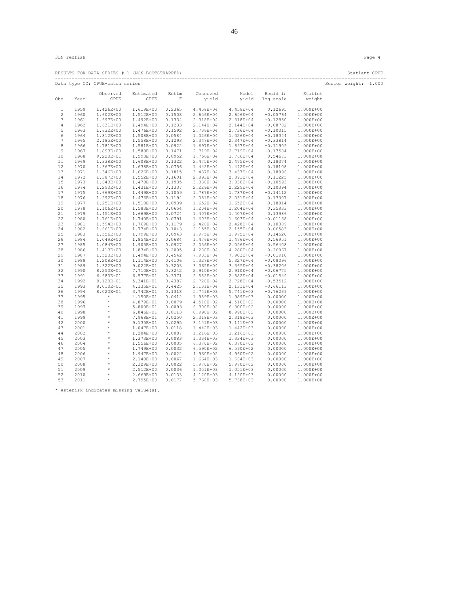|              |              |                                 | RESULTS FOR DATA SERIES # 1 (NON-BOOTSTRAPPED) |             |                        |                              |                    |                        | Statlant CPUE<br>--------------------------- |  |
|--------------|--------------|---------------------------------|------------------------------------------------|-------------|------------------------|------------------------------|--------------------|------------------------|----------------------------------------------|--|
|              |              | Data type CC: CPUE-catch series |                                                |             |                        |                              |                    |                        | Series weight: 1.000                         |  |
|              |              | Observed                        | Estimated                                      | Estim       | Observed               | Model                        | Resid in           | Statist                |                                              |  |
| Obs          | Year         | CPUE                            | CPUE                                           | $\mathbb F$ | yield                  | yield                        | log scale          | weight                 |                                              |  |
| $\mathbf{1}$ | 1959         | 1.426E+00                       | 1.619E+00                                      | 0.2365      | 4.458E+04              | 4.458E+04                    | 0.12695            | 1.000E+00              |                                              |  |
| 2            | 1960         | 1.602E+00                       | 1.512E+00                                      | 0.1508      | 2.656E+04              | 2.656E+04                    | $-0.05764$         | 1.000E+00              |                                              |  |
| 3            | 1961         | 1.697E+00                       | 1.492E+00                                      | 0.1334      | 2.318E+04              | 2.318E+04                    | $-0.12850$         | 1.000E+00              |                                              |  |
| 4            | 1962         | 1.631E+00                       | 1.494E+00                                      | 0.1233      | 2.144E+04              | 2.144E+04                    | $-0.08782$         | 1.000E+00              |                                              |  |
| 5            | 1963         | 1.632E+00                       | 1.476E+00                                      | 0.1592      | 2.736E+04              | 2.736E+04                    | $-0.10015$         | 1.000E+00              |                                              |  |
| 6            | 1964         | 1.812E+00                       | 1.508E+00                                      | 0.0584      | 1.026E+04              | 1.026E+04                    | $-0.18344$         | 1.000E+00              |                                              |  |
| 7            | 1965         | 2.185E+00                       | 1.558E+00                                      | 0.1293      | 2.347E+04              | 2.347E+04                    | $-0.33814$         | 1.000E+00              |                                              |  |
| 8            | 1966         | 1.781E+00                       | 1.581E+00                                      | 0.0922      | 1.697E+04              | 1.697E+04                    | $-0.11909$         | 1.000E+00              |                                              |  |
| 9            | 1967         | 1.893E+00                       | 1.588E+00                                      | 0.1471      | 2.719E+04              | 2.719E+04                    | $-0.17584$         | 1.000E+00              |                                              |  |
| 10           | 1968         | $9.220E - 01$                   | 1.593E+00                                      | 0.0952      | 1.766E+04              | 1.766E+04                    | 0.54673            | 1.000E+00              |                                              |  |
| 11           | 1969         | 1.338E+00                       | 1.608E+00                                      | 0.1322      | 2.475E+04              | 2.475E+04                    | 0.18374            | 1.000E+00              |                                              |  |
| 12           | 1970         | 1.367E+00                       | 1.638E+00                                      | 0.0756      | 1.442E+04              | 1.442E+04                    | 0.18108            | 1.000E+00              |                                              |  |
| 13           | 1971         | 1.346E+00                       | 1.626E+00                                      | 0.1815      | 3.437E+04              | 3.437E+04                    | 0.18896            | 1.000E+00              |                                              |  |
| 14           | 1972         | 1.387E+00                       | 1.552E+00                                      | 0.1601      | 2.893E+04              | 2.893E+04                    | 0.11225            | 1.000E+00              |                                              |  |
| 15           | 1973         | 1.643E+00                       | 1.478E+00                                      | 0.1935      |                        | 3.330E+04 3.330E+04          | $-0.10593$         | 1.000E+00              |                                              |  |
| 16           | 1974         | 1.290E+00                       | 1.431E+00                                      | 0.1337      | 2.229E+04              | 2.229E+04                    | 0.10394            | 1.000E+00              |                                              |  |
| 17           | 1975         | 1.669E+00                       | 1.449E+00                                      | 0.1059      | 1.787E+04   1.787E+04  |                              | $-0.14112$         | 1.000E+00              |                                              |  |
| 18           | 1976         | 1.292E+00                       | 1.476E+00                                      | 0.1194      | 2.051E+04              | 2.051E+04                    | 0.13307            | 1.000E+00              |                                              |  |
| 19           | 1977         | 1.251E+00                       | 1.510E+00                                      | 0.0939      |                        | 1.652E+04 1.652E+04          | 0.18814            | 1.000E+00              |                                              |  |
| 20           | 1978         | 1.106E+00                       | 1.583E+00                                      | 0.0654      | 1.204E+04              | 1.204E+04                    | 0.35833            | 1.000E+00              |                                              |  |
| 21           | 1979         |                                 | 1.451E+00  1.669E+00  0.0724                   |             | 1.407E+04 1.407E+04    |                              | 0.13986            | 1.000E+00              |                                              |  |
| 22           | 1980         | 1.761E+00                       | 1.740E+00                                      | 0.0791      | 1.603E+04              | 1.603E+04                    | $-0.01188$         | 1.000E+00              |                                              |  |
| 23           | 1981         | 1.594E+00                       | 1.769E+00 0.1179                               |             |                        | 2.428E+04 2.428E+04          | 0.10389            | 1.000E+00              |                                              |  |
| 24           | 1982         | 1.661E+00                       | 1.774E+00                                      | 0.1043      | 2.155E+04              | 2.155E+04                    | 0.06583            | 1.000E+00              |                                              |  |
| 25           | 1983         | 1.556E+00                       | 1.799E+00                                      | 0.0943      | 1.975E+04 1.975E+04    |                              | 0.14520            | 1.000E+00              |                                              |  |
| 26           | 1984         | 1.049E+00                       | 1.854E+00                                      | 0.0684      | 1.476E+04              | 1.476E+04                    | 0.56951            | 1.000E+00              |                                              |  |
| 27<br>28     | 1985<br>1986 | 1.084E+00<br>1.413E+00          | 1.905E+00 0.0927<br>1.834E+00                  | 0.2005      | 2.056E+04<br>4.280E+04 | 2.056E+04<br>4.280E+04       | 0.56408<br>0.26067 | 1.000E+00<br>1.000E+00 |                                              |  |
| 29           | 1987         | 1.523E+00                       | 1.494E+00 0.4542                               |             |                        | 7.903E+04 7.903E+04 -0.01910 |                    | 1.000E+00              |                                              |  |
| 30           | 1988         | 1.208E+00                       | 1.114E+00                                      | 0.4106      | 5.327E+04              | 5.327E+04                    | $-0.08096$         | 1.000E+00              |                                              |  |
| 31           | 1989         |                                 | 1.322E+00 9.022E-01 0.3203                     |             | 3.365E+04              | 3.365E+04                    | $-0.38206$         | 1.000E+00              |                                              |  |
| 32           | 1990         | 8.250E-01                       | 7.710E-01                                      | 0.3242      | 2.910E+04              | 2.910E+04                    | $-0.06775$         | 1.000E+00              |                                              |  |
| 33           | 1991         | $6.680E - 01$                   | 6.577E-01 0.3371                               |             | 2.582E+04              | 2.582E+04                    | $-0.01549$         | 1.000E+00              |                                              |  |
| 34           | 1992         | 9.120E-01                       | 5.341E-01                                      | 0.4387      | 2.728E+04              | 2.728E+04                    | $-0.53512$         | 1.000E+00              |                                              |  |
| 35           | 1993         | 8.010E-01                       | 4.135E-01 0.4425                               |             | 2.131E+04              | 2.131E+04                    | $-0.66113$         | 1.000E+00              |                                              |  |
| 36           | 1994         | 8.020E-01                       | 3.742E-01                                      | 0.1318      | 5.741E+03              | 5.741E+03                    | $-0.76239$         | 1.000E+00              |                                              |  |
| 37           | 1995         | $\star$                         | 4.150E-01  0.0412                              |             |                        | 1.989E+03 1.989E+03          | 0.00000            | 1.000E+00              |                                              |  |
| 38           | 1996         | $\star$                         | 4.879E-01                                      | 0.0079      | 4.510E+02              | 4.510E+02                    | 0.00000            | 1.000E+00              |                                              |  |
| 39           | 1997         | $\star$                         | 5.800E-01 0.0093                               |             |                        | 6.300E+02    6.300E+02       | 0.00000            | 1.000E+00              |                                              |  |
| 40           | 1998         | $\star$                         | $6.846E-01$                                    | 0.0113      | 8.990E+02              | 8.990E+02                    | 0.00000            | 1.000E+00              |                                              |  |
| 41           | 1999         | $\star$                         | 7.968E-01                                      | 0.0250      | 2.318E+03              | 2.318E+03                    | 0.00000            | 1.000E+00              |                                              |  |
| 42           | 2000         | $^{\star}$                      | 9.135E-01                                      | 0.0295      | 3.141E+03              | 3.141E+03                    | 0.00000            | 1.000E+00              |                                              |  |
| 43           | 2001         | $^{\star}$                      | 1.047E+00                                      | 0.0118      | 1.442E+03              | 1.442E+03                    | 0.00000            | 1.000E+00              |                                              |  |
| 44           | 2002         | $\star$                         | 1.204E+00                                      | 0.0087      | 1.216E+03              | 1.216E+03                    | 0.00000            | 1.000E+00              |                                              |  |
| 45           | 2003         | $\star$                         | 1.373E+00                                      | 0.0083      | 1.334E+03              | 1.334E+03                    | 0.00000            | 1.000E+00              |                                              |  |
| 46           | 2004         | $^{\star}$                      | 1.556E+00                                      | 0.0035      | 6.370E+02    6.370E+02 |                              | 0.00000            | 1.000E+00              |                                              |  |
| 47           | 2005         | $\star$                         | 1.749E+00                                      | 0.0032      | 6.590E+02              | 6.590E+02                    | 0.00000            | 1.000E+00              |                                              |  |
| 48           | 2006         | $\star$                         | 1.947E+00                                      | 0.0022      | 4.960E+02              | 4.960E+02                    | 0.00000            | 1.000E+00              |                                              |  |
| 49           | 2007         | $\star$                         | 2.140E+00                                      | 0.0067      | 1.664E+03              | 1.664E+03                    | 0.00000            | 1.000E+00              |                                              |  |
| 50           | 2008         | $^{\star}$                      | 2.329E+00                                      | 0.0022      |                        | 5.970E+02 5.970E+02          | 0.00000            | 1.000E+00              |                                              |  |
| 51           | 2009         | $\star$                         | 2.512E+00                                      | 0.0036      | 1.051E+03              | 1.051E+03                    | 0.00000            | 1.000E+00              |                                              |  |
| 52           | 2010         | $^{\star}$                      | 2.669E+00                                      | 0.0133      | 4.120E+03              | 4.120E+03                    | 0.00000            | 1.000E+00              |                                              |  |
| 53           | 2011         | $^{\star}$                      | 2.795E+00                                      | 0.0177      | 5.768E+03              | 5.768E+03                    | 0.00000            | 1.000E+00              |                                              |  |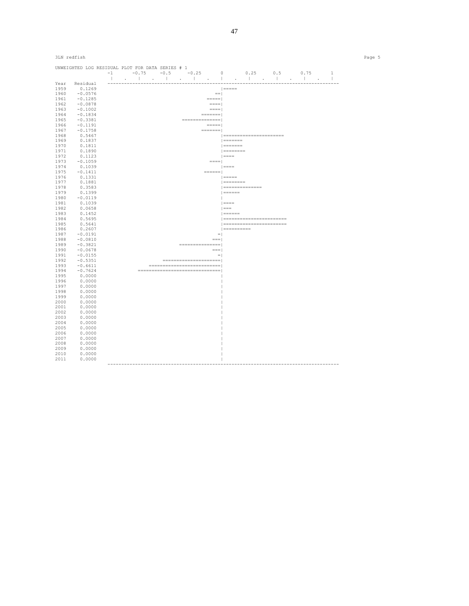|              | 3LN redfish      |                                                  | Page 5                    |
|--------------|------------------|--------------------------------------------------|---------------------------|
|              |                  | UNWEIGHTED LOG RESIDUAL PLOT FOR DATA SERIES # 1 |                           |
|              |                  |                                                  |                           |
| Year         | Residual         |                                                  |                           |
| 1959         | 0.1269           |                                                  | $ $ =====                 |
| 1960         | $-0.0576$        | $==$                                             |                           |
| 1961         | $-0.1285$        | $====$                                           |                           |
| 1962         | $-0.0878$        | $=$ $=$ $=$ $=$ $\pm$                            |                           |
| 1963         | $-0.1002$        | $=$ $=$ $=$ $=$ $\pm$                            |                           |
| 1964         | $-0.1834$        | $=$ $=$ $=$ $=$ $=$ $=$ $\pm$                    |                           |
| 1965         | $-0.3381$        | $=$ ===============                              |                           |
| 1966         | $-0.1191$        | $=$ $=$ $=$ $=$ $\vdash$                         |                           |
| 1967         | $-0.1758$        | $=$ $=$ $=$ $=$ $=$ $=$ $=$ $ $                  | ========================  |
| 1968         | 0.5467           |                                                  | $ $ =======               |
| 1969<br>1970 | 0.1837<br>0.1811 |                                                  | $  = = = = = = = =$       |
| 1971         | 0.1890           |                                                  | $ $                       |
| 1972         | 0.1123           |                                                  | $  == ==$                 |
| 1973         | $-0.1059$        | $=$                                              |                           |
| 1974         | 0.1039           |                                                  | $  == ==$                 |
| 1975         | $-0.1411$        | $\qquad \qquad =\qquad \qquad$                   |                           |
| 1976         | 0.1331           |                                                  | $  == == =$               |
| 1977         | 0.1881           |                                                  | $  = 22222222222$         |
| 1978         | 0.3583           |                                                  | $ $ =================     |
| 1979         | 0.1399           |                                                  | $  = 1$                   |
| 1980         | $-0.0119$        |                                                  | $\mathbb{R}$              |
| 1981         | 0.1039           |                                                  | $  == ==$                 |
| 1982         | 0.0658           |                                                  | $  == =$                  |
| 1983         | 0.1452           |                                                  | $ $ ======                |
| 1984         | 0.5695           |                                                  | ========================= |
| 1985         | 0.5641           |                                                  | ========================= |
| 1986         | 0.2607           |                                                  | $ $ ===========           |
| 1987         | $-0.0191$        | $= 1$                                            |                           |
| 1988         | $-0.0810$        | $==$                                             |                           |
| 1989         | $-0.3821$        | ===============                                  |                           |
| 1990         | $-0.0678$        | $==$                                             |                           |
| 1991         | $-0.0155$        | $=$ $\overline{ }$                               |                           |
| 1992         | $-0.5351$        | =======================                          |                           |
| 1993         | $-0.6611$        | ----------------------------                     |                           |
| 1994         | $-0.7624$        | --------------------------------                 |                           |
| 1995         | 0.0000           |                                                  |                           |
| 1996         | 0.0000           |                                                  |                           |
| 1997         | 0.0000           |                                                  |                           |
| 1998         | 0.0000           |                                                  |                           |
| 1999         | 0.0000           |                                                  |                           |
| 2000         | 0.0000           |                                                  |                           |
| 2001<br>2002 | 0.0000           |                                                  |                           |
| 2003         | 0.0000<br>0.0000 |                                                  |                           |
| 2004         | 0.0000           |                                                  |                           |
| 2005         | 0.0000           |                                                  |                           |
| 2006         | 0.0000           |                                                  |                           |
| 2007         | 0.0000           |                                                  |                           |
| 2008         | 0.0000           |                                                  |                           |
| 2009         | 0.0000           |                                                  |                           |
| 2010         | 0.0000           |                                                  |                           |
| 2011         | 0.0000           |                                                  |                           |
|              |                  |                                                  |                           |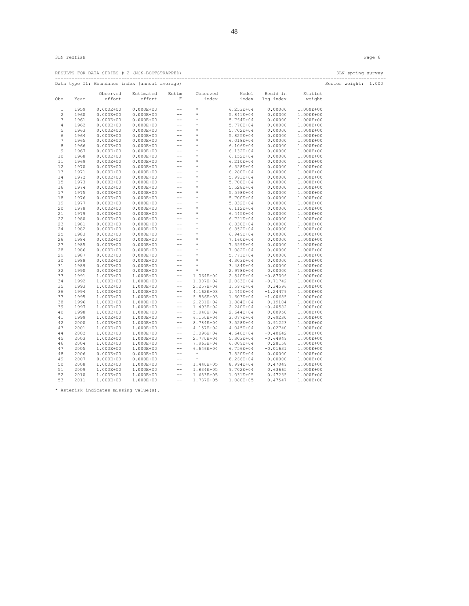|              | 3LN redfish  |                                                |                                                                                                                                                                                                                                          |                                               |                          |                        |                             |                        |                      | Page 6 |
|--------------|--------------|------------------------------------------------|------------------------------------------------------------------------------------------------------------------------------------------------------------------------------------------------------------------------------------------|-----------------------------------------------|--------------------------|------------------------|-----------------------------|------------------------|----------------------|--------|
|              |              | RESULTS FOR DATA SERIES # 2 (NON-BOOTSTRAPPED) |                                                                                                                                                                                                                                          |                                               |                          |                        |                             |                        | 3LN spring survey    |        |
|              |              | Data type I1: Abundance index (annual average) |                                                                                                                                                                                                                                          |                                               |                          |                        |                             |                        | Series weight: 1.000 |        |
| Obs          | Year         | Observed<br>effort                             | Estimated<br>effort                                                                                                                                                                                                                      | Estim<br>F                                    | Observed<br>index        | Model                  | Resid in<br>index log index | Statist<br>weight      |                      |        |
| $\mathbf{1}$ | 1959         | $0.000E + 00$                                  | $0.000E + 00$                                                                                                                                                                                                                            | $\rightarrow$ $\rightarrow$                   | $\star$                  | $6.253E + 04$          | 0.00000                     | 1.000E+00              |                      |        |
| 2            | 1960         |                                                | $0.000E+00$ $0.000E+00$                                                                                                                                                                                                                  | $\rightarrow$ $\rightarrow$                   | $\star$                  | 5.841E+04              | 0.00000                     | 1.000E+00              |                      |        |
| 3            | 1961         | $0.000E + 00$                                  | $0.000E + 00$                                                                                                                                                                                                                            | $\rightarrow$ $\rightarrow$                   | $\star$                  | 5.764E+04              | 0.00000                     | 1.000E+00              |                      |        |
| 4            | 1962         | $0.000E + 00$                                  | $0.000E + 00$                                                                                                                                                                                                                            | $\rightarrow$ $\rightarrow$                   | $^\star$                 | 5.770E+04              | 0.00000                     | 1.000E+00              |                      |        |
| 5            | 1963         | $0.000E + 00$                                  | $0.000E + 00$                                                                                                                                                                                                                            | $- -$ .                                       | $^{\star}$               | 5.702E+04              | 0.00000                     | 1.000E+00              |                      |        |
| 6            | 1964         | $0.000E + 00$                                  | $0.000E + 00$                                                                                                                                                                                                                            | $\mathbb{Z}$                                  |                          | 5.825E+04              | 0.00000                     | 1.000E+00              |                      |        |
| 7            | 1965         | $0.000E + 00$                                  | $0.000E + 00$                                                                                                                                                                                                                            |                                               | $\star$                  | 6.018E+04              | 0.00000                     | 1.000E+00              |                      |        |
| 8            | 1966         | $0.000E + 00$                                  | $0.000E + 00$                                                                                                                                                                                                                            | $-\,-$                                        | $\rightarrow$            | $6.106E + 04$          | 0.00000                     | 1.000E+00              |                      |        |
| 9            | 1967         | $0.000E + 00$                                  | $\begin{array}{cccc} 0.000E+00 & & & & & & \\ 0.000E+00 & & & & & & \\ 0.000E+00 & & & & & & \\ 0.000E+00 & & & & & & \\ 0.000E+00 & & & & & & \\ 0.000E+00 & & & & & & \\ \end{array}$                                                  |                                               | $^{\star}$               | $6.132E + 04$          | 0.00000                     | 1.000E+00              |                      |        |
| 10           | 1968         | $0.000E + 00$                                  |                                                                                                                                                                                                                                          |                                               | $^{\star}$               | $6.152E + 04$          | 0.00000                     | 1.000E+00              |                      |        |
| 11           | 1969         | $0.000E + 00$                                  |                                                                                                                                                                                                                                          |                                               | $\star$                  | 6.210E+04              | 0.00000                     | 1.000E+00              |                      |        |
| 12           | 1970         | $0.000E + 00$                                  |                                                                                                                                                                                                                                          |                                               | $^{\star}$               | 6.328E+04              | 0.00000                     | 1.000E+00              |                      |        |
| 13           | 1971         | $0.000E + 00$                                  |                                                                                                                                                                                                                                          |                                               | $\star$                  | 6.280E+04              | 0.00000                     | 1.000E+00              |                      |        |
| 14           | 1972         | $0.000E + 00$                                  | $0.000E + 00$                                                                                                                                                                                                                            | $-\, -$                                       |                          | 5.993E+04              | 0.00000                     | 1.000E+00              |                      |        |
| 15           | 1973         | $0.000E + 00$                                  |                                                                                                                                                                                                                                          |                                               | $\star$                  | 5.708E+04              | 0.00000                     | 1.000E+00              |                      |        |
| 16           | 1974         | $0.000E + 00$                                  |                                                                                                                                                                                                                                          |                                               | $^{\star}$               | 5.528E+04              | 0.00000                     | 1.000E+00              |                      |        |
| 17           | 1975         | $0.000E + 00$                                  |                                                                                                                                                                                                                                          |                                               | $^{\star}$               | 5.598E+04              | 0.00000                     | 1.000E+00              |                      |        |
| 18           | 1976         | $0.000E + 00$                                  | $\begin{array}{cccc} 0.000E+00 & & & & & & \\ 0.000E+00 & & & & & & \\ 0.000E+00 & & & & & \\ 0.000E+00 & & & & & \\ 0.000E+00 & & & & & \\ \end{array}$                                                                                 |                                               | $^{\star}$               | 5.700E+04              | 0.00000                     | 1.000E+00              |                      |        |
| 19           | 1977         |                                                |                                                                                                                                                                                                                                          |                                               | $\star$                  | 5.832E+04              | 0.00000                     | 1.000E+00              |                      |        |
| 20           | 1978         |                                                |                                                                                                                                                                                                                                          |                                               | $^{\star}$               | 6.112E+04              | 0.00000                     | 1.000E+00              |                      |        |
| 21           | 1979         |                                                |                                                                                                                                                                                                                                          |                                               | $\star$<br>$\star$       | 6.445E+04              | 0.00000                     | 1.000E+00              |                      |        |
| 22           | 1980         |                                                |                                                                                                                                                                                                                                          |                                               |                          | 6.721E+04              | 0.00000                     | 1.000E+00              |                      |        |
| 23           | 1981         |                                                |                                                                                                                                                                                                                                          |                                               | $^{\star}$<br>$^{\star}$ | 6.830E+04              | 0.00000                     | 1.000E+00              |                      |        |
| 24           | 1982         |                                                | $\begin{array}{cccc} 0.000E+00 & 0.000E+v\infty \\ 0.000E+00 & 0.000E+00 & -- \\ 0.000E+00 & 0.000E+00 & -- \\ 0.000E+00 & 0.000E+00 & -- \\ 0.000E+00 & 0.000E+00 & -- \\ 0.000E+00 & 0.000E+00 & -- \\ -1 & 0 & 0 & -- \\ \end{array}$ |                                               | $\star$                  | 6.852E+04              | 0.00000                     | 1.000E+00              |                      |        |
| 25           | 1983         |                                                | $\begin{array}{cccc} 0.000\text{E}+00 & 0.000\text{E}+00 \\ 0.000\text{E}+00 & 0.000\text{E}+00 \\ 0.000\text{E}+00 & 0.000\text{E}+00 \\ 0.000\text{E}+00 & 0.000\text{E}+00 \\ 0.000\text{E}+00 & 0.000\text{E}+00 \end{array}$        | $\rightarrow$ $\rightarrow$                   | $^{\star}$               | 6.949E+04              | 0.00000                     | 1.000E+00              |                      |        |
| 26<br>27     | 1984<br>1985 |                                                |                                                                                                                                                                                                                                          | $\rightarrow$ $\rightarrow$                   | $\star$                  | 7.160E+04              | 0.00000                     | 1.000E+00              |                      |        |
| 28           | 1986         |                                                |                                                                                                                                                                                                                                          | $-\,-$                                        | $\star$                  | 7.359E+04<br>7.082E+04 | 0.00000<br>0.00000          | 1.000E+00<br>1.000E+00 |                      |        |
| 29           | 1987         |                                                |                                                                                                                                                                                                                                          | $-\,-$<br>$\sim$ $-$                          | $\star$                  | 5.771E+04              | 0.00000                     | 1.000E+00              |                      |        |
| 30           | 1988         | $0.000E + 00$                                  | $0.000E + 00$                                                                                                                                                                                                                            | $\rightarrow$ $\rightarrow$                   | $^{\star}$               | 4.303E+04              | 0.00000                     | 1.000E+00              |                      |        |
| 31           | 1989         |                                                | $0.000E+00$ $0.000E+00$                                                                                                                                                                                                                  | $\rightarrow$ $\rightarrow$                   | $\sim$ $ \star$          | 3.484E+04              | 0.00000                     | 1.000E+00              |                      |        |
| 32           | 1990         | $0.000E + 00$                                  | $0.000E + 00$                                                                                                                                                                                                                            | $\mathord{\hspace{1pt}\text{--}\hspace{1pt}}$ | $\rightarrow$            | 2.978E+04              | 0.00000                     | 1.000E+00              |                      |        |
| 33           | 1991         | 1.000E+00                                      | 1.000E+00                                                                                                                                                                                                                                | $-\,-$                                        | $1.064E + 04$            | 2.540E+04              | $-0.87006$                  | 1.000E+00              |                      |        |
| 34           | 1992         | 1.000E+00                                      | 1.000E+00                                                                                                                                                                                                                                | $- -$                                         | 1.007E+04                | 2.063E+04              | $-0.71742$                  | 1.000E+00              |                      |        |
| 35           | 1993         | 1.000E+00                                      | 1.000E+00                                                                                                                                                                                                                                | $-\,-$                                        | 2.257E+04                | 1.597E+04              | 0.34596                     | 1.000E+00              |                      |        |
| 36           | 1994         | 1.000E+00                                      | 1.000E+00                                                                                                                                                                                                                                | $- -$                                         | 4.162E+03                | 1.445E+04              | $-1.24479$                  | 1.000E+00              |                      |        |
| 37           | 1995         | 1.000E+00                                      | 1.000E+00                                                                                                                                                                                                                                | $\rightarrow$ $\rightarrow$                   | 5.856E+03                | 1.603E+04              | $-1.00685$                  | 1.000E+00              |                      |        |
| 38           | 1996         | 1.000E+00                                      | 1.000E+00                                                                                                                                                                                                                                | $\rightarrow$ $\rightarrow$                   | 2.281E+04                | 1.884E+04              | 0.19104                     | 1.000E+00              |                      |        |
| 39           | 1997         | 1.000E+00                                      | 1.000E+00                                                                                                                                                                                                                                | $\rightarrow$ $\rightarrow$                   | 1.493E+04                | 2.240E+04              | $-0.40582$                  | 1.000E+00              |                      |        |
| 40           | 1998         | 1.000E+00                                      | 1.000E+00                                                                                                                                                                                                                                | $\rightarrow$ $\rightarrow$                   | 5.940E+04                | $2.644E + 04$          | 0.80950                     | 1.000E+00              |                      |        |
| 41           | 1999         | 1.000E+00                                      | 1.000E+00                                                                                                                                                                                                                                | $- -$                                         | $6.150E + 04$            | 3.077E+04              | 0.69230                     | 1.000E+00              |                      |        |
| 42           | 2000         | 1.000E+00                                      | 1.000E+00                                                                                                                                                                                                                                | $-\,-$                                        | 8.784E+04                | 3.528E+04              | 0.91223                     | 1.000E+00              |                      |        |
| 43           | 2001         | 1.000E+00                                      | 1.000E+00                                                                                                                                                                                                                                | $\rightarrow$ $\rightarrow$                   | 4.157E+04                | 4.045E+04              | 0.02740                     | 1.000E+00              |                      |        |
| 44           | 2002         | 1.000E+00                                      | 1.000E+00                                                                                                                                                                                                                                | $-\,-$                                        | $3.096E + 04$            | 4.648E+04              | $-0.40642$                  | 1.000E+00              |                      |        |
| 45           | 2003         | 1.000E+00                                      | 1.000E+00                                                                                                                                                                                                                                | $\rightarrow$ $\rightarrow$                   | 2.770E+04                | 5.303E+04              | $-0.64949$                  | 1.000E+00              |                      |        |
| 46           | 2004         | 1.000E+00                                      | 1.000E+00                                                                                                                                                                                                                                | $-\,-$                                        | 7.963E+04                | $6.009E + 04$          | 0.28158                     | 1.000E+00              |                      |        |
| 47           | 2005         | 1.000E+00                                      | 1.000E+00                                                                                                                                                                                                                                | $\rightarrow$ $\rightarrow$                   | $6.646E + 04$            | 6.756E+04              | $-0.01631$                  | 1.000E+00              |                      |        |
| 48           | 2006         | $0.000E + 00$                                  | $0.000E + 00$                                                                                                                                                                                                                            | $\rightarrow$ $\rightarrow$                   | $\star$                  | 7.520E+04              | 0.00000                     | 1.000E+00              |                      |        |
| 49           | 2007         | $0.000E + 00$                                  | $0.000E + 00$                                                                                                                                                                                                                            | $\rightarrow$ $\rightarrow$                   | $-\star$                 | 8.266E+04              | 0.00000                     | 1.000E+00              |                      |        |
| 50           | 2008         | 1.000E+00                                      | 1.000E+00                                                                                                                                                                                                                                | $- -$                                         | 1.440E+05                | 8.994E+04              | 0.47049                     | 1.000E+00              |                      |        |
| 51           | 2009         | 1.000E+00                                      | 1.000E+00                                                                                                                                                                                                                                | $-\,-$                                        | 1.834E+05                | 9.702E+04              | 0.63665                     | 1.000E+00              |                      |        |
| 52           | 2010         | 1.000E+00                                      | 1.000E+00                                                                                                                                                                                                                                | $-\,-$                                        | 1.653E+05                | 1.031E+05              | 0.47235                     | 1.000E+00              |                      |        |
| 53           | 2011         | 1.000E+00                                      | 1.000E+00                                                                                                                                                                                                                                | $\rightarrow$ $\rightarrow$                   | 1.737E+05                | 1.080E+05              | 0.47547                     | 1.000E+00              |                      |        |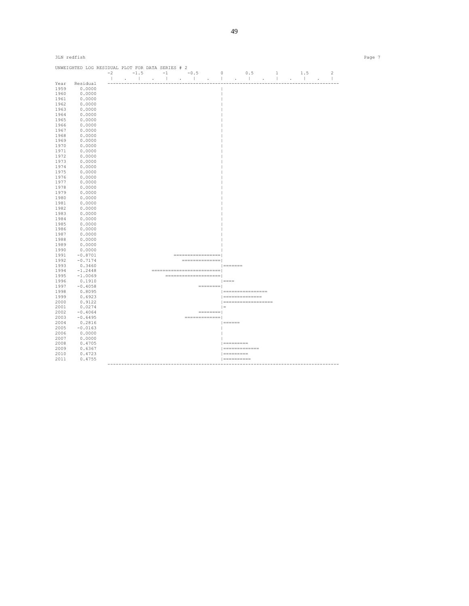| 3LN redfish  |                                                  |  |  |  |  |                                                                                                                                                                                                                                                                                                                                                                                                                                                                                                                                                       |           |                   |                      |  |  |  | Page 7 |
|--------------|--------------------------------------------------|--|--|--|--|-------------------------------------------------------------------------------------------------------------------------------------------------------------------------------------------------------------------------------------------------------------------------------------------------------------------------------------------------------------------------------------------------------------------------------------------------------------------------------------------------------------------------------------------------------|-----------|-------------------|----------------------|--|--|--|--------|
|              | UNWEIGHTED LOG RESIDUAL PLOT FOR DATA SERIES # 2 |  |  |  |  |                                                                                                                                                                                                                                                                                                                                                                                                                                                                                                                                                       |           |                   |                      |  |  |  |        |
|              |                                                  |  |  |  |  |                                                                                                                                                                                                                                                                                                                                                                                                                                                                                                                                                       |           |                   |                      |  |  |  |        |
| Year         | Residual                                         |  |  |  |  |                                                                                                                                                                                                                                                                                                                                                                                                                                                                                                                                                       |           |                   |                      |  |  |  |        |
| 1959         | 0.0000                                           |  |  |  |  |                                                                                                                                                                                                                                                                                                                                                                                                                                                                                                                                                       |           |                   |                      |  |  |  |        |
| 1960         | 0.0000                                           |  |  |  |  |                                                                                                                                                                                                                                                                                                                                                                                                                                                                                                                                                       |           |                   |                      |  |  |  |        |
| 1961         | 0.0000                                           |  |  |  |  |                                                                                                                                                                                                                                                                                                                                                                                                                                                                                                                                                       |           |                   |                      |  |  |  |        |
| 1962         | 0.0000                                           |  |  |  |  |                                                                                                                                                                                                                                                                                                                                                                                                                                                                                                                                                       |           |                   |                      |  |  |  |        |
| 1963         | 0.0000                                           |  |  |  |  |                                                                                                                                                                                                                                                                                                                                                                                                                                                                                                                                                       |           |                   |                      |  |  |  |        |
| 1964         | 0.0000                                           |  |  |  |  |                                                                                                                                                                                                                                                                                                                                                                                                                                                                                                                                                       |           |                   |                      |  |  |  |        |
| 1965         | 0.0000                                           |  |  |  |  |                                                                                                                                                                                                                                                                                                                                                                                                                                                                                                                                                       |           |                   |                      |  |  |  |        |
| 1966<br>1967 | 0.0000<br>0.0000                                 |  |  |  |  |                                                                                                                                                                                                                                                                                                                                                                                                                                                                                                                                                       |           |                   |                      |  |  |  |        |
| 1968         | 0.0000                                           |  |  |  |  |                                                                                                                                                                                                                                                                                                                                                                                                                                                                                                                                                       |           |                   |                      |  |  |  |        |
| 1969         | 0.0000                                           |  |  |  |  |                                                                                                                                                                                                                                                                                                                                                                                                                                                                                                                                                       |           |                   |                      |  |  |  |        |
| 1970         | 0.0000                                           |  |  |  |  |                                                                                                                                                                                                                                                                                                                                                                                                                                                                                                                                                       |           |                   |                      |  |  |  |        |
| 1971         | 0.0000                                           |  |  |  |  |                                                                                                                                                                                                                                                                                                                                                                                                                                                                                                                                                       |           |                   |                      |  |  |  |        |
| 1972         | 0.0000                                           |  |  |  |  |                                                                                                                                                                                                                                                                                                                                                                                                                                                                                                                                                       |           |                   |                      |  |  |  |        |
| 1973         | 0.0000                                           |  |  |  |  |                                                                                                                                                                                                                                                                                                                                                                                                                                                                                                                                                       |           |                   |                      |  |  |  |        |
| 1974         | 0.0000                                           |  |  |  |  |                                                                                                                                                                                                                                                                                                                                                                                                                                                                                                                                                       |           |                   |                      |  |  |  |        |
| 1975         | 0.0000                                           |  |  |  |  |                                                                                                                                                                                                                                                                                                                                                                                                                                                                                                                                                       |           |                   |                      |  |  |  |        |
| 1976         | 0.0000                                           |  |  |  |  |                                                                                                                                                                                                                                                                                                                                                                                                                                                                                                                                                       |           |                   |                      |  |  |  |        |
| 1977         | 0.0000                                           |  |  |  |  |                                                                                                                                                                                                                                                                                                                                                                                                                                                                                                                                                       |           |                   |                      |  |  |  |        |
| 1978         | 0.0000                                           |  |  |  |  |                                                                                                                                                                                                                                                                                                                                                                                                                                                                                                                                                       |           |                   |                      |  |  |  |        |
| 1979         | 0.0000                                           |  |  |  |  |                                                                                                                                                                                                                                                                                                                                                                                                                                                                                                                                                       |           |                   |                      |  |  |  |        |
| 1980         | 0.0000                                           |  |  |  |  |                                                                                                                                                                                                                                                                                                                                                                                                                                                                                                                                                       |           |                   |                      |  |  |  |        |
| 1981         | 0.0000                                           |  |  |  |  |                                                                                                                                                                                                                                                                                                                                                                                                                                                                                                                                                       |           |                   |                      |  |  |  |        |
| 1982         | 0.0000                                           |  |  |  |  |                                                                                                                                                                                                                                                                                                                                                                                                                                                                                                                                                       |           |                   |                      |  |  |  |        |
| 1983         | 0.0000                                           |  |  |  |  |                                                                                                                                                                                                                                                                                                                                                                                                                                                                                                                                                       |           |                   |                      |  |  |  |        |
| 1984         | 0.0000                                           |  |  |  |  |                                                                                                                                                                                                                                                                                                                                                                                                                                                                                                                                                       |           |                   |                      |  |  |  |        |
| 1985<br>1986 | 0.0000                                           |  |  |  |  |                                                                                                                                                                                                                                                                                                                                                                                                                                                                                                                                                       |           |                   |                      |  |  |  |        |
| 1987         | 0.0000<br>0.0000                                 |  |  |  |  |                                                                                                                                                                                                                                                                                                                                                                                                                                                                                                                                                       |           |                   |                      |  |  |  |        |
| 1988         | 0.0000                                           |  |  |  |  |                                                                                                                                                                                                                                                                                                                                                                                                                                                                                                                                                       |           |                   |                      |  |  |  |        |
| 1989         | 0.0000                                           |  |  |  |  |                                                                                                                                                                                                                                                                                                                                                                                                                                                                                                                                                       |           |                   |                      |  |  |  |        |
| 1990         | 0.0000                                           |  |  |  |  |                                                                                                                                                                                                                                                                                                                                                                                                                                                                                                                                                       |           |                   |                      |  |  |  |        |
| 1991         | $-0.8701$                                        |  |  |  |  | ------------------                                                                                                                                                                                                                                                                                                                                                                                                                                                                                                                                    |           |                   |                      |  |  |  |        |
| 1992         | $-0.7174$                                        |  |  |  |  | ===============                                                                                                                                                                                                                                                                                                                                                                                                                                                                                                                                       |           |                   |                      |  |  |  |        |
| 1993         | 0.3460                                           |  |  |  |  |                                                                                                                                                                                                                                                                                                                                                                                                                                                                                                                                                       |           | $=$ = = = = = = = |                      |  |  |  |        |
| 1994         | $-1.2448$                                        |  |  |  |  | ============================                                                                                                                                                                                                                                                                                                                                                                                                                                                                                                                          |           |                   |                      |  |  |  |        |
| 1995         | $-1.0069$                                        |  |  |  |  | ======================                                                                                                                                                                                                                                                                                                                                                                                                                                                                                                                                |           |                   |                      |  |  |  |        |
| 1996         | 0.1910                                           |  |  |  |  | $\vert$ ====                                                                                                                                                                                                                                                                                                                                                                                                                                                                                                                                          |           |                   |                      |  |  |  |        |
| 1997         | $-0.4058$                                        |  |  |  |  | $\qquad \qquad \dfrac{}{}\qquad \qquad \dfrac{}{}\qquad \qquad \dfrac{}{}\qquad \qquad \dfrac{}{}\qquad \qquad \dfrac{}{}\qquad \qquad \dfrac{}{}\qquad \dfrac{}{}\qquad \dfrac{}{}\qquad \dfrac{}{}\qquad \dfrac{}{}\qquad \dfrac{}{}\qquad \dfrac{}{}\qquad \dfrac{}{}\qquad \dfrac{}{}\qquad \dfrac{}{}\qquad \dfrac{}{}\qquad \dfrac{}{}\qquad \dfrac{}{}\qquad \dfrac{}{}\qquad \dfrac{}{}\qquad \dfrac{}{}\qquad \dfrac{}{}\qquad \dfrac{}{}\qquad \dfrac{}{}\qquad \dfrac{}{}\qquad \dfrac{}{}\qquad \dfrac{}{}\qquad \dfrac{}{}\qquad \dfrac$ |           |                   |                      |  |  |  |        |
| 1998         | 0.8095                                           |  |  |  |  |                                                                                                                                                                                                                                                                                                                                                                                                                                                                                                                                                       |           |                   | =================    |  |  |  |        |
| 1999         | 0.6923                                           |  |  |  |  |                                                                                                                                                                                                                                                                                                                                                                                                                                                                                                                                                       |           |                   | $ $ ================ |  |  |  |        |
| 2000         | 0.9122                                           |  |  |  |  |                                                                                                                                                                                                                                                                                                                                                                                                                                                                                                                                                       |           |                   | ===================  |  |  |  |        |
| 2001         | 0.0274                                           |  |  |  |  |                                                                                                                                                                                                                                                                                                                                                                                                                                                                                                                                                       | $\vert$ = |                   |                      |  |  |  |        |
| 2002         | $-0.4064$                                        |  |  |  |  | $-----1$                                                                                                                                                                                                                                                                                                                                                                                                                                                                                                                                              |           |                   |                      |  |  |  |        |
| 2003         | $-0.6495$                                        |  |  |  |  |                                                                                                                                                                                                                                                                                                                                                                                                                                                                                                                                                       |           |                   |                      |  |  |  |        |
| 2004         | 0.2816                                           |  |  |  |  |                                                                                                                                                                                                                                                                                                                                                                                                                                                                                                                                                       |           |                   |                      |  |  |  |        |
| 2005<br>2006 | $-0.0163$<br>0.0000                              |  |  |  |  |                                                                                                                                                                                                                                                                                                                                                                                                                                                                                                                                                       |           |                   |                      |  |  |  |        |
| 2007         | 0.0000                                           |  |  |  |  |                                                                                                                                                                                                                                                                                                                                                                                                                                                                                                                                                       |           |                   |                      |  |  |  |        |
| 2008         | 0.4705                                           |  |  |  |  |                                                                                                                                                                                                                                                                                                                                                                                                                                                                                                                                                       |           | $ $ ==========    |                      |  |  |  |        |
| 2009         | 0.6367                                           |  |  |  |  |                                                                                                                                                                                                                                                                                                                                                                                                                                                                                                                                                       |           |                   | $ $ ===============  |  |  |  |        |
| 2010         | 0.4723                                           |  |  |  |  |                                                                                                                                                                                                                                                                                                                                                                                                                                                                                                                                                       |           | $ $ ==========    |                      |  |  |  |        |
| 2011         | 0.4755                                           |  |  |  |  |                                                                                                                                                                                                                                                                                                                                                                                                                                                                                                                                                       |           | $ $ ===========   |                      |  |  |  |        |
|              |                                                  |  |  |  |  |                                                                                                                                                                                                                                                                                                                                                                                                                                                                                                                                                       |           |                   |                      |  |  |  |        |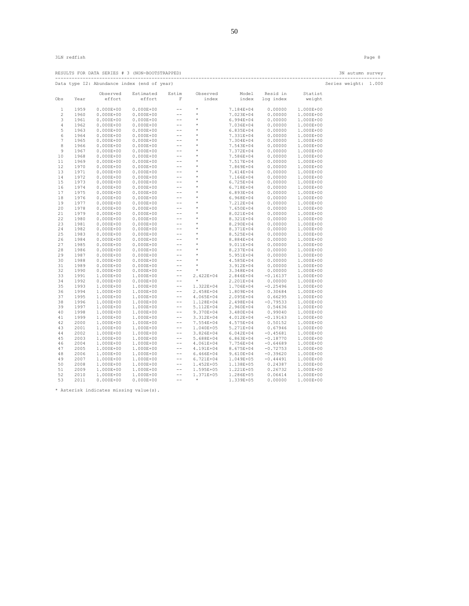|                 |      |                    | RESULTS FOR DATA SERIES # 3 (NON-BOOTSTRAPPED)        |                                       |                                                                                                         |               |                                   |                   | 3N autumn survey     |  |
|-----------------|------|--------------------|-------------------------------------------------------|---------------------------------------|---------------------------------------------------------------------------------------------------------|---------------|-----------------------------------|-------------------|----------------------|--|
|                 |      |                    | Data type I2: Abundance index (end of year)           |                                       |                                                                                                         |               |                                   |                   | Series weight: 1.000 |  |
| Obs             | Year | Observed<br>effort | Estimated<br>effort                                   | Estim<br>F                            | Observed<br>index                                                                                       |               | Model Resid in<br>index log index | Statist<br>weight |                      |  |
|                 |      |                    |                                                       |                                       |                                                                                                         |               |                                   |                   |                      |  |
| 1               | 1959 | $0.000E + 00$      | $0.000E + 00$                                         | $\frac{1}{2}$                         | $\star$                                                                                                 | 7.184E+04     | 0.00000                           | 1.000E+00         |                      |  |
| 2               | 1960 | $0.000E + 00$      | $0.000E + 00$                                         | $-\, -$                               | $\star$                                                                                                 | 7.023E+04     | 0.00000                           | 1.000E+00         |                      |  |
| 3               | 1961 | $0.000E + 00$      | $0.000E + 00$                                         | $\sim$ $-$                            | $^{\star}$                                                                                              | 6.994E+04     | 0.00000                           | 1.000E+00         |                      |  |
| 4               | 1962 | $0.000E + 00$      | $0.000E + 00$                                         | $\rightarrow$ $\rightarrow$           |                                                                                                         | 7.036E+04     | 0.00000                           | 1.000E+00         |                      |  |
| 5               | 1963 | $0.000E + 00$      |                                                       |                                       |                                                                                                         | 6.835E+04     | 0.00000                           | 1.000E+00         |                      |  |
| 6               | 1964 | $0.000E + 00$      |                                                       |                                       |                                                                                                         | 7.331E+04     | 0.00000                           | 1.000E+00         |                      |  |
| $7\phantom{.0}$ | 1965 | $0.000E + 00$      | $0.000E+00 = -$<br>$0.000E+00 = -$<br>$0.000E+00 = -$ |                                       | $\begin{array}{ccccc}\n\star & \star & \star & \star\\ \n\star & \star & \star & \star\\ \n\end{array}$ | 7.304E+04     | 0.00000                           | 1.000E+00         |                      |  |
| 8               | 1966 | $0.000E + 00$      | $0.000E + 00$                                         |                                       | $\begin{array}{ccccc}\n\star & \star & \star & \star & \star & \star\end{array}$                        | 7.543E+04     | 0.00000                           | 1.000E+00         |                      |  |
| 9               | 1967 | $0.000E + 00$      | $0.000E + 00$                                         |                                       |                                                                                                         | 7.372E+04     | 0.00000                           | 1.000E+00         |                      |  |
| 10              | 1968 | $0.000E + 00$      | $0.000E + 00$                                         |                                       |                                                                                                         | 7.586E+04     | 0.00000                           | 1.000E+00         |                      |  |
| 11              | 1969 | $0.000E + 00$      | $0.000E + 00$                                         |                                       |                                                                                                         | 7.517E+04     | 0.00000                           | 1.000E+00         |                      |  |
| 12              | 1970 | $0.000E + 00$      | $0.000E + 00$                                         | $\rightarrow$ $\rightarrow$           | $\qquad \qquad \star$                                                                                   | 7.869E+04     | 0.00000                           | 1.000E+00         |                      |  |
| 13              | 1971 | $0.000E + 00$      | $0.000E + 00$                                         | $\rightarrow$ $\rightarrow$           | $\begin{array}{c}\n\star \\ \star \\ \star\n\end{array}$                                                | 7.414E+04     | 0.00000                           | 1.000E+00         |                      |  |
| 14              | 1972 | $0.000E + 00$      | $0.000E + 00$                                         | $- -$                                 |                                                                                                         | 7.166E+04     | 0.00000                           | 1.000E+00         |                      |  |
| 15              | 1973 | $0.000E + 00$      | $0.000E + 00$                                         | $\rightarrow$ $\rightarrow$           |                                                                                                         | 6.725E+04     | 0.00000                           | 1.000E+00         |                      |  |
| 16              | 1974 | $0.000E + 00$      | $0.000E + 00$                                         | $\sim$ $-$                            |                                                                                                         | 6.718E+04     | 0.00000                           | 1.000E+00         |                      |  |
| 17              | 1975 | $0.000E + 00$      | $0.000E + 00$                                         | $- -$                                 | *<br>*<br>*<br>*<br>*                                                                                   | 6.893E+04     | 0.00000                           | 1.000E+00         |                      |  |
| 18              | 1976 | $0.000E + 00$      | $0.000E + 00$                                         | $-\,-$                                |                                                                                                         | 6.968E+04     | 0.00000                           | 1.000E+00         |                      |  |
| 19              | 1977 | $0.000E + 00$      | $0.000E + 00$                                         | $\rightarrow$ $\rightarrow$           |                                                                                                         | 7.212E+04     | 0.00000                           | 1.000E+00         |                      |  |
| 20              | 1978 | $0.000E + 00$      | $0.000E + 00$                                         | $\sim$ $ -$                           |                                                                                                         | 7.650E+04     | 0.00000                           | 1.000E+00         |                      |  |
| 21              | 1979 | $0.000E + 00$      | $0.000E + 00$                                         | $\rightarrow$ $\rightarrow$           |                                                                                                         | 8.021E+04     | 0.00000                           | 1.000E+00         |                      |  |
| 22              | 1980 | $0.000E + 00$      | $0.000E + 00$                                         | $- -$                                 |                                                                                                         | 8.321E+04     | 0.00000                           | 1.000E+00         |                      |  |
| 23              | 1981 | $0.000E + 00$      | $0.000E + 00$                                         | $\rightarrow$ $\rightarrow$           |                                                                                                         | 8.290E+04     | 0.00000                           | 1.000E+00         |                      |  |
| 24              | 1982 | $0.000E + 00$      | $0.000E + 00$                                         | $\sim$ $ -$                           | $\qquad \qquad \star$                                                                                   | 8.371E+04     | 0.00000                           | 1.000E+00         |                      |  |
| 25              | 1983 | $0.000E + 00$      | $0.000E + 00$                                         | $-\,-$                                | $\star$                                                                                                 | 8.525E+04     | 0.00000                           | 1.000E+00         |                      |  |
| 26              | 1984 | $0.000E + 00$      | $0.000E + 00$                                         | $\sim$ $-$                            | $^{\star}$                                                                                              | 8.884E+04     | 0.00000                           | 1.000E+00         |                      |  |
| 27              | 1985 | $0.000E + 00$      | $0.000E + 00$                                         | $\rightarrow$ $\rightarrow$           | $\star$                                                                                                 | 9.011E+04     | 0.00000                           | 1.000E+00         |                      |  |
| 28              | 1986 | $0.000E + 00$      | $0.000E + 00$                                         | $\sim$ $ -$                           | $\star$                                                                                                 | 8.237E+04     | 0.00000                           | 1.000E+00         |                      |  |
| 29              | 1987 | $0.000E + 00$      | $0.000E + 00$                                         | $\sim$ $ -$                           | $\star$                                                                                                 | 5.951E+04     | 0.00000                           | 1.000E+00         |                      |  |
| 30              | 1988 | $0.000E + 00$      | $0.000E + 00$                                         | $\rightarrow$ $\rightarrow$           | $^{\star}$                                                                                              | 4.585E+04     | 0.00000                           | 1.000E+00         |                      |  |
| 31              | 1989 | $0.000E + 00$      | $0.000E + 00$                                         | $\rightarrow$ $\rightarrow$           | $\star$                                                                                                 | 3.912E+04     | 0.00000                           | 1.000E+00         |                      |  |
| 32              | 1990 | $0.000E + 00$      | $0.000E + 00$                                         | $\sim$ $\sim$                         | $\rightarrow$                                                                                           | 3.348E+04     | 0.00000                           | 1.000E+00         |                      |  |
| 33              | 1991 | 1.000E+00          | 1.000E+00                                             | $\rightarrow$ $\rightarrow$           | 2.422E+04                                                                                               | 2.846E+04     | $-0.16137$                        | 1.000E+00         |                      |  |
| 34              | 1992 | $0.000E + 00$      | $0.000E + 00$                                         | $- -$                                 | of the state of the state of the                                                                        | 2.201E+04     | 0.00000                           | 1.000E+00         |                      |  |
| 35              | 1993 | 1.000E+00          | 1.000E+00                                             | $\frac{1}{2}$                         | 1.322E+04                                                                                               | 1.706E+04     | $-0.25496$                        | 1.000E+00         |                      |  |
| 36              | 1994 | 1.000E+00          | 1.000E+00                                             | $\rightarrow$ $\rightarrow$           | 2.458E+04                                                                                               | 1.809E+04     | 0.30684                           | 1.000E+00         |                      |  |
| 37              | 1995 | 1.000E+00          | 1.000E+00                                             | $\rightarrow$ $\rightarrow$           | 4.065E+04                                                                                               | 2.095E+04     | 0.66295                           | 1.000E+00         |                      |  |
| 38              | 1996 | 1.000E+00          | 1.000E+00                                             | $\rightarrow$ $\rightarrow$           | 1.128E+04                                                                                               | 2.498E+04     | $-0.79533$                        | 1.000E+00         |                      |  |
|                 |      |                    |                                                       | $\frac{1}{2}$                         |                                                                                                         |               |                                   |                   |                      |  |
| 39<br>40        | 1997 | 1.000E+00          | 1.000E+00                                             |                                       | 5.112E+04                                                                                               | 2.960E+04     | 0.54636                           | 1.000E+00         |                      |  |
|                 | 1998 | 1.000E+00          | 1.000E+00                                             | $-\,-$<br>$\rightarrow$ $\rightarrow$ | 9.370E+04                                                                                               | 3.480E+04     | 0.99040                           | 1.000E+00         |                      |  |
| 41              | 1999 | 1.000E+00          | 1.000E+00                                             |                                       | 3.312E+04                                                                                               | 4.012E+04     | $-0.19163$                        | 1.000E+00         |                      |  |
| 42              | 2000 | 1.000E+00          | 1.000E+00                                             | $\frac{1}{2}$                         | 7.554E+04                                                                                               | 4.575E+04     | 0.50152                           | 1.000E+00         |                      |  |
| 43              | 2001 | 1.000E+00          | 1.000E+00                                             | $- -$                                 | 1.040E+05                                                                                               | 5.271E+04     | 0.67946                           | 1.000E+00         |                      |  |
| 44              | 2002 | 1.000E+00          | 1.000E+00                                             | $-\,-$                                | 3.826E+04                                                                                               | 6.042E+04     | $-0.45681$                        | 1.000E+00         |                      |  |
| 45              | 2003 | 1.000E+00          | 1.000E+00                                             | $\frac{1}{2}$                         | 5.688E+04                                                                                               | $6.863E + 04$ | $-0.18770$                        | 1.000E+00         |                      |  |
| 46              | 2004 | 1.000E+00          | 1.000E+00                                             | $--$                                  | 4.061E+04                                                                                               | 7.756E+04     | $-0.64689$                        | 1.000E+00         |                      |  |
| 47              | 2005 | 1.000E+00          | 1.000E+00                                             | $--$                                  | 4.191E+04                                                                                               | 8.675E+04     | $-0.72753$                        | 1.000E+00         |                      |  |
| 48              | 2006 | 1.000E+00          | 1.000E+00                                             | $\rightarrow$ $\rightarrow$           | $6.466E + 04$                                                                                           | 9.610E+04     | $-0.39620$                        | 1.000E+00         |                      |  |
| 49              | 2007 | 1.000E+00          | 1.000E+00                                             | $\rightarrow$ $\rightarrow$           | 6.721E+04                                                                                               | 1.049E+05     | $-0.44491$                        | 1.000E+00         |                      |  |
| 50              | 2008 | 1.000E+00          | 1.000E+00                                             | $- -$                                 | 1.452E+05                                                                                               | 1.138E+05     | 0.24387                           | 1.000E+00         |                      |  |
| 51              | 2009 | 1.000E+00          | 1.000E+00                                             | $\sim$ $\sim$                         | 1.595E+05                                                                                               | 1.221E+05     | 0.26732                           | 1.000E+00         |                      |  |
| 52              | 2010 | 1.000E+00          | 1.000E+00                                             | $- -$                                 | 1.371E+05                                                                                               | 1.286E+05     | 0.06414                           | 1.000E+00         |                      |  |
| 53              | 2011 | $0.000E + 00$      | $0.000E + 00$                                         | $\rightarrow$ $\rightarrow$           | $^{\star}$                                                                                              | 1.339E+05     | 0.00000                           | 1.000E+00         |                      |  |
|                 |      |                    |                                                       |                                       |                                                                                                         |               |                                   |                   |                      |  |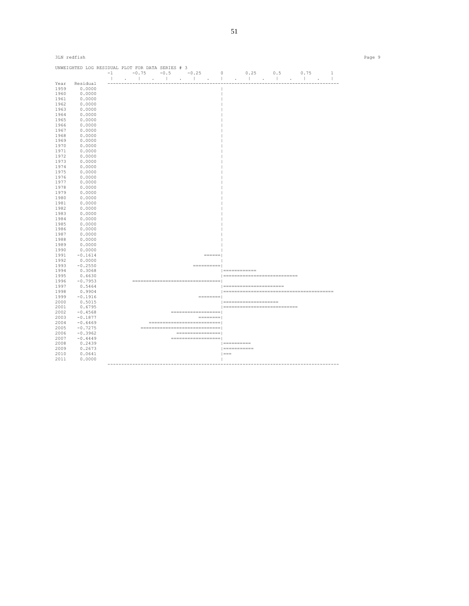| 3LN redfish  |                         |                                                                                                 |                                                 | Page 9 |
|--------------|-------------------------|-------------------------------------------------------------------------------------------------|-------------------------------------------------|--------|
|              |                         | UNWEIGHTED LOG RESIDUAL PLOT FOR DATA SERIES # 3                                                | $-1$ $-0.75$ $-0.5$ $-0.25$ 0 $0.25$ 0.5 0.75 1 |        |
|              |                         | $\mathbf{1}$                                                                                    |                                                 |        |
| 1959         | Year Residual<br>0.0000 |                                                                                                 |                                                 |        |
| 1960         | 0.0000                  |                                                                                                 |                                                 |        |
| 1961         | 0.0000                  |                                                                                                 |                                                 |        |
|              |                         |                                                                                                 |                                                 |        |
| 1962         | 0.0000                  |                                                                                                 |                                                 |        |
| 1963         | 0.0000                  |                                                                                                 |                                                 |        |
| 1964         | 0.0000                  |                                                                                                 |                                                 |        |
| 1965         | 0.0000                  |                                                                                                 |                                                 |        |
| 1966<br>1967 | 0.0000<br>0.0000        |                                                                                                 |                                                 |        |
| 1968         | 0.0000                  |                                                                                                 |                                                 |        |
| 1969         | 0.0000                  |                                                                                                 |                                                 |        |
| 1970         | 0.0000                  |                                                                                                 |                                                 |        |
| 1971         |                         |                                                                                                 |                                                 |        |
| 1972         | 0.0000<br>0.0000        |                                                                                                 |                                                 |        |
|              |                         |                                                                                                 |                                                 |        |
| 1973         | 0.0000                  |                                                                                                 |                                                 |        |
| 1974<br>1975 | 0.0000<br>0.0000        |                                                                                                 |                                                 |        |
|              |                         |                                                                                                 |                                                 |        |
| 1976         | 0.0000                  |                                                                                                 |                                                 |        |
| 1977         | 0.0000                  |                                                                                                 |                                                 |        |
| 1978         | 0.0000                  |                                                                                                 |                                                 |        |
| 1979         | 0.0000                  |                                                                                                 |                                                 |        |
| 1980         | 0.0000                  |                                                                                                 |                                                 |        |
| 1981         | 0.0000                  |                                                                                                 |                                                 |        |
| 1982         | 0.0000                  |                                                                                                 |                                                 |        |
| 1983         | 0.0000                  |                                                                                                 |                                                 |        |
| 1984         | 0.0000                  |                                                                                                 |                                                 |        |
| 1985         | 0.0000                  |                                                                                                 |                                                 |        |
| 1986         | 0.0000                  |                                                                                                 |                                                 |        |
| 1987         | 0.0000                  |                                                                                                 |                                                 |        |
| 1988         | 0.0000                  |                                                                                                 |                                                 |        |
| 1989         | 0.0000                  |                                                                                                 |                                                 |        |
| 1990         | 0.0000                  |                                                                                                 |                                                 |        |
| 1991         | $-0.1614$               | $\qquad \qquad \equiv \equiv \equiv \equiv \equiv \equiv \equiv$                                |                                                 |        |
| 1992         | 0.0000                  |                                                                                                 |                                                 |        |
| 1993         | $-0.2550$               |                                                                                                 |                                                 |        |
| 1994         | 0.3068                  |                                                                                                 | $ $ =============                               |        |
| 1995         | 0.6630                  |                                                                                                 | =============================                   |        |
| 1996         | $-0.7953$               | ____________________________________                                                            |                                                 |        |
| 1997         | 0.5464                  |                                                                                                 | ========================                        |        |
| 1998         | 0.9904                  |                                                                                                 |                                                 |        |
| 1999         | $-0.1916$               | __________                                                                                      |                                                 |        |
| 2000         | 0.5015                  |                                                                                                 | ======================                          |        |
| 2001         | 0.6795                  |                                                                                                 | ============================                    |        |
| 2002         | $-0.4568$               | _____________________                                                                           |                                                 |        |
| 2003         | $-0.1877$               | $\qquad \qquad \doteq\qquad \qquad \doteq\qquad \qquad \doteq\qquad \qquad \doteq\qquad \qquad$ |                                                 |        |
| 2004         | $-0.6469$               | =============================                                                                   |                                                 |        |
| 2005         | $-0.7275$               | ================================                                                                |                                                 |        |
| 2006         | $-0.3962$               | =================                                                                               |                                                 |        |
| 2007         | $-0.4449$               | ====================                                                                            |                                                 |        |
| 2008         | 0.2439                  |                                                                                                 | $ $ ===========                                 |        |
| 2009         | 0.2673                  |                                                                                                 | $ $ ============                                |        |
| 2010         | 0.0641                  |                                                                                                 | $  == =$                                        |        |
| 2011         | 0.0000                  |                                                                                                 | $\mathbb{R}$                                    |        |
|              |                         |                                                                                                 |                                                 |        |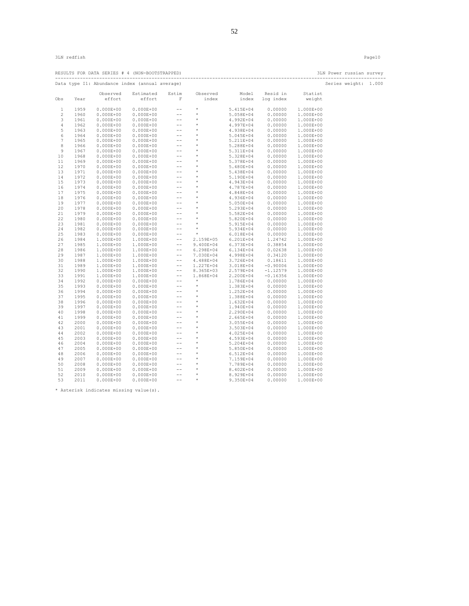|          |              |               | RESULTS FOR DATA SERIES # 4 (NON-BOOTSTRAPPED)                                                                                                                                                                                                                                                                                    |                                                            |                                                                                                                             |                     |                        |                        | 3LN Power russian survey<br>--------------------------- |  |
|----------|--------------|---------------|-----------------------------------------------------------------------------------------------------------------------------------------------------------------------------------------------------------------------------------------------------------------------------------------------------------------------------------|------------------------------------------------------------|-----------------------------------------------------------------------------------------------------------------------------|---------------------|------------------------|------------------------|---------------------------------------------------------|--|
|          |              |               | Data type I1: Abundance index (annual average)                                                                                                                                                                                                                                                                                    |                                                            |                                                                                                                             |                     |                        |                        | Series weight: 1.000                                    |  |
|          |              | Observed      | Estimated                                                                                                                                                                                                                                                                                                                         | Estim                                                      | Observed                                                                                                                    |                     | Model Resid in         | Statist                |                                                         |  |
| Obs      | Year         | effort        | effort                                                                                                                                                                                                                                                                                                                            | F                                                          | index                                                                                                                       |                     | index log index        | weight                 |                                                         |  |
| 1        | 1959         |               | $0.000E+00$ $0.000E+00$                                                                                                                                                                                                                                                                                                           | $--$                                                       | $\star$                                                                                                                     | 5.415E+04           | 0.00000                | 1.000E+00              |                                                         |  |
| 2        | 1960         |               | $0.000E+00$ $0.000E+00$                                                                                                                                                                                                                                                                                                           | $\rightarrow$ $\rightarrow$                                | $\star$                                                                                                                     | 5.058E+04           | 0.00000                | 1.000E+00              |                                                         |  |
| 3        | 1961         | $0.000E + 00$ | $0.000E + 00$                                                                                                                                                                                                                                                                                                                     | $\rightarrow$ $\rightarrow$                                | $\sim$ $ \star$                                                                                                             | 4.992E+04           | 0.00000                | 1.000E+00              |                                                         |  |
| 4        | 1962         | $0.000E + 00$ |                                                                                                                                                                                                                                                                                                                                   |                                                            |                                                                                                                             | 4.997E+04           | 0.00000                | 1.000E+00              |                                                         |  |
| 5        | 1963         | $0.000E + 00$ |                                                                                                                                                                                                                                                                                                                                   |                                                            |                                                                                                                             | 4.938E+04           | 0.00000                | 1.000E+00              |                                                         |  |
| 6        | 1964         | $0.000E + 00$ |                                                                                                                                                                                                                                                                                                                                   |                                                            |                                                                                                                             | 5.045E+04           | 0.00000                | 1.000E+00              |                                                         |  |
| 7        | 1965         | $0.000E + 00$ | $\begin{array}{cccc} 0.000\text{E}+00 & \text{---} \\ 0.000\text{E}+00 & \text{---} \\ 0.000\text{E}+00 & \text{---} \\ 0.000\text{E}+00 & \text{---} \\ 0.000\text{E}+00 & \text{---} \end{array}$                                                                                                                               |                                                            | $\begin{array}{cc} \star & \star \\ \star & \star \\ \star & \star \end{array}$                                             | 5.211E+04           | 0.00000                | 1.000E+00              |                                                         |  |
| 8        | 1966         |               | $0.000E+00$ $0.000E+00$                                                                                                                                                                                                                                                                                                           |                                                            |                                                                                                                             | 5.288E+04           | 0.00000                | 1.000E+00              |                                                         |  |
| 9        | 1967         |               | $0.000E+00$ $0.000E+00$                                                                                                                                                                                                                                                                                                           |                                                            |                                                                                                                             | 5.311E+04           | 0.00000                | 1.000E+00              |                                                         |  |
| 10       | 1968         | $0.000E + 00$ |                                                                                                                                                                                                                                                                                                                                   |                                                            |                                                                                                                             | 5.328E+04           | 0.00000                | 1.000E+00              |                                                         |  |
| 11       | 1969         | $0.000E + 00$ |                                                                                                                                                                                                                                                                                                                                   |                                                            |                                                                                                                             | 5.378E+04           | 0.00000                | 1.000E+00              |                                                         |  |
| 12       | 1970         | $0.000E + 00$ |                                                                                                                                                                                                                                                                                                                                   |                                                            |                                                                                                                             | 5.480E+04           | 0.00000                | 1.000E+00              |                                                         |  |
| 13       | 1971         | $0.000E + 00$ |                                                                                                                                                                                                                                                                                                                                   |                                                            |                                                                                                                             | 5.438E+04           | 0.00000                | 1.000E+00              |                                                         |  |
| 14       | 1972         | $0.000E + 00$ |                                                                                                                                                                                                                                                                                                                                   |                                                            |                                                                                                                             | 5.190E+04           | 0.00000                | 1.000E+00              |                                                         |  |
| 15       | 1973         | $0.000E + 00$ |                                                                                                                                                                                                                                                                                                                                   |                                                            |                                                                                                                             | 4.943E+04           | 0.00000                | 1.000E+00              |                                                         |  |
| 16       | 1974         |               |                                                                                                                                                                                                                                                                                                                                   |                                                            |                                                                                                                             | 4.787E+04           | 0.00000                | 1.000E+00              |                                                         |  |
| 17       | 1975         |               |                                                                                                                                                                                                                                                                                                                                   |                                                            |                                                                                                                             | 4.848E+04           | 0.00000                | 1.000E+00              |                                                         |  |
| 18       | 1976         |               |                                                                                                                                                                                                                                                                                                                                   |                                                            | *<br>*<br>*<br>*                                                                                                            | 4.936E+04           | 0.00000                | 1.000E+00              |                                                         |  |
| 19       | 1977         |               | $\begin{array}{cccc} 0.000E+00 & 0.000E+00 \\ 0.000E+00 & 0.000E+00 \\ 0.000E+00 & 0.000E+00 \\ 0.000E+00 & 0.000E+00 \\ 0.000E+00 & 0.000E+00 \\ 0.000E+00 & 0.000E+00 \\ 0.000E+00 & 0.000E+00 \\ 0.000E+00 & 0.000E+00 \\ 0.000E+00 & 0.000E+00 \\ 0.000E+00 & 0.0$                                                            |                                                            |                                                                                                                             | 5.050E+04           | 0.00000                | 1.000E+00              |                                                         |  |
| 20       | 1978         |               |                                                                                                                                                                                                                                                                                                                                   |                                                            | $\begin{array}{ccccc}\star&&&&\\ &\star&&&&\\ &\star&&&&\\ &\star&&&&\\ &\star&&&&\\ &\star&&&&\\ &\star&&&&\\ \end{array}$ | 5.293E+04           | 0.00000                | 1.000E+00              |                                                         |  |
| 21       | 1979         |               |                                                                                                                                                                                                                                                                                                                                   |                                                            |                                                                                                                             | 5.582E+04           | 0.00000                | 1.000E+00              |                                                         |  |
| 22       | 1980         |               |                                                                                                                                                                                                                                                                                                                                   |                                                            |                                                                                                                             | 5.820E+04           | 0.00000                | 1.000E+00              |                                                         |  |
| 23       | 1981         |               |                                                                                                                                                                                                                                                                                                                                   |                                                            |                                                                                                                             | 5.915E+04           | 0.00000                | 1.000E+00              |                                                         |  |
| 24       | 1982         | $0.000E + 00$ | $0.000E + 00$                                                                                                                                                                                                                                                                                                                     | $\rightarrow$ $\rightarrow$                                | $\star$                                                                                                                     | 5.934E+04           | 0.00000                | 1.000E+00              |                                                         |  |
| 25       | 1983         |               | $0.000E+00$ $0.000E+00$                                                                                                                                                                                                                                                                                                           | $\sim$ $\sim$                                              | $\qquad \qquad \star$                                                                                                       | 6.018E+04           | 0.00000                | 1.000E+00              |                                                         |  |
| 26       | 1984         | 1.000E+00     | 1.000E+00                                                                                                                                                                                                                                                                                                                         |                                                            | $-- 2.159E+05 6.201E+04$                                                                                                    |                     | 1.24742                | 1.000E+00              |                                                         |  |
| 27       | 1985         | 1.000E+00     | 1.000E+00                                                                                                                                                                                                                                                                                                                         | $\rightarrow$ $\rightarrow$<br>$\rightarrow$ $\rightarrow$ | 9.400E+04 6.373E+04                                                                                                         |                     | 0.38854                | 1.000E+00              |                                                         |  |
| 28       | 1986         | 1.000E+00     | 1.000E+00                                                                                                                                                                                                                                                                                                                         |                                                            | $6.298E + 04$                                                                                                               | 6.134E+04           | 0.02638                | 1.000E+00              |                                                         |  |
| 29<br>30 | 1987<br>1988 |               | $\begin{array}{llll} 1.000\text{E}+00 & 1.000\text{E}+00 \\ 1.000\text{E}+00 & 1.000\text{E}+00 \\ 1.000\text{E}+00 & 1.000\text{E}+00 \end{array}$                                                                                                                                                                               | $-\,-$                                                     | $--$ 4.488E+04 3.726E+04                                                                                                    | 7.030E+04 4.998E+04 | 0.34120<br>0.18611     | 1.000E+00<br>1.000E+00 |                                                         |  |
| 31       | 1989         |               |                                                                                                                                                                                                                                                                                                                                   |                                                            | 1.227E+04                                                                                                                   |                     | $3.018E+04$ $-0.90006$ | 1.000E+00              |                                                         |  |
| 32       | 1990         |               |                                                                                                                                                                                                                                                                                                                                   |                                                            | 8.365E+03                                                                                                                   | 2.579E+04           | $-1.12579$             | 1.000E+00              |                                                         |  |
| 33       | 1991         |               |                                                                                                                                                                                                                                                                                                                                   |                                                            | 1.868E+04                                                                                                                   | 2.200E+04           | $-0.16356$             | 1.000E+00              |                                                         |  |
| 34       | 1992         |               |                                                                                                                                                                                                                                                                                                                                   |                                                            | $\star$                                                                                                                     | 1.786E+04           | 0.00000                | 1.000E+00              |                                                         |  |
| 35       | 1993         |               |                                                                                                                                                                                                                                                                                                                                   |                                                            | $\star$                                                                                                                     | 1.383E+04           | 0.00000                | 1.000E+00              |                                                         |  |
| 36       | 1994         |               | $\begin{array}{llll} 1.000 \text{L} & 1.000 \text{L} & 0.000 \text{L} & 0.000 \text{L} \\ 1.000 \text{B}+00 & 1.000 \text{E}+00 & 0.000 \text{L} \\ 1.000 \text{B}+00 & 1.000 \text{E}+00 & 0.00 \text{L} \\ 0.000 \text{B}+00 & 0.000 \text{B}+00 & 0.00 \text{L} \\ 0.000 \text{B}+00 & 0.00 \text{L} & 0.00 \text{L} \\ \end{$ |                                                            | $\qquad \qquad \star$                                                                                                       | 1.252E+04           | 0.00000                | 1.000E+00              |                                                         |  |
| 37       | 1995         |               | $0.000E+00$ $0.000E+00$                                                                                                                                                                                                                                                                                                           |                                                            |                                                                                                                             | 1.388E+04           | 0.00000                | 1.000E+00              |                                                         |  |
| 38       | 1996         | $0.000E + 00$ | $0.000E + 00$                                                                                                                                                                                                                                                                                                                     |                                                            |                                                                                                                             | 1.632E+04           | 0.00000                | 1.000E+00              |                                                         |  |
| 39       | 1997         | $0.000E + 00$ | $0.000E + 00$                                                                                                                                                                                                                                                                                                                     |                                                            |                                                                                                                             | 1.940E+04           | 0.00000                | 1.000E+00              |                                                         |  |
| 40       | 1998         | $0.000E + 00$ | $0.000E + 00$                                                                                                                                                                                                                                                                                                                     |                                                            |                                                                                                                             | 2.290E+04           | 0.00000                | 1.000E+00              |                                                         |  |
| 41       | 1999         | $0.000E + 00$ | $0.000E + 00$                                                                                                                                                                                                                                                                                                                     |                                                            |                                                                                                                             | 2.665E+04           | 0.00000                | 1.000E+00              |                                                         |  |
| 42       | 2000         | $0.000E + 00$ | $0.000E + 00$                                                                                                                                                                                                                                                                                                                     |                                                            |                                                                                                                             | 3.055E+04           | 0.00000                | 1.000E+00              |                                                         |  |
| 43       | 2001         | $0.000E + 00$ | $0.000E + 00$                                                                                                                                                                                                                                                                                                                     |                                                            |                                                                                                                             | 3.503E+04           | 0.00000                | 1.000E+00              |                                                         |  |
| 44       | 2002         | $0.000E + 00$ | $0.000E + 00$                                                                                                                                                                                                                                                                                                                     | $\sim$ $  \sim$                                            | $\rightarrow$                                                                                                               | 4.025E+04           | 0.00000                | 1.000E+00              |                                                         |  |
| 45       | 2003         | $0.000E + 00$ | $0.000E + 00$                                                                                                                                                                                                                                                                                                                     |                                                            |                                                                                                                             | 4.593E+04           | 0.00000                | 1.000E+00              |                                                         |  |
| 46       | 2004         | $0.000E + 00$ | $0.000E + 00$                                                                                                                                                                                                                                                                                                                     |                                                            |                                                                                                                             | 5.204E+04           | 0.00000                | 1.000E+00              |                                                         |  |
| 47       | 2005         | $0.000E + 00$ | $0.000E + 00$                                                                                                                                                                                                                                                                                                                     |                                                            |                                                                                                                             | 5.850E+04           | 0.00000                | 1.000E+00              |                                                         |  |
| 48       | 2006         | $0.000E + 00$ | $0.000E + 00$                                                                                                                                                                                                                                                                                                                     |                                                            |                                                                                                                             | 6.512E+04           | 0.00000                | 1.000E+00              |                                                         |  |
| 49       | 2007         | $0.000E + 00$ |                                                                                                                                                                                                                                                                                                                                   |                                                            |                                                                                                                             | 7.159E+04           | 0.00000                | 1.000E+00              |                                                         |  |
| 50       | 2008         | $0.000E + 00$ |                                                                                                                                                                                                                                                                                                                                   |                                                            |                                                                                                                             | 7.789E+04           | 0.00000                | 1.000E+00              |                                                         |  |
| 51       | 2009         | $0.000E + 00$ | $\begin{array}{llll} 0\centerdot .000\text{E}+00 & \quad -- \quad \\ 0\centerdot .000\text{E}+00 & \quad -- \quad \\ 0\centerdot .000\text{E}+00 & \quad -- \quad \\ 0\centerdot .000\text{E}+00 & \quad -- \quad \quad \end{array}$                                                                                              |                                                            |                                                                                                                             | 8.402E+04           | 0.00000                | 1.000E+00              |                                                         |  |
| 52       | 2010         | $0.000E + 00$ | $0.000E + 00$                                                                                                                                                                                                                                                                                                                     | $\sim$ $ -$                                                | .<br>* * * * * * * * *                                                                                                      | 8.929E+04           | 0.00000                | 1.000E+00              |                                                         |  |
| 53       | 2011         | $0.000E + 00$ | $0.000E + 00$                                                                                                                                                                                                                                                                                                                     | $\sim$ $-$                                                 | $\sim$ $\sim$                                                                                                               | 9.350E+04           | 0.00000                | 1.000E+00              |                                                         |  |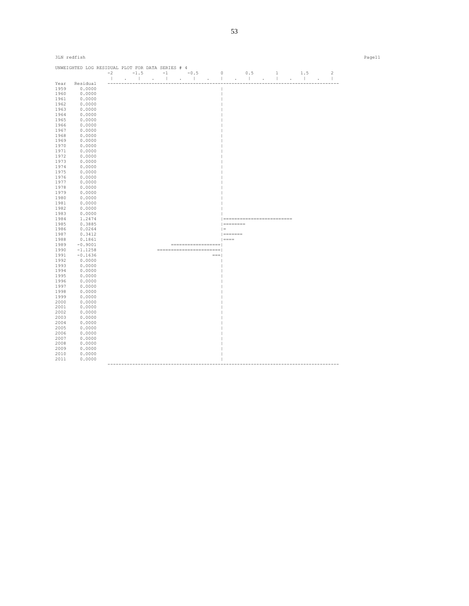| 3LN redfish |                                                  |  |  |                            |                                           |              |           |  |                             |                                    |  | Page11 |
|-------------|--------------------------------------------------|--|--|----------------------------|-------------------------------------------|--------------|-----------|--|-----------------------------|------------------------------------|--|--------|
|             | UNWEIGHTED LOG RESIDUAL PLOT FOR DATA SERIES # 4 |  |  |                            |                                           |              |           |  |                             |                                    |  |        |
|             |                                                  |  |  |                            | $-2$ $-1.5$ $-1$ $-0.5$ 0 0.5 1 1.5 2<br> |              |           |  |                             |                                    |  |        |
|             |                                                  |  |  |                            |                                           |              |           |  |                             |                                    |  |        |
| Year        | Residual                                         |  |  |                            |                                           |              |           |  |                             |                                    |  |        |
| 1959        | 0.0000                                           |  |  |                            |                                           |              |           |  |                             |                                    |  |        |
| 1960        | 0.0000                                           |  |  |                            |                                           |              |           |  |                             |                                    |  |        |
| 1961        | 0.0000                                           |  |  |                            |                                           |              |           |  |                             |                                    |  |        |
| 1962        | 0.0000                                           |  |  |                            |                                           |              |           |  |                             |                                    |  |        |
| 1963        | 0.0000                                           |  |  |                            |                                           |              |           |  |                             |                                    |  |        |
| 1964        | 0.0000                                           |  |  |                            |                                           |              |           |  |                             |                                    |  |        |
| 1965        | 0.0000                                           |  |  |                            |                                           |              |           |  |                             |                                    |  |        |
| 1966        | 0.0000                                           |  |  |                            |                                           |              |           |  |                             |                                    |  |        |
| 1967        | 0.0000                                           |  |  |                            |                                           |              |           |  |                             |                                    |  |        |
| 1968        | 0.0000                                           |  |  |                            |                                           |              |           |  |                             |                                    |  |        |
| 1969        | 0.0000                                           |  |  |                            |                                           |              |           |  |                             |                                    |  |        |
| 1970        | 0.0000                                           |  |  |                            |                                           |              |           |  |                             |                                    |  |        |
| 1971        | 0.0000                                           |  |  |                            |                                           |              |           |  |                             |                                    |  |        |
| 1972        | 0.0000                                           |  |  |                            |                                           |              |           |  |                             |                                    |  |        |
| 1973        | 0.0000                                           |  |  |                            |                                           |              |           |  |                             |                                    |  |        |
| 1974        | 0.0000                                           |  |  |                            |                                           |              |           |  |                             |                                    |  |        |
| 1975        | 0.0000                                           |  |  |                            |                                           |              |           |  |                             |                                    |  |        |
| 1976        | 0.0000                                           |  |  |                            |                                           |              |           |  |                             |                                    |  |        |
| 1977        | 0.0000                                           |  |  |                            |                                           |              |           |  |                             |                                    |  |        |
| 1978        | 0.0000                                           |  |  |                            |                                           |              |           |  |                             |                                    |  |        |
| 1979        | 0.0000                                           |  |  |                            |                                           |              |           |  |                             |                                    |  |        |
| 1980        | 0.0000                                           |  |  |                            |                                           |              |           |  |                             |                                    |  |        |
| 1981        | 0.0000                                           |  |  |                            |                                           |              |           |  |                             |                                    |  |        |
| 1982        | 0.0000                                           |  |  |                            |                                           |              |           |  |                             |                                    |  |        |
| 1983        | 0.0000                                           |  |  |                            |                                           |              |           |  |                             |                                    |  |        |
| 1984        | 1.2474                                           |  |  |                            |                                           |              |           |  | =========================== |                                    |  |        |
| 1985        | 0.3885                                           |  |  |                            |                                           |              | --------- |  |                             |                                    |  |        |
| 1986        | 0.0264                                           |  |  |                            |                                           | $=$          |           |  |                             |                                    |  |        |
| 1987        | 0.3412                                           |  |  |                            |                                           | $ $ ======== |           |  |                             |                                    |  |        |
| 1988        | 0.1861                                           |  |  |                            |                                           | $  == ==$    |           |  |                             |                                    |  |        |
| 1989        | $-0.9001$                                        |  |  |                            | -------------------                       |              |           |  |                             |                                    |  |        |
| 1990        | $-1.1258$                                        |  |  |                            | =========================                 |              |           |  |                             |                                    |  |        |
| 1991        | $-0.1636$                                        |  |  |                            | $= = =$                                   |              |           |  |                             |                                    |  |        |
| 1992        | 0.0000                                           |  |  |                            |                                           |              |           |  |                             |                                    |  |        |
| 1993        | 0.0000                                           |  |  |                            |                                           |              |           |  |                             |                                    |  |        |
| 1994        | 0.0000                                           |  |  |                            |                                           |              |           |  |                             |                                    |  |        |
| 1995        | 0.0000                                           |  |  |                            |                                           |              |           |  |                             |                                    |  |        |
| 1996        | 0.0000                                           |  |  |                            |                                           |              |           |  |                             |                                    |  |        |
| 1997        | 0.0000                                           |  |  |                            |                                           |              |           |  |                             |                                    |  |        |
| 1998        | 0.0000                                           |  |  |                            |                                           |              |           |  |                             |                                    |  |        |
| 1999        | 0.0000                                           |  |  |                            |                                           |              |           |  |                             |                                    |  |        |
| 2000        | 0.0000                                           |  |  |                            |                                           |              |           |  |                             |                                    |  |        |
| 2001        | 0.0000                                           |  |  |                            |                                           |              |           |  |                             |                                    |  |        |
| 2002        | 0.0000                                           |  |  |                            |                                           |              |           |  |                             |                                    |  |        |
| 2003        | 0.0000                                           |  |  |                            |                                           |              |           |  |                             |                                    |  |        |
| 2004        | 0.0000                                           |  |  |                            |                                           |              |           |  |                             |                                    |  |        |
| 2005        | 0.0000                                           |  |  |                            |                                           |              |           |  |                             |                                    |  |        |
| 2006        | 0.0000                                           |  |  |                            |                                           |              |           |  |                             |                                    |  |        |
| 2007        | 0.0000                                           |  |  |                            |                                           |              |           |  |                             |                                    |  |        |
| 2008        | 0.0000                                           |  |  |                            |                                           |              |           |  |                             |                                    |  |        |
| 2009        | 0.0000                                           |  |  |                            |                                           |              |           |  |                             |                                    |  |        |
| 2010        | 0.0000                                           |  |  |                            |                                           |              |           |  |                             |                                    |  |        |
| 2011        | 0.0000                                           |  |  |                            |                                           |              |           |  |                             |                                    |  |        |
|             |                                                  |  |  | -------------------------- |                                           |              |           |  |                             | __________________________________ |  |        |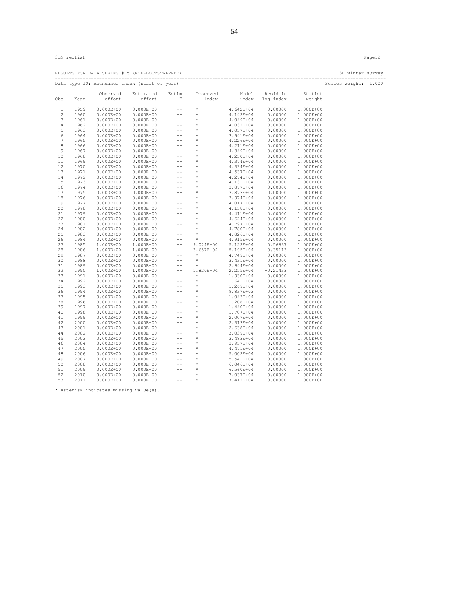|          |              |               | RESULTS FOR DATA SERIES # 5 (NON-BOOTSTRAPPED)                                                                                                                                                                                                                                                                  |                                                          |                                                                                                                         |                        |                     |                        | 3L winter survey<br>----------------------- |  |
|----------|--------------|---------------|-----------------------------------------------------------------------------------------------------------------------------------------------------------------------------------------------------------------------------------------------------------------------------------------------------------------|----------------------------------------------------------|-------------------------------------------------------------------------------------------------------------------------|------------------------|---------------------|------------------------|---------------------------------------------|--|
|          |              |               | Data type IO: Abundance index (start of year)                                                                                                                                                                                                                                                                   |                                                          |                                                                                                                         |                        |                     |                        | Series weight: 1.000                        |  |
|          |              | Observed      | Estimated                                                                                                                                                                                                                                                                                                       | Estim                                                    | Observed                                                                                                                |                        | Model Resid in      | Statist                |                                             |  |
| Obs      | Year         | effort        | effort                                                                                                                                                                                                                                                                                                          | $\mathbf F$                                              | index                                                                                                                   |                        | index log index     | weight                 |                                             |  |
| 1        | 1959         |               | $0.000E+00$ $0.000E+00$                                                                                                                                                                                                                                                                                         | $\sim$ $-$                                               | $\star$                                                                                                                 | $4.642E + 04$          | 0.00000             | 1.000E+00              |                                             |  |
| 2        | 1960         |               | $0.000E+00$ $0.000E+00$                                                                                                                                                                                                                                                                                         | $\rightarrow$ $\rightarrow$                              | $\star$                                                                                                                 | 4.142E+04              | 0.00000             | 1.000E+00              |                                             |  |
| 3        | 1961         | $0.000E + 00$ | $0.000E + 00$                                                                                                                                                                                                                                                                                                   | $\rightarrow$ $\rightarrow$                              | $\star$                                                                                                                 | 4.049E+04              | 0.00000             | 1.000E+00              |                                             |  |
| 4        | 1962         | $0.000E + 00$ | $0.000E + 00$                                                                                                                                                                                                                                                                                                   |                                                          |                                                                                                                         | 4.032E+04              | 0.00000             | 1.000E+00              |                                             |  |
| 5        | 1963         | $0.000E + 00$ | $0.000E + 00$                                                                                                                                                                                                                                                                                                   |                                                          |                                                                                                                         | 4.057E+04              | 0.00000             | 1.000E+00              |                                             |  |
| 6        | 1964         | $0.000E + 00$ | $0.000E + 00$                                                                                                                                                                                                                                                                                                   |                                                          |                                                                                                                         | 3.941E+04              | 0.00000             | 1.000E+00              |                                             |  |
| 7        | 1965         | $0.000E + 00$ | $0.000E + 00$                                                                                                                                                                                                                                                                                                   |                                                          | $\begin{array}{ccccc}\star&&&&\\ &\star&&&&\\ &\star&&&&\\ &\star&&&&\\ &\star&&&&\\ &\star&&&&\\ \end{array}$          | 4.226E+04              | 0.00000             | 1.000E+00              |                                             |  |
| 8        | 1966         |               | $\begin{array}{cccc} 0.000E+00 & \text{---} \\ 0.000E+00 & \text{---} \\ 0.000E+00 & \text{---} \\ 0.000E+00 & \text{---} \\ 0.000E+00 & \text{---} \\ 0.000E+00 & \text{---} \\ 0.000E+00 & \text{---} \\ 0.000E+00 & \text{---} \\ 0.000E+00 & \text{---} \\ \end{array}$<br>$0.000E+00$ $0.000E+00$          |                                                          | $\begin{array}{ccccc}\star&\star&\star\\ &\star&\star&\star\\ &\star&\star&\star\end{array}$                            | 4.211E+04              | 0.00000             | 1.000E+00              |                                             |  |
| 9        | 1967         |               | $0.000E+00$ $0.000E+00$                                                                                                                                                                                                                                                                                         |                                                          |                                                                                                                         | 4.349E+04              | 0.00000             | 1.000E+00              |                                             |  |
| 10       | 1968         | $0.000E + 00$ |                                                                                                                                                                                                                                                                                                                 |                                                          |                                                                                                                         | 4.250E+04              | 0.00000             | 1.000E+00              |                                             |  |
| 11       | 1969         | $0.000E + 00$ |                                                                                                                                                                                                                                                                                                                 |                                                          |                                                                                                                         | 4.374E+04              | 0.00000             | 1.000E+00              |                                             |  |
| 12       | 1970         | $0.000E + 00$ |                                                                                                                                                                                                                                                                                                                 |                                                          |                                                                                                                         | 4.334E+04              | 0.00000             | 1.000E+00              |                                             |  |
| 13       | 1971         | $0.000E + 00$ |                                                                                                                                                                                                                                                                                                                 |                                                          | $\begin{array}{cccc}\star\star\star\star\star\star\star\end{array}$                                                     | 4.537E+04              | 0.00000             | 1.000E+00              |                                             |  |
| 14       | 1972         | $0.000E + 00$ |                                                                                                                                                                                                                                                                                                                 |                                                          |                                                                                                                         | 4.274E+04              | 0.00000             | 1.000E+00              |                                             |  |
| 15       | 1973         | $0.000E + 00$ |                                                                                                                                                                                                                                                                                                                 |                                                          |                                                                                                                         | 4.131E+04              | 0.00000             | 1.000E+00              |                                             |  |
| 16       | 1974         | $0.000E + 00$ |                                                                                                                                                                                                                                                                                                                 |                                                          |                                                                                                                         | 3.877E+04              | 0.00000             | 1.000E+00              |                                             |  |
| 17       | 1975         | $0.000E + 00$ |                                                                                                                                                                                                                                                                                                                 |                                                          |                                                                                                                         | 3.873E+04              | 0.00000             | 1.000E+00              |                                             |  |
| 18       | 1976         | $0.000E + 00$ |                                                                                                                                                                                                                                                                                                                 |                                                          |                                                                                                                         | 3.974E+04              | 0.00000             | 1.000E+00              |                                             |  |
| 19       | 1977         | $0.000E + 00$ | $0.000E+00$ $0.000E+00$ $-0.000E+00$ $-0.000E+00$ $0.000E+00$ $-0.00E+0.0$                                                                                                                                                                                                                                      |                                                          | *<br>*<br>*<br>*                                                                                                        | 4.017E+04              | 0.00000             | 1.000E+00              |                                             |  |
| 20       | 1978         |               |                                                                                                                                                                                                                                                                                                                 |                                                          |                                                                                                                         | $4.158E+04$            | 0.00000             | 1.000E+00              |                                             |  |
| 21       | 1979         |               |                                                                                                                                                                                                                                                                                                                 |                                                          | $\begin{array}{cccc}\n\star & \star & \star & \star & \star & \star & \star & \star & \star & \star & \star\end{array}$ | 4.158E+04<br>4.411E+04 | 0.00000             | 1.000E+00              |                                             |  |
| 22       | 1980         |               |                                                                                                                                                                                                                                                                                                                 |                                                          |                                                                                                                         | $4.624E + 04$          | 0.00000             | 1.000E+00              |                                             |  |
| 23       | 1981         |               | $\begin{array}{cccc} 0.000E+00 & 0.000E+00 & \rule{0mm}{2.5mm} \\ 0.000E+00 & 0.000E+00 & \rule{0mm}{2.5mm} \\ 0.000E+00 & 0.000E+00 & \rule{0mm}{2.5mm} \\ 0.000E+00 & 0.000E+00 & \rule{0mm}{2.5mm} \\ 0.000E+00 & 0.000E+00 & \rule{0mm}{2.5mm} \\ 0.000E+00 & 0.000E+00 & \rule{0mm}{2.5mm} \\ \end{array}$ |                                                          |                                                                                                                         | 4.797E+04              | 0.00000             | 1.000E+00              |                                             |  |
| 24       | 1982         | $0.000E + 00$ | $0.000E + 00$                                                                                                                                                                                                                                                                                                   | $\sim$ $ -$                                              | $\qquad \qquad *$ $\qquad \qquad *$                                                                                     | 4.780E+04              | 0.00000             | 1.000E+00              |                                             |  |
| 25       | 1983         |               | $\begin{array}{cccc} 0.000E+00 & 0.000E+00 \\ 0.000E+00 & 0.000E+00 \\ 1.000E+00 & 1.000E+00 \\ 1 & 0.00E+00 & 0.00E+00 \\ \end{array}$                                                                                                                                                                         | $\sim$ $\sim$                                            |                                                                                                                         | 4.826E+04              | 0.00000             | 1.000E+00              |                                             |  |
| 26       | 1984         |               |                                                                                                                                                                                                                                                                                                                 | $\sim$ $ \sim$                                           | $\sim$ $\sim$                                                                                                           | 4.915E+04              | 0.00000             | 1.000E+00              |                                             |  |
| 27       | 1985         |               |                                                                                                                                                                                                                                                                                                                 |                                                          | $---$ 9.024E+04 5.122E+04                                                                                               |                        | 0.56637             | 1.000E+00              |                                             |  |
| 28       | 1986         | 1.000E+00     | 1.000E+00                                                                                                                                                                                                                                                                                                       | $\rightarrow$ $\rightarrow$                              | 3.657E+04                                                                                                               | 5.195E+04              | $-0.35113$          | 1.000E+00              |                                             |  |
| 29       | 1987         |               | $0.000E+00$<br>$0.000E+00$<br>$0.000E+00$<br>$0.000E+00$<br>$0.000E+00$<br>$0.000E+00$                                                                                                                                                                                                                          | $\rightarrow$ $\rightarrow$                              | $\star$                                                                                                                 | 4.749E+04              | 0.00000             | 1.000E+00              |                                             |  |
| 30       | 1988         |               |                                                                                                                                                                                                                                                                                                                 | $\sim$ $-$                                               | $\rightarrow$                                                                                                           | 3.431E+04              | 0.00000             | 1.000E+00              |                                             |  |
| 31       | 1989         |               |                                                                                                                                                                                                                                                                                                                 | $\sim 100$                                               | $\qquad \qquad \star$                                                                                                   | $2.644E+04$            | 0.00000             | 1.000E+00              |                                             |  |
| 32       | 1990         | 1.000E+00     | 1.000E+00                                                                                                                                                                                                                                                                                                       | $\rightarrow$ $\rightarrow$                              | 1.820E+04                                                                                                               | 2.255E+04              | $-0.21433$          | 1.000E+00              |                                             |  |
| 33       | 1991         |               | $0.000E+00$ $0.000E+00$                                                                                                                                                                                                                                                                                         | $\frac{1}{\sqrt{2}}$                                     | $\star$<br>$\star$                                                                                                      |                        | $1.930E+04$ 0.00000 | 1.000E+00              |                                             |  |
| 34       | 1992         | $0.000E + 00$ | $0.000E + 00$                                                                                                                                                                                                                                                                                                   |                                                          | $\star$                                                                                                                 | $1.641E+04$            | 0.00000             | 1.000E+00              |                                             |  |
| 35       | 1993         | $0.000E + 00$ | $0.000E + 00$                                                                                                                                                                                                                                                                                                   |                                                          | $\sim$ $\sim$                                                                                                           | 1.269E+04              | 0.00000             | 1.000E+00              |                                             |  |
| 36<br>37 | 1994<br>1995 | $0.000E + 00$ | $0.000E + 00$<br>$0.000E+00$ $0.000E+00$                                                                                                                                                                                                                                                                        | $\sim$ $ -$                                              |                                                                                                                         | 9.837E+03<br>1.043E+04 | 0.00000<br>0.00000  | 1.000E+00<br>1.000E+00 |                                             |  |
| 38       | 1996         | $0.000E + 00$ | $0.000E + 00$                                                                                                                                                                                                                                                                                                   |                                                          |                                                                                                                         | 1.208E+04              | 0.00000             | 1.000E+00              |                                             |  |
| 39       | 1997         | $0.000E + 00$ | $0.000E + 00$                                                                                                                                                                                                                                                                                                   | $\frac{1}{3}$ --<br>$\frac{1}{3}$ --<br>$\frac{1}{3}$ -- | $\begin{array}{c}\n\star \\ \star \\ \star\n\end{array}$                                                                | 1.440E+04              | 0.00000             | 1.000E+00              |                                             |  |
| 40       | 1998         | $0.000E + 00$ | $0.000E + 00$                                                                                                                                                                                                                                                                                                   |                                                          |                                                                                                                         | 1.707E+04              | 0.00000             | 1.000E+00              |                                             |  |
| 41       | 1999         | $0.000E + 00$ | $0.000E + 00$                                                                                                                                                                                                                                                                                                   |                                                          | *<br>*<br>*<br>*                                                                                                        | 2.007E+04              | 0.00000             | 1.000E+00              |                                             |  |
| 42       | 2000         | $0.000E + 00$ | $0.000E + 00$                                                                                                                                                                                                                                                                                                   |                                                          |                                                                                                                         | 2.313E+04              | 0.00000             | 1.000E+00              |                                             |  |
| 43       | 2001         | $0.000E + 00$ | $0.000E + 00$                                                                                                                                                                                                                                                                                                   |                                                          |                                                                                                                         | 2.638E+04              | 0.00000             | 1.000E+00              |                                             |  |
| 44       | 2002         | $0.000E + 00$ | $0.000E + 00$                                                                                                                                                                                                                                                                                                   |                                                          | $\sim$ $\sim$                                                                                                           | 3.039E+04              | 0.00000             | 1.000E+00              |                                             |  |
| 45       | 2003         | $0.000E + 00$ | $0.000E + 00$                                                                                                                                                                                                                                                                                                   |                                                          |                                                                                                                         | 3.483E+04              | 0.00000             | 1.000E+00              |                                             |  |
| 46       | 2004         | $0.000E + 00$ | $0.000E + 00$                                                                                                                                                                                                                                                                                                   |                                                          |                                                                                                                         | 3.957E+04              | 0.00000             | 1.000E+00              |                                             |  |
| 47       | 2005         | $0.000E + 00$ | $0.000E + 00$                                                                                                                                                                                                                                                                                                   |                                                          |                                                                                                                         | 4.471E+04              | 0.00000             | 1.000E+00              |                                             |  |
| 48       | 2006         | $0.000E + 00$ |                                                                                                                                                                                                                                                                                                                 |                                                          |                                                                                                                         | 5.002E+04              | 0.00000             | 1.000E+00              |                                             |  |
| 49       | 2007         | $0.000E + 00$ |                                                                                                                                                                                                                                                                                                                 |                                                          |                                                                                                                         | 5.541E+04              | 0.00000             | 1.000E+00              |                                             |  |
| 50       | 2008         | $0.000E + 00$ |                                                                                                                                                                                                                                                                                                                 |                                                          |                                                                                                                         | 6.046E+04              | 0.00000             | 1.000E+00              |                                             |  |
| 51       | 2009         | $0.000E + 00$ |                                                                                                                                                                                                                                                                                                                 |                                                          |                                                                                                                         | 6.560E+04              | 0.00000             | 1.000E+00              |                                             |  |
| 52       | 2010         | $0.000E + 00$ | 0<br>0.000E+00 --<br>0.000E+00 --<br>0.000E+00 --<br>0.000E+00 --                                                                                                                                                                                                                                               |                                                          | *<br>*<br>*<br>*                                                                                                        | 7.037E+04              | 0.00000             | 1.000E+00              |                                             |  |
| 53       | 2011         | $0.000E + 00$ | $0.000E + 00$                                                                                                                                                                                                                                                                                                   | $\sim$ $-$                                               | $^{\star}$                                                                                                              | 7.412E+04              | 0.00000             | 1.000E+00              |                                             |  |
|          |              |               |                                                                                                                                                                                                                                                                                                                 |                                                          |                                                                                                                         |                        |                     |                        |                                             |  |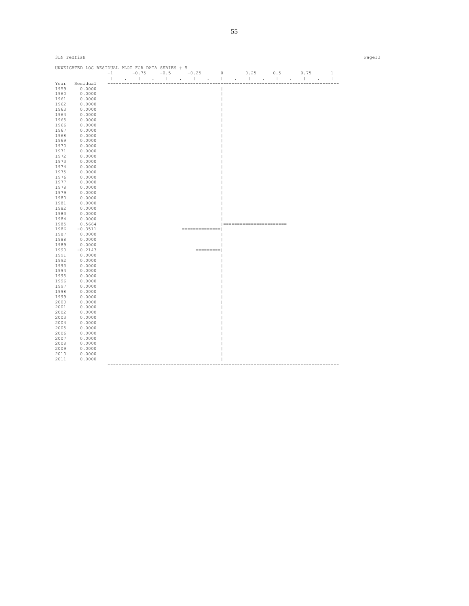|              | UNWEIGHTED LOG RESIDUAL PLOT FOR DATA SERIES # 5 |                      |         |                             |                                                                                                                                   |                              |                                      |                                |                              |
|--------------|--------------------------------------------------|----------------------|---------|-----------------------------|-----------------------------------------------------------------------------------------------------------------------------------|------------------------------|--------------------------------------|--------------------------------|------------------------------|
|              |                                                  | $-1$<br>$\mathbb{R}$ | $-0.75$ |                             | $-0.5 -0.25$ 0<br>the contract of the contract of the contract of the contract of the contract of the contract of the contract of | and the contract of the con- | 0.25<br>0.5<br><b>College Street</b> | 0.75<br>$\mathbf{1}$<br>$\sim$ | $\mathbf{1}$<br>$\mathbf{I}$ |
| Year         | Residual                                         |                      |         |                             |                                                                                                                                   |                              |                                      |                                |                              |
| 1959         | 0.0000                                           |                      |         |                             |                                                                                                                                   |                              |                                      |                                |                              |
| 1960         | 0.0000                                           |                      |         |                             |                                                                                                                                   |                              |                                      |                                |                              |
| 1961         | 0.0000                                           |                      |         |                             |                                                                                                                                   |                              |                                      |                                |                              |
| 1962         | 0.0000                                           |                      |         |                             |                                                                                                                                   |                              |                                      |                                |                              |
| 1963         | 0.0000                                           |                      |         |                             |                                                                                                                                   |                              |                                      |                                |                              |
| 1964         | 0.0000                                           |                      |         |                             |                                                                                                                                   |                              |                                      |                                |                              |
| 1965         | 0.0000                                           |                      |         |                             |                                                                                                                                   |                              |                                      |                                |                              |
| 1966         | 0.0000                                           |                      |         |                             |                                                                                                                                   |                              |                                      |                                |                              |
| 1967         | 0.0000                                           |                      |         |                             |                                                                                                                                   |                              |                                      |                                |                              |
| 1968         | 0.0000                                           |                      |         |                             |                                                                                                                                   |                              |                                      |                                |                              |
| 1969         | 0.0000                                           |                      |         |                             |                                                                                                                                   |                              |                                      |                                |                              |
| 1970         | 0.0000                                           |                      |         |                             |                                                                                                                                   |                              |                                      |                                |                              |
| 1971         | 0.0000                                           |                      |         |                             |                                                                                                                                   |                              |                                      |                                |                              |
| 1972         | 0.0000                                           |                      |         |                             |                                                                                                                                   |                              |                                      |                                |                              |
| 1973         | 0.0000                                           |                      |         |                             |                                                                                                                                   |                              |                                      |                                |                              |
| 1974         | 0.0000                                           |                      |         |                             |                                                                                                                                   |                              |                                      |                                |                              |
| 1975         | 0.0000                                           |                      |         |                             |                                                                                                                                   |                              |                                      |                                |                              |
| 1976         | 0.0000                                           |                      |         |                             |                                                                                                                                   |                              |                                      |                                |                              |
| 1977         | 0.0000                                           |                      |         |                             |                                                                                                                                   |                              |                                      |                                |                              |
| 1978         | 0.0000                                           |                      |         |                             |                                                                                                                                   |                              |                                      |                                |                              |
| 1979         | 0.0000                                           |                      |         |                             |                                                                                                                                   |                              |                                      |                                |                              |
| 1980         | 0.0000                                           |                      |         |                             |                                                                                                                                   |                              |                                      |                                |                              |
| 1981         | 0.0000                                           |                      |         |                             |                                                                                                                                   |                              |                                      |                                |                              |
| 1982         | 0.0000                                           |                      |         |                             |                                                                                                                                   |                              |                                      |                                |                              |
| 1983         | 0.0000                                           |                      |         |                             |                                                                                                                                   |                              |                                      |                                |                              |
| 1984         | 0.0000                                           |                      |         |                             |                                                                                                                                   |                              |                                      |                                |                              |
| 1985         | 0.5664                                           |                      |         |                             |                                                                                                                                   |                              | ======================               |                                |                              |
| 1986         | $-0.3511$                                        |                      |         |                             | ==============                                                                                                                    |                              |                                      |                                |                              |
| 1987         | 0.0000                                           |                      |         |                             |                                                                                                                                   |                              |                                      |                                |                              |
| 1988         | 0.0000                                           |                      |         |                             |                                                                                                                                   |                              |                                      |                                |                              |
| 1989         | 0.0000                                           |                      |         |                             |                                                                                                                                   |                              |                                      |                                |                              |
| 1990         | $-0.2143$                                        |                      |         |                             | $=$ = = = = = = = =                                                                                                               |                              |                                      |                                |                              |
| 1991         | 0.0000                                           |                      |         |                             |                                                                                                                                   |                              |                                      |                                |                              |
| 1992         | 0.0000                                           |                      |         |                             |                                                                                                                                   |                              |                                      |                                |                              |
| 1993         | 0.0000<br>0.0000                                 |                      |         |                             |                                                                                                                                   |                              |                                      |                                |                              |
| 1994<br>1995 | 0.0000                                           |                      |         |                             |                                                                                                                                   |                              |                                      |                                |                              |
| 1996         | 0.0000                                           |                      |         |                             |                                                                                                                                   |                              |                                      |                                |                              |
| 1997         | 0.0000                                           |                      |         |                             |                                                                                                                                   |                              |                                      |                                |                              |
| 1998         | 0.0000                                           |                      |         |                             |                                                                                                                                   |                              |                                      |                                |                              |
| 1999         | 0.0000                                           |                      |         |                             |                                                                                                                                   |                              |                                      |                                |                              |
| 2000         | 0.0000                                           |                      |         |                             |                                                                                                                                   |                              |                                      |                                |                              |
| 2001         | 0.0000                                           |                      |         |                             |                                                                                                                                   |                              |                                      |                                |                              |
| 2002         | 0.0000                                           |                      |         |                             |                                                                                                                                   |                              |                                      |                                |                              |
| 2003         | 0.0000                                           |                      |         |                             |                                                                                                                                   |                              |                                      |                                |                              |
| 2004         | 0.0000                                           |                      |         |                             |                                                                                                                                   |                              |                                      |                                |                              |
| 2005         | 0.0000                                           |                      |         |                             |                                                                                                                                   |                              |                                      |                                |                              |
| 2006         | 0.0000                                           |                      |         |                             |                                                                                                                                   |                              |                                      |                                |                              |
| 2007         | 0.0000                                           |                      |         |                             |                                                                                                                                   |                              |                                      |                                |                              |
| 2008         | 0.0000                                           |                      |         |                             |                                                                                                                                   |                              |                                      |                                |                              |
| 2009         | 0.0000                                           |                      |         |                             |                                                                                                                                   |                              |                                      |                                |                              |
| 2010         | 0.0000                                           |                      |         |                             |                                                                                                                                   |                              |                                      |                                |                              |
| 2011         | 0.0000                                           |                      |         |                             |                                                                                                                                   |                              |                                      |                                |                              |
|              |                                                  |                      |         | --------------------------- |                                                                                                                                   |                              |                                      |                                |                              |

3LN redfish Page13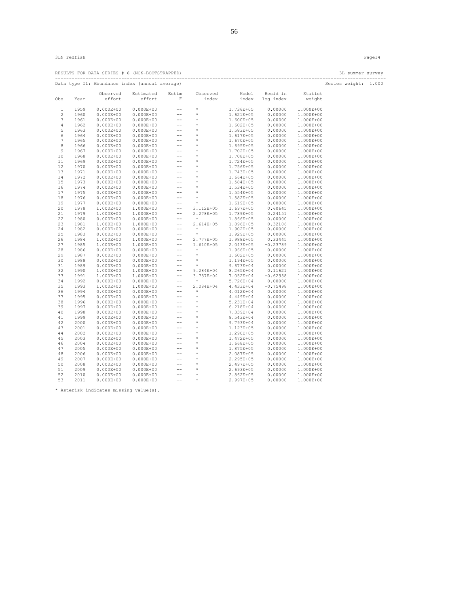RESULTS FOR DATA SERIES  $# 6$  (NON-BOOTSTRAPPED)

|              |      |               |                                                                                                                                                                                                                                                                                                                                 |                             |                                                                                  |               |                      |           | --------------------------- |  |
|--------------|------|---------------|---------------------------------------------------------------------------------------------------------------------------------------------------------------------------------------------------------------------------------------------------------------------------------------------------------------------------------|-----------------------------|----------------------------------------------------------------------------------|---------------|----------------------|-----------|-----------------------------|--|
|              |      |               | Data type I1: Abundance index (annual average)                                                                                                                                                                                                                                                                                  |                             |                                                                                  |               |                      |           | Series weight: 1.000        |  |
|              |      | Observed      | Estimated                                                                                                                                                                                                                                                                                                                       | Estim                       | Observed                                                                         |               | Model Resid in       | Statist   |                             |  |
| Obs          | Year | effort        | effort                                                                                                                                                                                                                                                                                                                          | $\mathbf F$                 | index                                                                            |               | index log index      | weight    |                             |  |
| 1            | 1959 | $0.000E + 00$ | $0.000E + 00$                                                                                                                                                                                                                                                                                                                   | $\sim$ $-$                  | $\star$                                                                          |               | 1.736E+05 0.00000    | 1.000E+00 |                             |  |
| $\mathbf{2}$ | 1960 | $0.000E + 00$ | $0.000E + 00$                                                                                                                                                                                                                                                                                                                   | $\sim$ $-$                  | $\star$                                                                          | 1.621E+05     | 0.00000              | 1.000E+00 |                             |  |
| 3            | 1961 | $0.000E + 00$ | $0.000E + 00$                                                                                                                                                                                                                                                                                                                   | $\sim$ $ -$                 | $\star$                                                                          | 1.600E+05     | 0.00000              | 1.000E+00 |                             |  |
| 4            | 1962 | $0.000E + 00$ | $\begin{array}{cccc} 0.000E+00 & \cdots \\ 0.000E+00 & \cdots \\ 0.000E+00 & \cdots \\ 0.000E+00 & \cdots \\ 0.000E+00 & \cdots \\ 0.000E+00 & \cdots \\ 0.000E+00 & \cdots \\ 0.000E+00 & \cdots \\ 0.000E+00 & \cdots \\ 0.000E+00 & \cdots \\ 0.000E+00 & \cdots \\ 0.000E+00 & \cdots \\ 0.000E+00 & \cdots \\ \end{array}$ |                             | $\begin{array}{ccccc}\n\star & \star & \star & \star & \star & \star\end{array}$ | 1.602E+05     | 0.00000              | 1.000E+00 |                             |  |
| 5            | 1963 | $0.000E + 00$ |                                                                                                                                                                                                                                                                                                                                 |                             |                                                                                  | 1.583E+05     | 0.00000              | 1.000E+00 |                             |  |
| 6            | 1964 | $0.000E + 00$ |                                                                                                                                                                                                                                                                                                                                 |                             |                                                                                  | 1.617E+05     | 0.00000              | 1.000E+00 |                             |  |
| 7            | 1965 | $0.000E + 00$ |                                                                                                                                                                                                                                                                                                                                 |                             |                                                                                  | 1.670E+05     | 0.00000              | 1.000E+00 |                             |  |
| 8            | 1966 | $0.000E + 00$ |                                                                                                                                                                                                                                                                                                                                 |                             | * * * * * * * *                                                                  | 1.695E+05     | 0.00000              | 1.000E+00 |                             |  |
| 9            | 1967 | $0.000E + 00$ | $0.000E + 00$                                                                                                                                                                                                                                                                                                                   |                             |                                                                                  | 1.702E+05     | 0.00000              | 1.000E+00 |                             |  |
| 10           | 1968 | $0.000E + 00$ |                                                                                                                                                                                                                                                                                                                                 |                             |                                                                                  | 1.708E+05     | 0.00000              | 1.000E+00 |                             |  |
| 11           | 1969 | $0.000E + 00$ |                                                                                                                                                                                                                                                                                                                                 |                             |                                                                                  | 1.724E+05     | 0.00000              | 1.000E+00 |                             |  |
| 12           | 1970 | $0.000E + 00$ |                                                                                                                                                                                                                                                                                                                                 |                             |                                                                                  | 1.756E+05     | 0.00000              | 1.000E+00 |                             |  |
| 13           | 1971 | $0.000E + 00$ |                                                                                                                                                                                                                                                                                                                                 |                             |                                                                                  | 1.743E+05     | 0.00000              | 1.000E+00 |                             |  |
| 14           | 1972 | $0.000E + 00$ |                                                                                                                                                                                                                                                                                                                                 |                             |                                                                                  | 1.664E+05     | 0.00000              | 1.000E+00 |                             |  |
| 15           | 1973 | $0.000E + 00$ |                                                                                                                                                                                                                                                                                                                                 |                             |                                                                                  | 1.584E+05     | 0.00000              | 1.000E+00 |                             |  |
|              |      |               |                                                                                                                                                                                                                                                                                                                                 | $\pm\pm$                    | $^{\star}$                                                                       |               |                      |           |                             |  |
| 16           | 1974 | $0.000E + 00$ | $0.000E + 00$                                                                                                                                                                                                                                                                                                                   |                             |                                                                                  | 1.534E+05     | 0.00000              | 1.000E+00 |                             |  |
| 17           | 1975 | $0.000E + 00$ | $0.000E + 00$                                                                                                                                                                                                                                                                                                                   | $\frac{1}{2}$               | $\star$                                                                          | 1.554E+05     | 0.00000              | 1.000E+00 |                             |  |
| 18           | 1976 | $0.000E + 00$ | $0.000E + 00$                                                                                                                                                                                                                                                                                                                   | $\rightarrow$ $\rightarrow$ | $\star$                                                                          | 1.582E+05     | 0.00000              | 1.000E+00 |                             |  |
| 19           | 1977 | $0.000E + 00$ | $0.000E + 00$                                                                                                                                                                                                                                                                                                                   | $\rightarrow$ $\rightarrow$ | $\star$                                                                          | 1.619E+05     | 0.00000              | 1.000E+00 |                             |  |
| 20           | 1978 | 1.000E+00     | 1.000E+00                                                                                                                                                                                                                                                                                                                       | $-\,-$                      | 3.112E+05                                                                        | 1.697E+05     | 0.60645              | 1.000E+00 |                             |  |
| 21           | 1979 | 1.000E+00     | 1.000E+00                                                                                                                                                                                                                                                                                                                       | $-\,-$                      | 2.278E+05                                                                        | 1.789E+05     | 0.24151              | 1.000E+00 |                             |  |
| 22           | 1980 | $0.000E + 00$ | $0.000E + 00$                                                                                                                                                                                                                                                                                                                   | $-\,-$                      | $\star$                                                                          | 1.866E+05     | 0.00000              | 1.000E+00 |                             |  |
| 23           | 1981 | 1.000E+00     | 1.000E+00                                                                                                                                                                                                                                                                                                                       | $\rightarrow$ $\rightarrow$ | 2.614E+05                                                                        | 1.896E+05     | 0.32106              | 1.000E+00 |                             |  |
| 24           | 1982 | $0.000E + 00$ | $0.000E + 00$                                                                                                                                                                                                                                                                                                                   | $\rightarrow$ $\rightarrow$ | $*$                                                                              | 1.902E+05     | 0.00000              | 1.000E+00 |                             |  |
| 25           | 1983 | $0.000E + 00$ | $0.000E + 00$                                                                                                                                                                                                                                                                                                                   | $-\,-$                      | $^{\star}$                                                                       | 1.929E+05     | 0.00000              | 1.000E+00 |                             |  |
| 26           | 1984 | 1.000E+00     | 1.000E+00                                                                                                                                                                                                                                                                                                                       | $\rightarrow$ $\rightarrow$ | 2.777E+05                                                                        | 1.988E+05     | 0.33445              | 1.000E+00 |                             |  |
| 27           | 1985 | 1.000E+00     | 1.000E+00                                                                                                                                                                                                                                                                                                                       | $-\,-$                      | 1.610E+05                                                                        | 2.043E+05     | $-0.23789$           | 1.000E+00 |                             |  |
| 28           | 1986 | $0.000E + 00$ | $0.000E + 00$                                                                                                                                                                                                                                                                                                                   | $-\, -$                     | $\star$                                                                          | 1.966E+05     | 0.00000              | 1.000E+00 |                             |  |
| 29           | 1987 | $0.000E + 00$ | $0.000E + 00$                                                                                                                                                                                                                                                                                                                   | $-\, -$                     | $\star$                                                                          | $1.602E + 05$ | 0.00000              | 1.000E+00 |                             |  |
| 30           | 1988 | $0.000E + 00$ | $0.000E + 00$                                                                                                                                                                                                                                                                                                                   | $-\, -$                     | $^{\star}$                                                                       | 1.194E+05     | 0.00000              | 1.000E+00 |                             |  |
| 31           | 1989 | $0.000E + 00$ | $0.000E + 00$                                                                                                                                                                                                                                                                                                                   | $\rightarrow$ $\rightarrow$ | $^{\star}$                                                                       | 9.673E+04     | 0.00000              | 1.000E+00 |                             |  |
| 32           | 1990 | 1.000E+00     | 1.000E+00                                                                                                                                                                                                                                                                                                                       | $-\,-$                      | 9.284E+04                                                                        | 8.265E+04     | 0.11621              | 1.000E+00 |                             |  |
| 33           | 1991 | 1.000E+00     | 1.000E+00                                                                                                                                                                                                                                                                                                                       | $\rightarrow$ $\rightarrow$ | 3.757E+04                                                                        | 7.052E+04     | $-0.62958$           | 1.000E+00 |                             |  |
| 34           | 1992 | $0.000E + 00$ | $0.000E + 00$                                                                                                                                                                                                                                                                                                                   | $\rightarrow$ $\rightarrow$ | $\pm$                                                                            | 5.726E+04     | 0.00000              | 1.000E+00 |                             |  |
| 35           | 1993 | 1.000E+00     | 1.000E+00                                                                                                                                                                                                                                                                                                                       | $\rightarrow$ $\rightarrow$ | 2.084E+04                                                                        | 4.433E+04     | $-0.75498$           | 1.000E+00 |                             |  |
| 36           | 1994 | $0.000E + 00$ | $0.000E + 00$                                                                                                                                                                                                                                                                                                                   |                             | $\star$                                                                          | $4.012E+04$   | $0.00000$<br>0.00000 | 1.000E+00 |                             |  |
| 37           | 1995 | $0.000E + 00$ | $0.000E + 00$                                                                                                                                                                                                                                                                                                                   |                             | $\qquad \qquad \star$ $\qquad \star$                                             | 4.449E+04     |                      | 1.000E+00 |                             |  |
| 38           | 1996 | $0.000E + 00$ | $0.000E + 00$                                                                                                                                                                                                                                                                                                                   |                             |                                                                                  | 5.231E+04     | 0.00000              | 1.000E+00 |                             |  |
| 39           | 1997 | $0.000E + 00$ | $0.000E + 00$                                                                                                                                                                                                                                                                                                                   | $\sim$ $\sim$ $\sim$        | *<br>*<br>*<br>*                                                                 | $6.218E + 04$ | 0.00000              | 1.000E+00 |                             |  |
| 40           | 1998 | $0.000E + 00$ | $0.000E + 00$                                                                                                                                                                                                                                                                                                                   |                             |                                                                                  | 7.339E+04     | 0.00000              | 1.000E+00 |                             |  |
| 41           | 1999 | $0.000E + 00$ | $0.000E + 00$                                                                                                                                                                                                                                                                                                                   |                             |                                                                                  | 8.543E+04     | 0.00000              | 1.000E+00 |                             |  |
| 42           | 2000 | $0.000E + 00$ | $0.000E + 00$                                                                                                                                                                                                                                                                                                                   |                             |                                                                                  | 9.793E+04     | 0.00000              | 1.000E+00 |                             |  |
| 43           | 2001 | $0.000E + 00$ | $0.000E + 00$                                                                                                                                                                                                                                                                                                                   |                             |                                                                                  | 1.123E+05     | 0.00000              | 1.000E+00 |                             |  |
| 44           | 2002 | $0.000E + 00$ | $0.000E + 00$                                                                                                                                                                                                                                                                                                                   |                             |                                                                                  | 1.290E+05     | 0.00000              | 1.000E+00 |                             |  |
| 45           | 2003 | $0.000E + 00$ | $0.000E + 00$                                                                                                                                                                                                                                                                                                                   |                             |                                                                                  | 1.472E+05     | 0.00000              | 1.000E+00 |                             |  |
| 46           | 2004 | $0.000E + 00$ | $0.000E + 00$                                                                                                                                                                                                                                                                                                                   |                             | *<br>*<br>*<br>*                                                                 | 1.668E+05     | 0.00000              | 1.000E+00 |                             |  |
| 47           | 2005 | $0.000E + 00$ | $0.000E + 00$                                                                                                                                                                                                                                                                                                                   |                             |                                                                                  | 1.875E+05     | 0.00000              | 1.000E+00 |                             |  |
| 48           | 2006 | $0.000E + 00$ | $0.000E + 00$                                                                                                                                                                                                                                                                                                                   |                             |                                                                                  | 2.087E+05     | 0.00000              | 1.000E+00 |                             |  |
| 49           | 2007 | $0.000E + 00$ | $0.000E + 00$                                                                                                                                                                                                                                                                                                                   |                             |                                                                                  | 2.295E+05     | 0.00000              | 1.000E+00 |                             |  |
| 50           | 2008 | $0.000E + 00$ | $0.000E + 00$                                                                                                                                                                                                                                                                                                                   |                             |                                                                                  | 2.497E+05     | 0.00000              | 1.000E+00 |                             |  |
| 51           | 2009 | $0.000E + 00$ | $0.000E + 00$                                                                                                                                                                                                                                                                                                                   |                             |                                                                                  | 2.693E+05     | 0.00000              | 1.000E+00 |                             |  |
| 52           | 2010 | $0.000E + 00$ | $0.000E + 00$                                                                                                                                                                                                                                                                                                                   |                             |                                                                                  | 2.862E+05     | 0.00000              | 1.000E+00 |                             |  |
| 53           | 2011 | $0.000E + 00$ | $0.000E + 00$                                                                                                                                                                                                                                                                                                                   |                             |                                                                                  | 2.997E+05     | 0.00000              | 1.000E+00 |                             |  |
|              |      |               |                                                                                                                                                                                                                                                                                                                                 |                             |                                                                                  |               |                      |           |                             |  |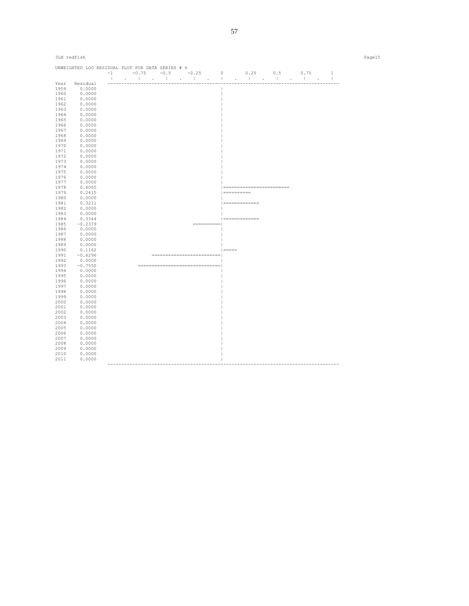| 3LN redfish |                                                  |  |                             |                    |                            |  | Page15 |
|-------------|--------------------------------------------------|--|-----------------------------|--------------------|----------------------------|--|--------|
|             | UNWEIGHTED LOG RESIDUAL PLOT FOR DATA SERIES # 6 |  |                             |                    |                            |  |        |
|             |                                                  |  |                             |                    |                            |  |        |
|             | Year Residual                                    |  |                             |                    |                            |  |        |
| 1959        | 0.0000                                           |  |                             |                    |                            |  |        |
| 1960        | 0.0000                                           |  |                             |                    |                            |  |        |
| 1961        | 0.0000                                           |  |                             |                    |                            |  |        |
| 1962        | 0.0000                                           |  |                             |                    |                            |  |        |
| 1963        | 0.0000                                           |  |                             |                    |                            |  |        |
| 1964        | 0.0000                                           |  |                             |                    |                            |  |        |
| 1965        | 0.0000                                           |  |                             |                    |                            |  |        |
| 1966        | 0.0000                                           |  |                             |                    |                            |  |        |
| 1967        | 0.0000                                           |  |                             |                    |                            |  |        |
| 1968        | 0.0000                                           |  |                             |                    |                            |  |        |
| 1969        | 0.0000                                           |  |                             |                    |                            |  |        |
| 1970        | 0.0000                                           |  |                             |                    |                            |  |        |
| 1971        | 0.0000                                           |  |                             |                    |                            |  |        |
| 1972        | 0.0000                                           |  |                             |                    |                            |  |        |
| 1973        | 0.0000                                           |  |                             |                    |                            |  |        |
| 1974        | 0.0000                                           |  |                             |                    |                            |  |        |
| 1975        | 0.0000                                           |  |                             |                    |                            |  |        |
| 1976        | 0.0000                                           |  |                             |                    |                            |  |        |
| 1977        | 0.0000                                           |  |                             |                    |                            |  |        |
| 1978        | 0.6065                                           |  |                             |                    | ========================== |  |        |
| 1979        | 0.2415                                           |  |                             | ==========         |                            |  |        |
| 1980        | 0.0000                                           |  |                             |                    |                            |  |        |
| 1981        | 0.3211                                           |  |                             | ==============     |                            |  |        |
| 1982        | 0.0000                                           |  |                             |                    |                            |  |        |
| 1983        | 0.0000                                           |  |                             |                    |                            |  |        |
| 1984        | 0.3344                                           |  |                             | $ $ ============== |                            |  |        |
| 1985        | $-0.2379$                                        |  |                             |                    |                            |  |        |
| 1986        | 0.0000                                           |  |                             |                    |                            |  |        |
| 1987        | 0.0000                                           |  |                             |                    |                            |  |        |
| 1988        | 0.0000                                           |  |                             |                    |                            |  |        |
| 1989        | 0.0000                                           |  |                             |                    |                            |  |        |
| 1990        | 0.1162                                           |  |                             | $  == == ==$       |                            |  |        |
| 1991        | $-0.6296$                                        |  | =========================== |                    |                            |  |        |
| 1992        | 0.0000                                           |  |                             |                    |                            |  |        |
| 1993        | $-0.7550$                                        |  |                             |                    |                            |  |        |
| 1994        | 0.0000                                           |  |                             |                    |                            |  |        |
| 1995        | 0.0000                                           |  |                             |                    |                            |  |        |
| 1996        | 0.0000                                           |  |                             |                    |                            |  |        |
| 1997        | 0.0000                                           |  |                             |                    |                            |  |        |
| 1998        | 0.0000                                           |  |                             |                    |                            |  |        |
| 1999        | 0.0000                                           |  |                             |                    |                            |  |        |
| 2000        | 0.0000                                           |  |                             |                    |                            |  |        |
| 2001        | 0.0000                                           |  |                             |                    |                            |  |        |
| 2002        | 0.0000                                           |  |                             |                    |                            |  |        |
| 2003        | 0.0000                                           |  |                             |                    |                            |  |        |
| 2004        | 0.0000                                           |  |                             |                    |                            |  |        |
| 2005        | 0.0000                                           |  |                             |                    |                            |  |        |
| 2006        | 0.0000                                           |  |                             |                    |                            |  |        |
| 2007        | 0.0000                                           |  |                             |                    |                            |  |        |
| 2008        | 0.0000                                           |  |                             |                    |                            |  |        |
| 2009        | 0.0000                                           |  |                             |                    |                            |  |        |
| 2010        | 0.0000                                           |  |                             |                    |                            |  |        |
| 2011        | 0.0000                                           |  |                             |                    |                            |  |        |
|             |                                                  |  |                             |                    |                            |  |        |

57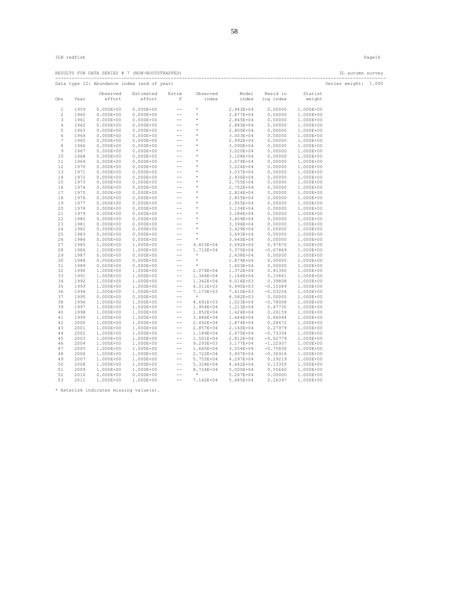|          |              |                        | RESULTS FOR DATA SERIES # 7 (NON-BOOTSTRAPPED) |                                                  |                                                                                                                         |                        |                          |                        | 3L autumn survey<br>----------------------- |  |
|----------|--------------|------------------------|------------------------------------------------|--------------------------------------------------|-------------------------------------------------------------------------------------------------------------------------|------------------------|--------------------------|------------------------|---------------------------------------------|--|
|          |              |                        | Data type I2: Abundance index (end of year)    |                                                  |                                                                                                                         |                        |                          |                        | Series weight: 1.000                        |  |
|          |              | Observed               | Estimated                                      | Estim                                            | Observed                                                                                                                |                        | Model Resid in           | Statist                |                                             |  |
| Obs      | Year         | effort                 | effort                                         | $\mathbb F$                                      | index                                                                                                                   |                        | index log index          | weight                 |                                             |  |
| 1        | 1959         | $0.000E + 00$          | $0.000E + 00$                                  | $\sim$ $-$                                       | $\star$                                                                                                                 | 2.943E+04              | 0.00000                  | 1.000E+00              |                                             |  |
| 2        | 1960         | $0.000E + 00$          | $0.000E + 00$                                  | $\rightarrow$ $\rightarrow$                      | $\star$                                                                                                                 | 2.877E+04              | 0.00000                  | 1.000E+00              |                                             |  |
| 3        | 1961         | $0.000E + 00$          | $0.000E + 00$                                  | $\rightarrow$ $\rightarrow$                      | $^{\star}$                                                                                                              | 2.865E+04              | 0.00000                  | 1.000E+00              |                                             |  |
| 4        | 1962         | $0.000E + 00$          | $0.000E + 00$                                  | $\rightarrow$ $\rightarrow$                      |                                                                                                                         | 2.883E+04              | 0.00000                  | 1.000E+00              |                                             |  |
| 5        | 1963         | $0.000E + 00$          | $0.000E + 00$                                  | $- -$                                            |                                                                                                                         | 2.800E+04              | 0.00000                  | 1.000E+00              |                                             |  |
| 6        | 1964         | $0.000E + 00$          | $0.000E + 00$                                  | $\sim$ $ -$                                      | $\begin{array}{cccc}\star&\star\\ \star&\star\\ \star&\star\end{array}$                                                 | 3.003E+04              | 0.00000                  | 1.000E+00              |                                             |  |
| 7        | 1965         | $0.000E + 00$          | $0.000E + 00$                                  | $\sim$ $ -$                                      | $\longrightarrow$                                                                                                       | 2.992E+04              | 0.00000                  | 1.000E+00              |                                             |  |
| 8        | 1966         | $0.000E + 00$          | $0.000E + 00$                                  | $\rightarrow$ $\rightarrow$                      |                                                                                                                         | 3.090E+04              | 0.00000                  | 1.000E+00              |                                             |  |
| 9        | 1967         | $0.000E + 00$          | $0.000E + 00$                                  | $\frac{1}{2}$                                    |                                                                                                                         | 3.020E+04              | 0.00000                  | 1.000E+00              |                                             |  |
| 10       | 1968         | $0.000E + 00$          | $0.000E + 00$                                  | $\frac{1}{2}$                                    |                                                                                                                         | 3.108E+04              | 0.00000                  | 1.000E+00              |                                             |  |
| 11       | 1969         | $0.000E + 00$          | $0.000E + 00$                                  | $\sim$ $ -$                                      |                                                                                                                         | 3.079E+04              | 0.00000                  | 1.000E+00              |                                             |  |
| 12       | 1970         | $0.000E + 00$          | $0.000E + 00$                                  |                                                  |                                                                                                                         | 3.224E+04              | 0.00000                  | 1.000E+00              |                                             |  |
| 13       | 1971         | $0.000E + 00$          | $0.000E + 00$                                  |                                                  |                                                                                                                         | 3.037E+04              | 0.00000                  | 1.000E+00              |                                             |  |
| 14       | 1972         | $0.000E + 00$          | $0.000E + 00$                                  |                                                  |                                                                                                                         | 2.936E+04              | 0.00000                  | 1.000E+00              |                                             |  |
| 15       | 1973         | $0.000E + 00$          | $0.000E + 00$                                  |                                                  | $\begin{array}{cccc}\n\star & \star & \star & \star & \star & \star & \star & \star & \star & \star & \star\end{array}$ | 2.755E+04              | 0.00000                  | 1.000E+00              |                                             |  |
| 16       | 1974         | $0.000E + 00$          | $0.000E + 00$                                  |                                                  |                                                                                                                         | 2.752E+04              | 0.00000                  | 1.000E+00              |                                             |  |
| 17       | 1975         | $0.000E + 00$          | $0.000E + 00$                                  |                                                  |                                                                                                                         | 2.824E+04              | 0.00000                  | 1.000E+00              |                                             |  |
| 18       | 1976         | $0.000E + 00$          | $0.000E + 00$                                  |                                                  |                                                                                                                         | 2.855E+04              | 0.00000                  | 1.000E+00              |                                             |  |
| 19       | 1977         | $0.000E + 00$          | $0.000E + 00$                                  |                                                  | *<br>*<br>*<br>*                                                                                                        | 2.955E+04              | 0.00000                  | 1.000E+00              |                                             |  |
| 20       | 1978         | $0.000E + 00$          | $0.000E + 00$                                  |                                                  |                                                                                                                         | 3.134E+04              | 0.00000                  | 1.000E+00              |                                             |  |
| 21       | 1979         | $0.000E + 00$          | $0.000E + 00$                                  |                                                  |                                                                                                                         | 3.286E+04              | 0.00000                  | 1.000E+00              |                                             |  |
| 22       | 1980         | $0.000E + 00$          | $0.000E + 00$                                  |                                                  |                                                                                                                         | 3.409E+04              | 0.00000                  | 1.000E+00              |                                             |  |
| 23       | 1981         | $0.000E + 00$          | $0.000E + 00$                                  |                                                  |                                                                                                                         | 3.396E+04              | 0.00000                  | 1.000E+00              |                                             |  |
| 24       | 1982         | $0.000E + 00$          | $0.000E + 00$                                  | $\rightarrow$ $\rightarrow$                      | $\qquad \qquad ^{*}\nonumber$ *                                                                                         | 3.429E+04              | 0.00000                  | 1.000E+00              |                                             |  |
| 25       | 1983         | $0.000E + 00$          | $0.000E + 00$                                  | $\rightarrow$ $\rightarrow$                      |                                                                                                                         | 3.493E+04              | 0.00000                  | 1.000E+00              |                                             |  |
| 26       | 1984         | $0.000E + 00$          | $0.000E + 00$                                  | $\rightarrow$ $\rightarrow$                      | $\rightarrow$                                                                                                           | 3.640E+04              | 0.00000                  | 1.000E+00              |                                             |  |
| 27       | 1985         | 1.000E+00              | 1.000E+00                                      | $\sim$ $-$                                       | 9.823E+04                                                                                                               | $3.692E + 04$          | 0.97870                  | 1.000E+00              |                                             |  |
| 28       | 1986         | 1.000E+00              | 1.000E+00                                      | $\sim$ $-$                                       | 1.712E+04                                                                                                               | 3.375E+04              | $-0.67869$               | 1.000E+00              |                                             |  |
| 29       | 1987         |                        | $0.000E+00$ $0.000E+00$                        | $\rightarrow$ $\rightarrow$                      | $\star$                                                                                                                 | 2.438E+04              | 0.00000                  | 1.000E+00              |                                             |  |
| 30       | 1988         | $0.000E + 00$          | $0.000E + 00$                                  | $\rightarrow$ $\rightarrow$                      | $^{\star}$                                                                                                              | 1.879E+04              | 0.00000                  | 1.000E+00              |                                             |  |
| 31       | 1989         | $0.000E + 00$          | $0.000E + 00$                                  | $\rightarrow$ $-$                                | $^{\star}$                                                                                                              | 1.603E+04              | 0.00000                  | 1.000E+00              |                                             |  |
| 32       | 1990         | 1.000E+00              | 1.000E+00                                      | $\sim$ $-$                                       | 2.074E+04                                                                                                               | 1.372E+04              | 0.41365                  | 1.000E+00              |                                             |  |
| 33       | 1991         | 1.000E+00              | 1.000E+00                                      | $\pm$ $\pm$                                      |                                                                                                                         | 1.366E+04 1.166E+04    | 0.15861                  | 1.000E+00              |                                             |  |
| 34       | 1992         | 1.000E+00              | 1.000E+00                                      | $\sim$ $\sim$                                    | 1.342E+04                                                                                                               | $9.016E + 03$          | 0.39808                  | 1.000E+00              |                                             |  |
| 35       | 1993         | 1.000E+00              | 1.000E+00                                      | $\rightarrow$ $\rightarrow$                      | $6.011E+03$                                                                                                             | 6.990E+03              | $-0.15089$               | 1.000E+00              |                                             |  |
| 36       | 1994         | 1.000E+00              | 1.000E+00                                      | $\rightarrow$ $\rightarrow$                      | 7.173E+03                                                                                                               | 7.410E+03              | $-0.03256$               | 1.000E+00              |                                             |  |
| 37       | 1995         |                        | $0.000E+00$ $0.000E+00$                        | $\rightarrow$ $\rightarrow$                      | $\star$                                                                                                                 | 8.582E+03              | 0.00000                  | 1.000E+00              |                                             |  |
| 38       | 1996         | 1.000E+00              | 1.000E+00                                      | $\rightarrow$ $\rightarrow$                      | 4.691E+03                                                                                                               | 1.023E+04              | $-0.78008$               | 1.000E+00              |                                             |  |
| 39       | 1997         | 1.000E+00              | 1.000E+00                                      | $\rightarrow$ $\rightarrow$                      | 1.954E+04                                                                                                               | 1.213E+04              | 0.47730                  | 1.000E+00              |                                             |  |
| 40       | 1998         | 1.000E+00              | 1.000E+00                                      | $--$                                             | 1.852E+04                                                                                                               | 1.426E+04              | 0.26159                  | 1.000E+00              |                                             |  |
| 41       | 1999         | 1.000E+00              | 1.000E+00                                      | $- -$                                            | 3.886E+04                                                                                                               | $1.644E + 04$          | 0.86044                  | 1.000E+00              |                                             |  |
| 42<br>43 | 2000<br>2001 | 1.000E+00<br>1.000E+00 | 1.000E+00<br>1.000E+00                         | $- -$<br>$\rightarrow$ $\rightarrow$             | 2.492E+04<br>2.857E+04                                                                                                  | 1.874E+04<br>2.160E+04 | 0.28472<br>0.27979       | 1.000E+00<br>1.000E+00 |                                             |  |
| 44       | 2002         |                        | 1.000E+00                                      | $\hspace{0.1em} -\hspace{0.1em} -\hspace{0.1em}$ | 1.189E+04                                                                                                               | 2.475E+04              | $-0.73334$               | 1.000E+00              |                                             |  |
|          |              | 1.000E+00              |                                                |                                                  |                                                                                                                         |                        |                          |                        |                                             |  |
| 45<br>46 | 2003<br>2004 | 1.000E+00<br>1.000E+00 | 1.000E+00<br>1.000E+00                         | $- -$<br>$-\,-$                                  | 1.501E+04<br>9.293E+03                                                                                                  | 2.812E+04<br>3.177E+04 | $-0.62779$<br>$-1.22937$ | 1.000E+00<br>1.000E+00 |                                             |  |
| 47       | 2005         | 1.000E+00              | 1.000E+00                                      | $\rightarrow$ $\rightarrow$                      | $1.665E + 04$                                                                                                           | 3.554E+04              | $-0.75830$               | 1.000E+00              |                                             |  |
| 48       | 2006         | 1.000E+00              | 1.000E+00                                      | $\sim$ $-$                                       | 2.722E+04                                                                                                               | 3.937E+04              | $-0.36918$               | 1.000E+00              |                                             |  |
| 49       | 2007         | 1.000E+00              | 1.000E+00                                      | $- -$                                            | 5.755E+04                                                                                                               | 4.297E+04              | 0.29219                  | 1.000E+00              |                                             |  |
| 50       | 2008         | 1.000E+00              | 1.000E+00                                      | $\frac{1}{2}$                                    | 5.328E+04                                                                                                               | $4.662E + 04$          | 0.13355                  | 1.000E+00              |                                             |  |
| 51       | 2009         | 1.000E+00              | 1.000E+00                                      | $\rightarrow$ $\rightarrow$                      | 8.724E+04                                                                                                               | 5.000E+04              | 0.55660                  | 1.000E+00              |                                             |  |
| 52       | 2010         | $0.000E + 00$          | $0.000E + 00$                                  | $\sim$ $\sim$                                    | and the second second                                                                                                   | 5.267E+04              | 0.00000                  | 1.000E+00              |                                             |  |
| 53       | 2011         | 1.000E+00              | 1.000E+00                                      | $\rightarrow$ $\rightarrow$                      | 7.142E+04                                                                                                               | 5.485E+04              | 0.26397                  | 1.000E+00              |                                             |  |
|          |              |                        |                                                |                                                  |                                                                                                                         |                        |                          |                        |                                             |  |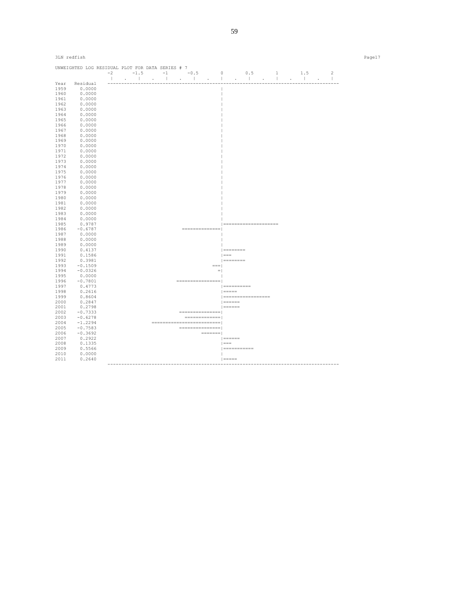| 3LN redfish |                                                  |  |  |  |                                                                                                                                                                                                                                                                                                                                                                                                                                 |                                           |  |  |  | Page17 |
|-------------|--------------------------------------------------|--|--|--|---------------------------------------------------------------------------------------------------------------------------------------------------------------------------------------------------------------------------------------------------------------------------------------------------------------------------------------------------------------------------------------------------------------------------------|-------------------------------------------|--|--|--|--------|
|             | UNWEIGHTED LOG RESIDUAL PLOT FOR DATA SERIES # 7 |  |  |  |                                                                                                                                                                                                                                                                                                                                                                                                                                 |                                           |  |  |  |        |
|             |                                                  |  |  |  |                                                                                                                                                                                                                                                                                                                                                                                                                                 |                                           |  |  |  |        |
|             |                                                  |  |  |  |                                                                                                                                                                                                                                                                                                                                                                                                                                 |                                           |  |  |  |        |
| Year        | Residual                                         |  |  |  |                                                                                                                                                                                                                                                                                                                                                                                                                                 |                                           |  |  |  |        |
| 1959        | 0.0000                                           |  |  |  |                                                                                                                                                                                                                                                                                                                                                                                                                                 |                                           |  |  |  |        |
| 1960        | 0.0000                                           |  |  |  |                                                                                                                                                                                                                                                                                                                                                                                                                                 |                                           |  |  |  |        |
| 1961        | 0.0000                                           |  |  |  |                                                                                                                                                                                                                                                                                                                                                                                                                                 |                                           |  |  |  |        |
| 1962        | 0.0000                                           |  |  |  |                                                                                                                                                                                                                                                                                                                                                                                                                                 |                                           |  |  |  |        |
| 1963        | 0.0000                                           |  |  |  |                                                                                                                                                                                                                                                                                                                                                                                                                                 |                                           |  |  |  |        |
| 1964        | 0.0000                                           |  |  |  |                                                                                                                                                                                                                                                                                                                                                                                                                                 |                                           |  |  |  |        |
| 1965        | 0.0000                                           |  |  |  |                                                                                                                                                                                                                                                                                                                                                                                                                                 |                                           |  |  |  |        |
| 1966        | 0.0000                                           |  |  |  |                                                                                                                                                                                                                                                                                                                                                                                                                                 |                                           |  |  |  |        |
| 1967        | 0.0000                                           |  |  |  |                                                                                                                                                                                                                                                                                                                                                                                                                                 |                                           |  |  |  |        |
| 1968        | 0.0000                                           |  |  |  |                                                                                                                                                                                                                                                                                                                                                                                                                                 |                                           |  |  |  |        |
| 1969        | 0.0000                                           |  |  |  |                                                                                                                                                                                                                                                                                                                                                                                                                                 |                                           |  |  |  |        |
| 1970        | 0.0000                                           |  |  |  |                                                                                                                                                                                                                                                                                                                                                                                                                                 |                                           |  |  |  |        |
| 1971        | 0.0000                                           |  |  |  |                                                                                                                                                                                                                                                                                                                                                                                                                                 |                                           |  |  |  |        |
| 1972        | 0.0000                                           |  |  |  |                                                                                                                                                                                                                                                                                                                                                                                                                                 |                                           |  |  |  |        |
| 1973        | 0.0000                                           |  |  |  |                                                                                                                                                                                                                                                                                                                                                                                                                                 |                                           |  |  |  |        |
| 1974        | 0.0000                                           |  |  |  |                                                                                                                                                                                                                                                                                                                                                                                                                                 |                                           |  |  |  |        |
|             |                                                  |  |  |  |                                                                                                                                                                                                                                                                                                                                                                                                                                 |                                           |  |  |  |        |
| 1975        | 0.0000                                           |  |  |  |                                                                                                                                                                                                                                                                                                                                                                                                                                 |                                           |  |  |  |        |
| 1976        | 0.0000                                           |  |  |  |                                                                                                                                                                                                                                                                                                                                                                                                                                 |                                           |  |  |  |        |
| 1977        | 0.0000                                           |  |  |  |                                                                                                                                                                                                                                                                                                                                                                                                                                 |                                           |  |  |  |        |
| 1978        | 0.0000                                           |  |  |  |                                                                                                                                                                                                                                                                                                                                                                                                                                 |                                           |  |  |  |        |
| 1979        | 0.0000                                           |  |  |  |                                                                                                                                                                                                                                                                                                                                                                                                                                 |                                           |  |  |  |        |
| 1980        | 0.0000                                           |  |  |  |                                                                                                                                                                                                                                                                                                                                                                                                                                 |                                           |  |  |  |        |
| 1981        | 0.0000                                           |  |  |  |                                                                                                                                                                                                                                                                                                                                                                                                                                 |                                           |  |  |  |        |
| 1982        | 0.0000                                           |  |  |  |                                                                                                                                                                                                                                                                                                                                                                                                                                 |                                           |  |  |  |        |
| 1983        | 0.0000                                           |  |  |  |                                                                                                                                                                                                                                                                                                                                                                                                                                 |                                           |  |  |  |        |
| 1984        | 0.0000                                           |  |  |  |                                                                                                                                                                                                                                                                                                                                                                                                                                 |                                           |  |  |  |        |
| 1985        | 0.9787                                           |  |  |  |                                                                                                                                                                                                                                                                                                                                                                                                                                 | =====================                     |  |  |  |        |
| 1986        | $-0.6787$                                        |  |  |  | ===============                                                                                                                                                                                                                                                                                                                                                                                                                 |                                           |  |  |  |        |
| 1987        | 0.0000                                           |  |  |  |                                                                                                                                                                                                                                                                                                                                                                                                                                 |                                           |  |  |  |        |
| 1988        | 0.0000                                           |  |  |  |                                                                                                                                                                                                                                                                                                                                                                                                                                 |                                           |  |  |  |        |
| 1989        | 0.0000                                           |  |  |  |                                                                                                                                                                                                                                                                                                                                                                                                                                 |                                           |  |  |  |        |
| 1990        | 0.4137                                           |  |  |  |                                                                                                                                                                                                                                                                                                                                                                                                                                 | $  = 22222222222$                         |  |  |  |        |
| 1991        | 0.1586                                           |  |  |  |                                                                                                                                                                                                                                                                                                                                                                                                                                 | $  == =$                                  |  |  |  |        |
| 1992        | 0.3981                                           |  |  |  |                                                                                                                                                                                                                                                                                                                                                                                                                                 | $ $ =========                             |  |  |  |        |
| 1993        | $-0.1509$                                        |  |  |  | $==$                                                                                                                                                                                                                                                                                                                                                                                                                            |                                           |  |  |  |        |
| 1994        | $-0.0326$                                        |  |  |  |                                                                                                                                                                                                                                                                                                                                                                                                                                 | $=$ $\overline{ }$                        |  |  |  |        |
| 1995        | 0.0000                                           |  |  |  |                                                                                                                                                                                                                                                                                                                                                                                                                                 | $\overline{\phantom{a}}$                  |  |  |  |        |
|             |                                                  |  |  |  | =================                                                                                                                                                                                                                                                                                                                                                                                                               |                                           |  |  |  |        |
| 1996        | $-0.7801$                                        |  |  |  |                                                                                                                                                                                                                                                                                                                                                                                                                                 | $1 = - - - - - - - -$                     |  |  |  |        |
| 1997        | 0.4773                                           |  |  |  |                                                                                                                                                                                                                                                                                                                                                                                                                                 |                                           |  |  |  |        |
| 1998        | 0.2616                                           |  |  |  |                                                                                                                                                                                                                                                                                                                                                                                                                                 | $  == == ==$                              |  |  |  |        |
| 1999        | 0.8604                                           |  |  |  |                                                                                                                                                                                                                                                                                                                                                                                                                                 | ===================                       |  |  |  |        |
| 2000        | 0.2847                                           |  |  |  |                                                                                                                                                                                                                                                                                                                                                                                                                                 | $ $ ======                                |  |  |  |        |
| 2001        | 0.2798                                           |  |  |  |                                                                                                                                                                                                                                                                                                                                                                                                                                 | $  = = = = = = 1$                         |  |  |  |        |
| 2002        | $-0.7333$                                        |  |  |  | ================                                                                                                                                                                                                                                                                                                                                                                                                                |                                           |  |  |  |        |
| 2003        | $-0.6278$                                        |  |  |  | $\begin{smallmatrix} \end{smallmatrix} \end{smallmatrix} \begin{smallmatrix} \begin{smallmatrix} \end{smallmatrix} \end{smallmatrix} \end{smallmatrix} \begin{smallmatrix} \begin{smallmatrix} \end{smallmatrix} \end{smallmatrix} \end{smallmatrix} \begin{smallmatrix} \begin{smallmatrix} \end{smallmatrix} \end{smallmatrix} \end{smallmatrix} \begin{smallmatrix} \begin{smallmatrix} \end{smallmatrix} \end{smallmatrix}$ |                                           |  |  |  |        |
| 2004        | $-1.2294$                                        |  |  |  | ============================                                                                                                                                                                                                                                                                                                                                                                                                    |                                           |  |  |  |        |
| 2005        | $-0.7583$                                        |  |  |  | ================                                                                                                                                                                                                                                                                                                                                                                                                                |                                           |  |  |  |        |
| 2006        | $-0.3692$                                        |  |  |  |                                                                                                                                                                                                                                                                                                                                                                                                                                 |                                           |  |  |  |        |
| 2007        | 0.2922                                           |  |  |  |                                                                                                                                                                                                                                                                                                                                                                                                                                 | $\qquad \qquad \Box = \Box = \Box = \Box$ |  |  |  |        |
| 2008        | 0.1335                                           |  |  |  |                                                                                                                                                                                                                                                                                                                                                                                                                                 | $\vert == =$                              |  |  |  |        |
| 2009        | 0.5566                                           |  |  |  |                                                                                                                                                                                                                                                                                                                                                                                                                                 | $=$ ============                          |  |  |  |        |
| 2010        | 0.0000                                           |  |  |  |                                                                                                                                                                                                                                                                                                                                                                                                                                 | $\mathbf{1}$                              |  |  |  |        |
| 2011        | 0.2640                                           |  |  |  |                                                                                                                                                                                                                                                                                                                                                                                                                                 | $  == == =$                               |  |  |  |        |
|             |                                                  |  |  |  |                                                                                                                                                                                                                                                                                                                                                                                                                                 |                                           |  |  |  |        |
|             |                                                  |  |  |  |                                                                                                                                                                                                                                                                                                                                                                                                                                 |                                           |  |  |  |        |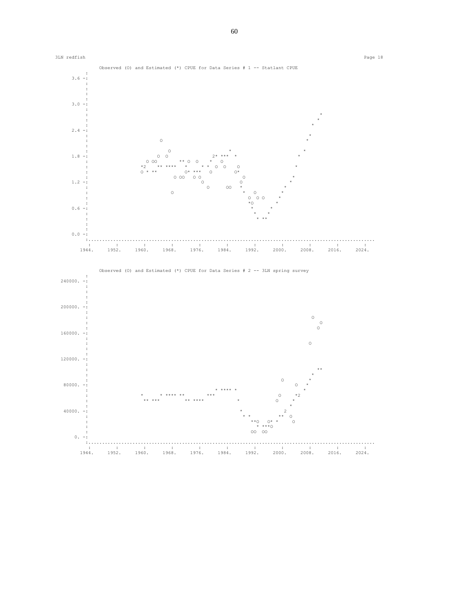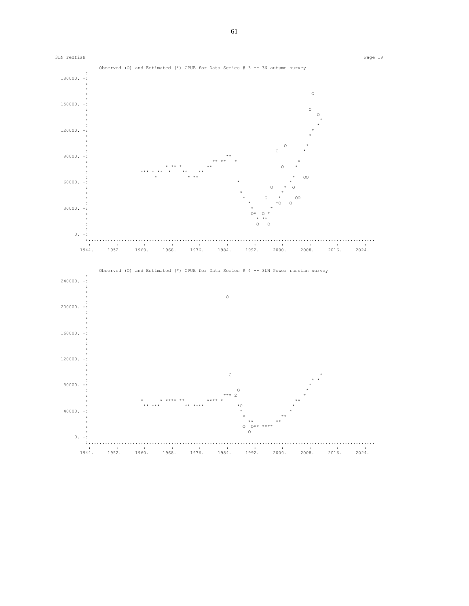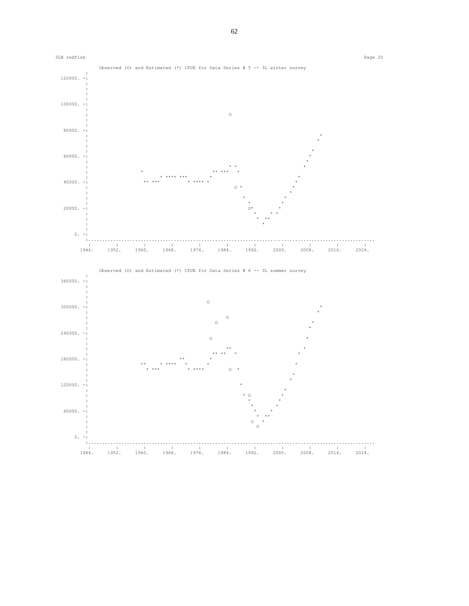